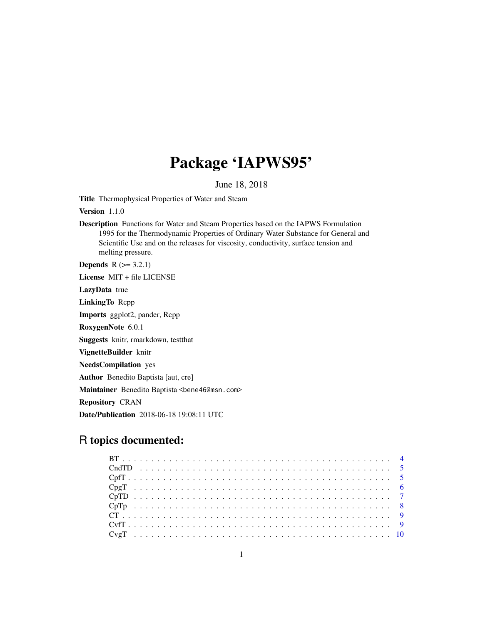# Package 'IAPWS95'

June 18, 2018

Title Thermophysical Properties of Water and Steam

Version 1.1.0

Description Functions for Water and Steam Properties based on the IAPWS Formulation 1995 for the Thermodynamic Properties of Ordinary Water Substance for General and Scientific Use and on the releases for viscosity, conductivity, surface tension and melting pressure.

**Depends**  $R$  ( $>= 3.2.1$ )

License MIT + file LICENSE

LazyData true

LinkingTo Rcpp

Imports ggplot2, pander, Rcpp

RoxygenNote 6.0.1

Suggests knitr, rmarkdown, testthat

VignetteBuilder knitr

NeedsCompilation yes

Author Benedito Baptista [aut, cre]

Maintainer Benedito Baptista <br/>bene46@msn.com>

Repository CRAN

Date/Publication 2018-06-18 19:08:11 UTC

## R topics documented: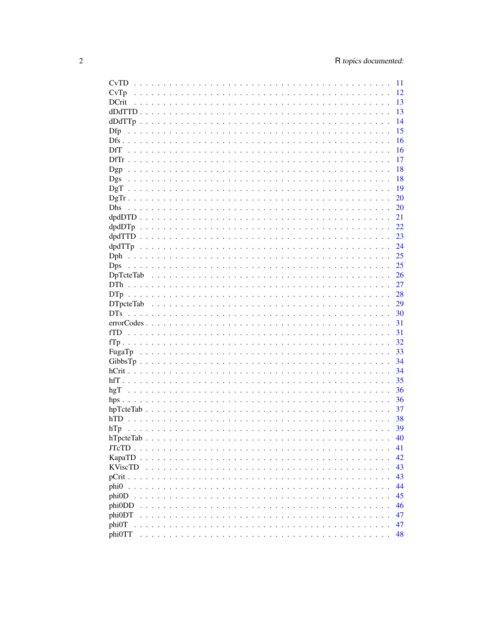| <b>CvTD</b>                                                                                                        | -11 |
|--------------------------------------------------------------------------------------------------------------------|-----|
|                                                                                                                    | 12  |
| <b>DCrit</b>                                                                                                       | 13  |
|                                                                                                                    | 13  |
|                                                                                                                    | 14  |
| Dfp                                                                                                                | 15  |
|                                                                                                                    | 16  |
| DfT                                                                                                                | 16  |
|                                                                                                                    | 17  |
|                                                                                                                    | 18  |
|                                                                                                                    |     |
| Dgs                                                                                                                | 18  |
|                                                                                                                    | 19  |
|                                                                                                                    | 20  |
| <b>Dhs</b>                                                                                                         | 20  |
|                                                                                                                    | 21  |
|                                                                                                                    | 22  |
|                                                                                                                    | 23  |
|                                                                                                                    | 24  |
|                                                                                                                    | 25  |
| <b>Dps</b>                                                                                                         | 25  |
|                                                                                                                    | 26  |
|                                                                                                                    | 27  |
|                                                                                                                    | 28  |
|                                                                                                                    | 29  |
|                                                                                                                    | 30  |
|                                                                                                                    |     |
| $errorCodes \dots \dots \dots \dots \dots \dots \dots \dots \dots \dots \dots \dots \dots \dots \dots \dots \dots$ | 31  |
|                                                                                                                    | 31  |
|                                                                                                                    | 32  |
|                                                                                                                    | 33  |
|                                                                                                                    | 34  |
|                                                                                                                    | 34  |
|                                                                                                                    | 35  |
|                                                                                                                    | 36  |
|                                                                                                                    | 36  |
|                                                                                                                    | 37  |
|                                                                                                                    | 38  |
| hTp                                                                                                                | 39  |
|                                                                                                                    | 40  |
|                                                                                                                    | 41  |
|                                                                                                                    | 42  |
| <b>KViscTD</b>                                                                                                     |     |
|                                                                                                                    | 43  |
|                                                                                                                    | 43  |
| phi0                                                                                                               | 44  |
| phi0D                                                                                                              | 45  |
| phi0DD                                                                                                             | 46  |
| phi0DT                                                                                                             | 47  |
| phi0T                                                                                                              | 47  |
| phi0TT                                                                                                             | 48  |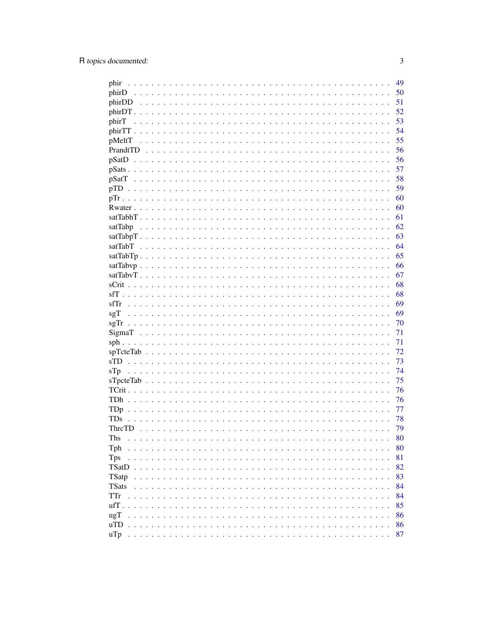| phir                                                                                                                                                                                                         | 49 |
|--------------------------------------------------------------------------------------------------------------------------------------------------------------------------------------------------------------|----|
|                                                                                                                                                                                                              | 50 |
|                                                                                                                                                                                                              | 51 |
|                                                                                                                                                                                                              | 52 |
| phirT                                                                                                                                                                                                        | 53 |
|                                                                                                                                                                                                              | 54 |
| pMeltT                                                                                                                                                                                                       | 55 |
|                                                                                                                                                                                                              | 56 |
|                                                                                                                                                                                                              | 56 |
|                                                                                                                                                                                                              | 57 |
|                                                                                                                                                                                                              | 58 |
|                                                                                                                                                                                                              | 59 |
|                                                                                                                                                                                                              | 60 |
|                                                                                                                                                                                                              | 60 |
|                                                                                                                                                                                                              | 61 |
|                                                                                                                                                                                                              |    |
| satTabp                                                                                                                                                                                                      | 62 |
|                                                                                                                                                                                                              | 63 |
|                                                                                                                                                                                                              | 64 |
|                                                                                                                                                                                                              | 65 |
|                                                                                                                                                                                                              | 66 |
|                                                                                                                                                                                                              | 67 |
|                                                                                                                                                                                                              | 68 |
|                                                                                                                                                                                                              | 68 |
|                                                                                                                                                                                                              | 69 |
|                                                                                                                                                                                                              | 69 |
|                                                                                                                                                                                                              | 70 |
|                                                                                                                                                                                                              | 71 |
|                                                                                                                                                                                                              | 71 |
|                                                                                                                                                                                                              | 72 |
|                                                                                                                                                                                                              | 73 |
| STp                                                                                                                                                                                                          | 74 |
|                                                                                                                                                                                                              | 75 |
|                                                                                                                                                                                                              | 76 |
|                                                                                                                                                                                                              | 76 |
|                                                                                                                                                                                                              | 77 |
| TDs                                                                                                                                                                                                          | 78 |
| ThrcTD                                                                                                                                                                                                       | 79 |
|                                                                                                                                                                                                              |    |
| Ths<br>$\mathbf{r}$ . $\mathbf{r}$ . $\mathbf{r}$<br>$\sim$<br>$\begin{array}{cccccccccccccc} \bullet & \bullet & \bullet & \bullet & \bullet & \bullet & \bullet & \bullet & \bullet & \bullet \end{array}$ | 80 |
| Tph<br>$\sim$<br>$\mathbf{r}$                                                                                                                                                                                | 80 |
| <b>Tps</b><br>.<br>$\cdots$                                                                                                                                                                                  | 81 |
| <b>TSatD</b><br>$\sim$ $\sim$<br>$\ddot{\phantom{1}}$<br>$\cdot$ .                                                                                                                                           | 82 |
| TSatp<br>.<br>$\ddot{\phantom{1}}$<br>$\ddot{\phantom{1}}$                                                                                                                                                   | 83 |
| <b>TSats</b><br>$\sim$                                                                                                                                                                                       | 84 |
| TTr<br>.<br>$\cdot$ $\cdot$ $\cdot$ $\cdot$                                                                                                                                                                  | 84 |
| ufT.<br>$\sim$ $\sim$ $\sim$ $\sim$<br>$\ddot{\phantom{a}}$<br>$\sim$                                                                                                                                        | 85 |
| ugT<br>$\cdots$<br>$\ddot{\phantom{a}}$<br>$\cdot$ $\cdot$ $\cdot$                                                                                                                                           | 86 |
| $\overline{\text{uTD}}$                                                                                                                                                                                      | 86 |
| u'l p                                                                                                                                                                                                        | 87 |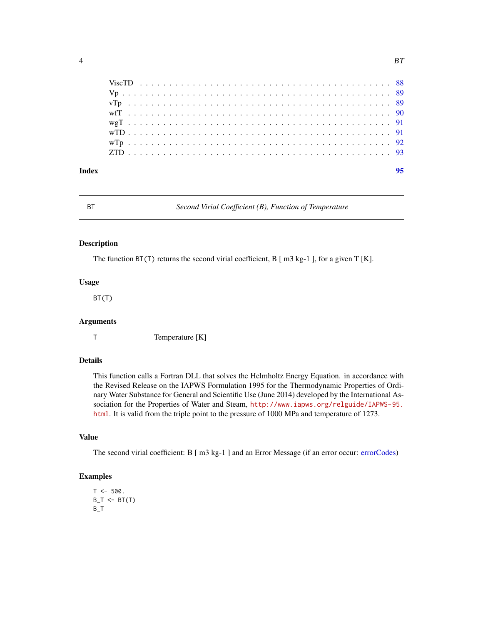<span id="page-3-0"></span>

| Index |  |  |  |  |  |  |  |  |  |  |  |  |  |  |  |  |  |  |  |  |  | 95 |
|-------|--|--|--|--|--|--|--|--|--|--|--|--|--|--|--|--|--|--|--|--|--|----|
|       |  |  |  |  |  |  |  |  |  |  |  |  |  |  |  |  |  |  |  |  |  |    |
|       |  |  |  |  |  |  |  |  |  |  |  |  |  |  |  |  |  |  |  |  |  |    |
|       |  |  |  |  |  |  |  |  |  |  |  |  |  |  |  |  |  |  |  |  |  |    |
|       |  |  |  |  |  |  |  |  |  |  |  |  |  |  |  |  |  |  |  |  |  |    |
|       |  |  |  |  |  |  |  |  |  |  |  |  |  |  |  |  |  |  |  |  |  |    |
|       |  |  |  |  |  |  |  |  |  |  |  |  |  |  |  |  |  |  |  |  |  |    |
|       |  |  |  |  |  |  |  |  |  |  |  |  |  |  |  |  |  |  |  |  |  |    |
|       |  |  |  |  |  |  |  |  |  |  |  |  |  |  |  |  |  |  |  |  |  |    |

BT *Second Virial Coefficient (B), Function of Temperature*

#### Description

The function BT(T) returns the second virial coefficient, B [ m3 kg-1 ], for a given T [K].

## Usage

BT(T)

## Arguments

T Temperature [K]

## Details

This function calls a Fortran DLL that solves the Helmholtz Energy Equation. in accordance with the Revised Release on the IAPWS Formulation 1995 for the Thermodynamic Properties of Ordinary Water Substance for General and Scientific Use (June 2014) developed by the International Association for the Properties of Water and Steam, [http://www.iapws.org/relguide/IAPWS-95.](http://www.iapws.org/relguide/IAPWS-95.html) [html](http://www.iapws.org/relguide/IAPWS-95.html). It is valid from the triple point to the pressure of 1000 MPa and temperature of 1273.

#### Value

The second virial coefficient: B [ m3 kg-1 ] and an Error Message (if an error occur: [errorCodes\)](#page-30-1)

```
T < -500.
B_T < -B T(T)B_T
```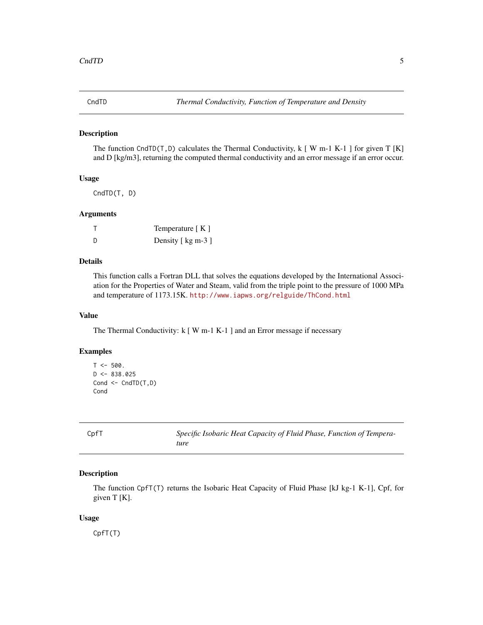<span id="page-4-0"></span>

The function CndTD(T, D) calculates the Thermal Conductivity,  $k$  [W m-1 K-1 ] for given T [K] and D [kg/m3], returning the computed thermal conductivity and an error message if an error occur.

#### Usage

CndTD(T, D)

#### Arguments

|     | Temperature $[K]$  |
|-----|--------------------|
| - D | Density [ kg m-3 ] |

## Details

This function calls a Fortran DLL that solves the equations developed by the International Association for the Properties of Water and Steam, valid from the triple point to the pressure of 1000 MPa and temperature of 1173.15K. <http://www.iapws.org/relguide/ThCond.html>

#### Value

The Thermal Conductivity: k [ W m-1 K-1 ] and an Error message if necessary

## Examples

```
T < -500.
D < -838.025Cond <- CndTD(T,D)
Cond
```
CpfT *Specific Isobaric Heat Capacity of Fluid Phase, Function of Temperature*

## Description

The function CpfT(T) returns the Isobaric Heat Capacity of Fluid Phase [kJ kg-1 K-1], Cpf, for given T [K].

#### Usage

CpfT(T)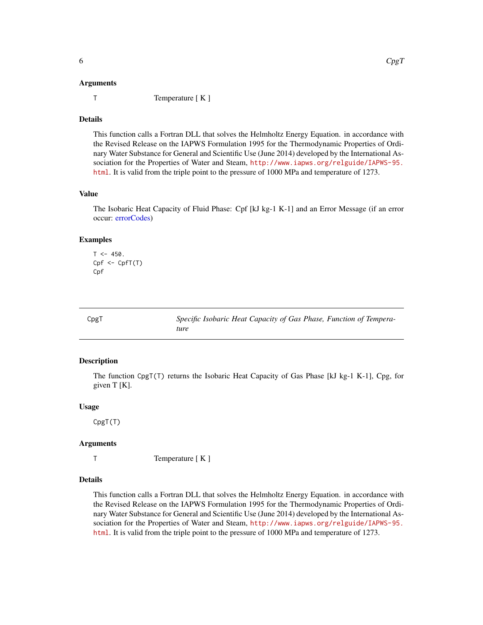<span id="page-5-0"></span>

T Temperature [ K ]

#### Details

This function calls a Fortran DLL that solves the Helmholtz Energy Equation. in accordance with the Revised Release on the IAPWS Formulation 1995 for the Thermodynamic Properties of Ordinary Water Substance for General and Scientific Use (June 2014) developed by the International Association for the Properties of Water and Steam, [http://www.iapws.org/relguide/IAPWS-95.](http://www.iapws.org/relguide/IAPWS-95.html) [html](http://www.iapws.org/relguide/IAPWS-95.html). It is valid from the triple point to the pressure of 1000 MPa and temperature of 1273.

#### Value

The Isobaric Heat Capacity of Fluid Phase: Cpf [kJ kg-1 K-1] and an Error Message (if an error occur: [errorCodes\)](#page-30-1)

#### Examples

```
T < -450.
Cpf < CpfT(T)Cpf
```
CpgT *Specific Isobaric Heat Capacity of Gas Phase, Function of Temperature*

#### Description

The function CpgT(T) returns the Isobaric Heat Capacity of Gas Phase [kJ kg-1 K-1], Cpg, for given T [K].

## Usage

CpgT(T)

#### Arguments

T Temperature [ K ]

#### Details

This function calls a Fortran DLL that solves the Helmholtz Energy Equation. in accordance with the Revised Release on the IAPWS Formulation 1995 for the Thermodynamic Properties of Ordinary Water Substance for General and Scientific Use (June 2014) developed by the International Association for the Properties of Water and Steam, [http://www.iapws.org/relguide/IAPWS-95.](http://www.iapws.org/relguide/IAPWS-95.html) [html](http://www.iapws.org/relguide/IAPWS-95.html). It is valid from the triple point to the pressure of 1000 MPa and temperature of 1273.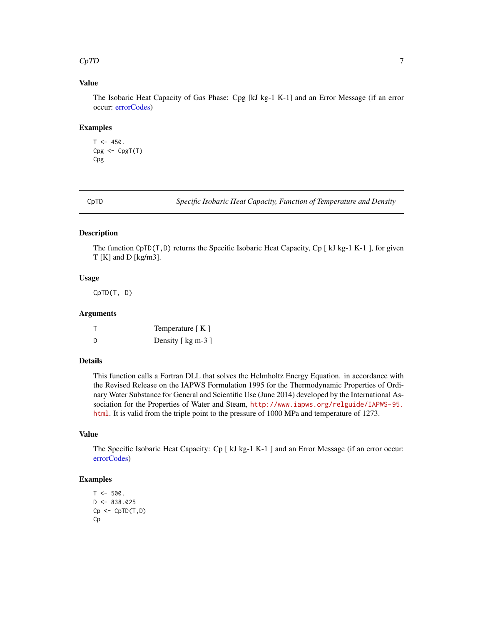#### <span id="page-6-0"></span> $CpTD$  7

## Value

The Isobaric Heat Capacity of Gas Phase: Cpg [kJ kg-1 K-1] and an Error Message (if an error occur: [errorCodes\)](#page-30-1)

#### Examples

```
T < -450.
Cpg < -CpgT(T)Cpg
```
CpTD *Specific Isobaric Heat Capacity, Function of Temperature and Density*

#### Description

The function CpTD(T,D) returns the Specific Isobaric Heat Capacity, Cp  $\lceil kJ \log 1K-1 \rceil$ , for given T [K] and D [kg/m3].

## Usage

CpTD(T, D)

#### Arguments

|   | Temperature $[K]$  |
|---|--------------------|
| D | Density [ kg m-3 ] |

## Details

This function calls a Fortran DLL that solves the Helmholtz Energy Equation. in accordance with the Revised Release on the IAPWS Formulation 1995 for the Thermodynamic Properties of Ordinary Water Substance for General and Scientific Use (June 2014) developed by the International Association for the Properties of Water and Steam, [http://www.iapws.org/relguide/IAPWS-95.](http://www.iapws.org/relguide/IAPWS-95.html) [html](http://www.iapws.org/relguide/IAPWS-95.html). It is valid from the triple point to the pressure of 1000 MPa and temperature of 1273.

## Value

The Specific Isobaric Heat Capacity: Cp [ kJ kg-1 K-1 ] and an Error Message (if an error occur: [errorCodes\)](#page-30-1)

```
T < -500.
D \le -838.025Cp \leftarrow CpTD(T,D)Cp
```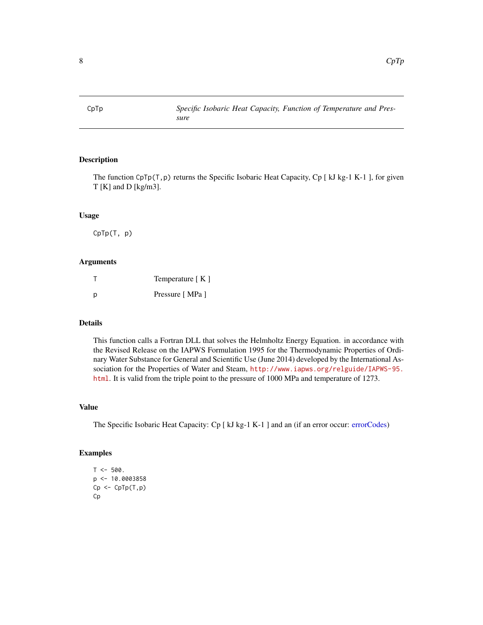<span id="page-7-0"></span>

The function CpTp(T,p) returns the Specific Isobaric Heat Capacity, Cp [ kJ kg-1 K-1 ], for given T [K] and D [kg/m3].

#### Usage

CpTp(T, p)

## Arguments

|   | Temperature [K] |
|---|-----------------|
| р | Pressure [MPa ] |

#### Details

This function calls a Fortran DLL that solves the Helmholtz Energy Equation. in accordance with the Revised Release on the IAPWS Formulation 1995 for the Thermodynamic Properties of Ordinary Water Substance for General and Scientific Use (June 2014) developed by the International Association for the Properties of Water and Steam, [http://www.iapws.org/relguide/IAPWS-95.](http://www.iapws.org/relguide/IAPWS-95.html) [html](http://www.iapws.org/relguide/IAPWS-95.html). It is valid from the triple point to the pressure of 1000 MPa and temperature of 1273.

## Value

The Specific Isobaric Heat Capacity: Cp [ kJ kg-1 K-1 ] and an (if an error occur: [errorCodes\)](#page-30-1)

```
T < -500.
p <- 10.0003858
Cp \leftarrow CpTp(T,p)Cp
```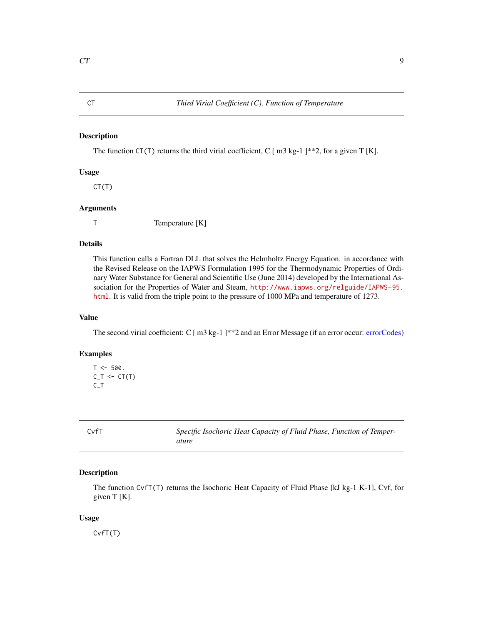<span id="page-8-0"></span>The function CT(T) returns the third virial coefficient, C  $\lceil$  m3 kg-1  $\rceil$ \*\*2, for a given T [K].

#### Usage

CT(T)

#### Arguments

T Temperature [K]

## Details

This function calls a Fortran DLL that solves the Helmholtz Energy Equation. in accordance with the Revised Release on the IAPWS Formulation 1995 for the Thermodynamic Properties of Ordinary Water Substance for General and Scientific Use (June 2014) developed by the International Association for the Properties of Water and Steam, [http://www.iapws.org/relguide/IAPWS-95.](http://www.iapws.org/relguide/IAPWS-95.html) [html](http://www.iapws.org/relguide/IAPWS-95.html). It is valid from the triple point to the pressure of 1000 MPa and temperature of 1273.

## Value

The second virial coefficient: C [ m3 kg-1 ]\*\*2 and an Error Message (if an error occur: [errorCodes\)](#page-30-1)

#### Examples

```
T < -500.
C_T < -CT(T)C_T
```
CvfT *Specific Isochoric Heat Capacity of Fluid Phase, Function of Temperature*

## Description

The function CvfT(T) returns the Isochoric Heat Capacity of Fluid Phase [kJ kg-1 K-1], Cvf, for given T [K].

#### Usage

CvfT(T)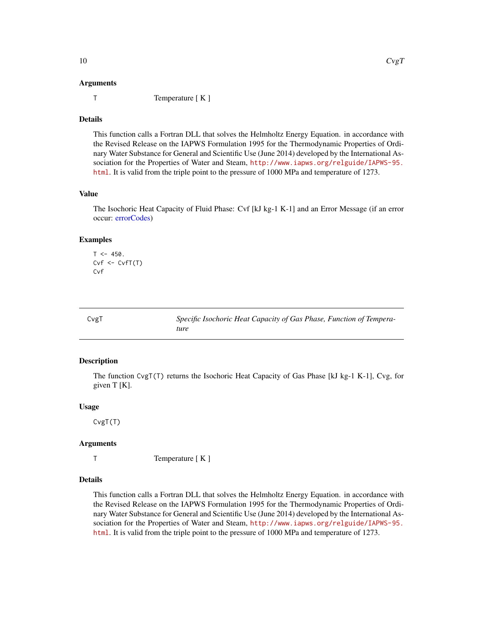#### <span id="page-9-0"></span>Arguments

T Temperature [ K ]

#### Details

This function calls a Fortran DLL that solves the Helmholtz Energy Equation. in accordance with the Revised Release on the IAPWS Formulation 1995 for the Thermodynamic Properties of Ordinary Water Substance for General and Scientific Use (June 2014) developed by the International Association for the Properties of Water and Steam, [http://www.iapws.org/relguide/IAPWS-95.](http://www.iapws.org/relguide/IAPWS-95.html) [html](http://www.iapws.org/relguide/IAPWS-95.html). It is valid from the triple point to the pressure of 1000 MPa and temperature of 1273.

#### Value

The Isochoric Heat Capacity of Fluid Phase: Cvf [kJ kg-1 K-1] and an Error Message (if an error occur: [errorCodes\)](#page-30-1)

#### Examples

```
T < -450.
Cvf \leftarrow CvfT(T)Cvf
```

| CvgT | Specific Isochoric Heat Capacity of Gas Phase, Function of Tempera- |
|------|---------------------------------------------------------------------|
|      | ture                                                                |

#### Description

The function CvgT(T) returns the Isochoric Heat Capacity of Gas Phase [kJ kg-1 K-1], Cvg, for given T [K].

#### Usage

CvgT(T)

#### Arguments

T Temperature [ K ]

#### Details

This function calls a Fortran DLL that solves the Helmholtz Energy Equation. in accordance with the Revised Release on the IAPWS Formulation 1995 for the Thermodynamic Properties of Ordinary Water Substance for General and Scientific Use (June 2014) developed by the International Association for the Properties of Water and Steam, [http://www.iapws.org/relguide/IAPWS-95.](http://www.iapws.org/relguide/IAPWS-95.html) [html](http://www.iapws.org/relguide/IAPWS-95.html). It is valid from the triple point to the pressure of 1000 MPa and temperature of 1273.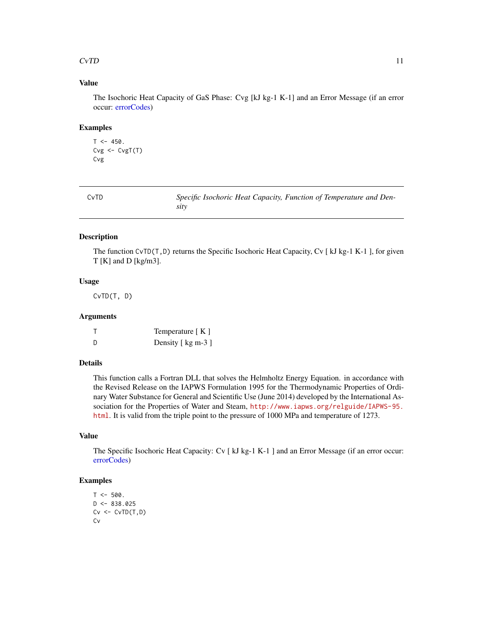### <span id="page-10-0"></span> $CvTD$  11

## Value

The Isochoric Heat Capacity of GaS Phase: Cvg [kJ kg-1 K-1] and an Error Message (if an error occur: [errorCodes\)](#page-30-1)

#### Examples

```
T < -450.
Cvg <- CvgT(T)
Cvg
```

| CvTD | Specific Isochoric Heat Capacity, Function of Temperature and Den- |
|------|--------------------------------------------------------------------|
|      | sity                                                               |

#### Description

The function CvTD( $T$ , D) returns the Specific Isochoric Heat Capacity, Cv [kJ kg-1 K-1], for given T [K] and D [kg/m3].

## Usage

CvTD(T, D)

## Arguments

|     | Temperature $[K]$  |
|-----|--------------------|
| - D | Density [ kg m-3 ] |

#### Details

This function calls a Fortran DLL that solves the Helmholtz Energy Equation. in accordance with the Revised Release on the IAPWS Formulation 1995 for the Thermodynamic Properties of Ordinary Water Substance for General and Scientific Use (June 2014) developed by the International Association for the Properties of Water and Steam, [http://www.iapws.org/relguide/IAPWS-95.](http://www.iapws.org/relguide/IAPWS-95.html) [html](http://www.iapws.org/relguide/IAPWS-95.html). It is valid from the triple point to the pressure of 1000 MPa and temperature of 1273.

## Value

The Specific Isochoric Heat Capacity: Cv [ kJ kg-1 K-1 ] and an Error Message (if an error occur: [errorCodes\)](#page-30-1)

```
T < -500.
D \le -838.025Cv \leftarrow CvTD(T,D)Cv
```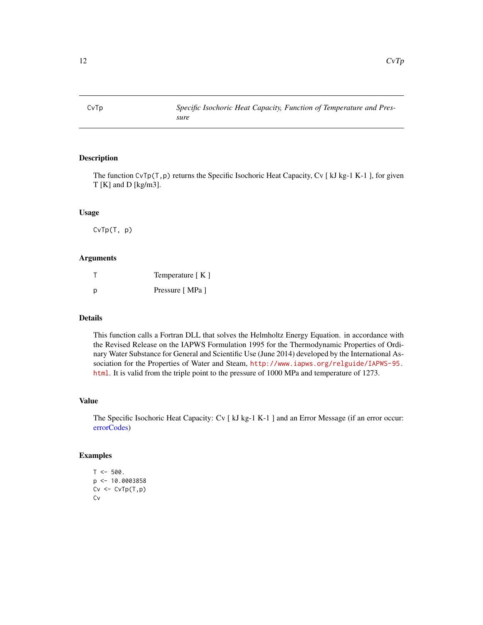<span id="page-11-0"></span>

The function  $CvTp(T,p)$  returns the Specific Isochoric Heat Capacity, Cv [kJ kg-1 K-1], for given T [K] and D [kg/m3].

## Usage

CvTp(T, p)

#### Arguments

|   | Temperature [K] |
|---|-----------------|
| р | Pressure [MPa ] |

## Details

This function calls a Fortran DLL that solves the Helmholtz Energy Equation. in accordance with the Revised Release on the IAPWS Formulation 1995 for the Thermodynamic Properties of Ordinary Water Substance for General and Scientific Use (June 2014) developed by the International Association for the Properties of Water and Steam, [http://www.iapws.org/relguide/IAPWS-95.](http://www.iapws.org/relguide/IAPWS-95.html) [html](http://www.iapws.org/relguide/IAPWS-95.html). It is valid from the triple point to the pressure of 1000 MPa and temperature of 1273.

#### Value

The Specific Isochoric Heat Capacity: Cv [ kJ kg-1 K-1 ] and an Error Message (if an error occur: [errorCodes\)](#page-30-1)

```
T < -500.
p <- 10.0003858
Cv \leftarrow CvTp(T,p)Cv
```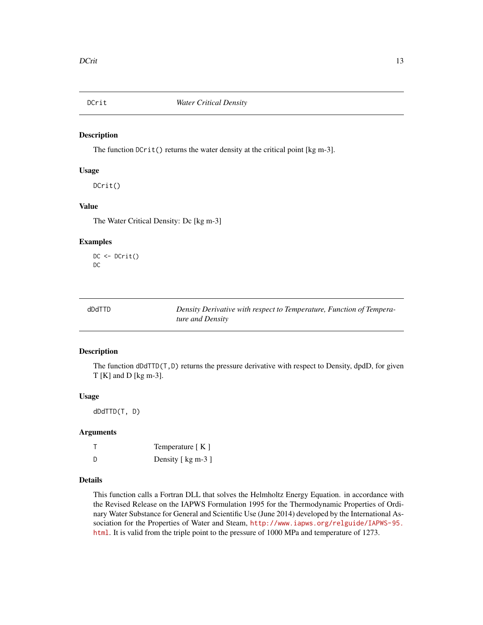<span id="page-12-0"></span>

The function  $DCrit()$  returns the water density at the critical point [kg m-3].

## Usage

DCrit()

#### Value

The Water Critical Density: Dc [kg m-3]

#### Examples

DC <- DCrit() DC

|--|

Density Derivative with respect to Temperature, Function of Tempera*ture and Density*

#### Description

The function dDdTTD(T,D) returns the pressure derivative with respect to Density, dpdD, for given T [K] and D [kg m-3].

#### Usage

dDdTTD(T, D)

#### Arguments

|   | Temperature $[K]$  |
|---|--------------------|
| D | Density [ kg m-3 ] |

#### Details

This function calls a Fortran DLL that solves the Helmholtz Energy Equation. in accordance with the Revised Release on the IAPWS Formulation 1995 for the Thermodynamic Properties of Ordinary Water Substance for General and Scientific Use (June 2014) developed by the International Association for the Properties of Water and Steam, [http://www.iapws.org/relguide/IAPWS-95.](http://www.iapws.org/relguide/IAPWS-95.html) [html](http://www.iapws.org/relguide/IAPWS-95.html). It is valid from the triple point to the pressure of 1000 MPa and temperature of 1273.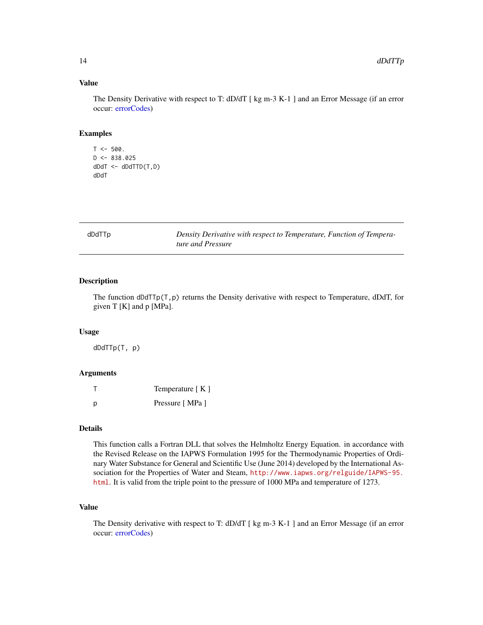## Value

The Density Derivative with respect to T: dD/dT [ kg m-3 K-1 ] and an Error Message (if an error occur: [errorCodes\)](#page-30-1)

#### Examples

```
T < -500.
D \le -838.025dDdT <- dDdTTD(T,D)
dDdT
```

| dDdTTp | Density Derivative with respect to Temperature, Function of Tempera- |
|--------|----------------------------------------------------------------------|
|        | ture and Pressure                                                    |

#### Description

The function  $dDdT\nabla p(T, p)$  returns the Density derivative with respect to Temperature, dDdT, for given T [K] and p [MPa].

#### Usage

dDdTTp(T, p)

#### Arguments

|   | Temperature [K] |
|---|-----------------|
| Ŋ | Pressure [MPa ] |

#### Details

This function calls a Fortran DLL that solves the Helmholtz Energy Equation. in accordance with the Revised Release on the IAPWS Formulation 1995 for the Thermodynamic Properties of Ordinary Water Substance for General and Scientific Use (June 2014) developed by the International Association for the Properties of Water and Steam, [http://www.iapws.org/relguide/IAPWS-95.](http://www.iapws.org/relguide/IAPWS-95.html) [html](http://www.iapws.org/relguide/IAPWS-95.html). It is valid from the triple point to the pressure of 1000 MPa and temperature of 1273.

## Value

The Density derivative with respect to T: dD/dT [ kg m-3 K-1 ] and an Error Message (if an error occur: [errorCodes\)](#page-30-1)

<span id="page-13-0"></span>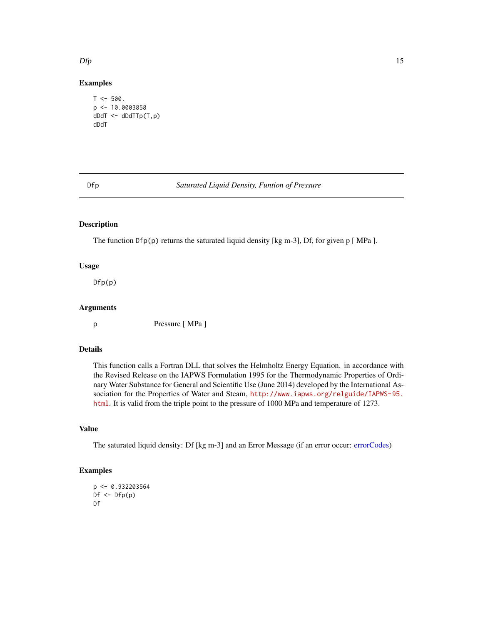## Examples

```
T < -500.
p \leq -10.0003858dDdT <- dDdTTp(T,p)
dDdT
```
#### Dfp *Saturated Liquid Density, Funtion of Pressure*

## Description

The function Dfp(p) returns the saturated liquid density [kg m-3], Df, for given p [ MPa ].

#### Usage

Dfp(p)

## Arguments

p Pressure [ MPa ]

#### Details

This function calls a Fortran DLL that solves the Helmholtz Energy Equation. in accordance with the Revised Release on the IAPWS Formulation 1995 for the Thermodynamic Properties of Ordinary Water Substance for General and Scientific Use (June 2014) developed by the International Association for the Properties of Water and Steam, [http://www.iapws.org/relguide/IAPWS-95.](http://www.iapws.org/relguide/IAPWS-95.html) [html](http://www.iapws.org/relguide/IAPWS-95.html). It is valid from the triple point to the pressure of 1000 MPa and temperature of 1273.

#### Value

The saturated liquid density: Df [kg m-3] and an Error Message (if an error occur: [errorCodes\)](#page-30-1)

#### Examples

```
p <- 0.932203564
Df \leftarrow Dfp(p)Df
```
<span id="page-14-0"></span> $Dfp$  15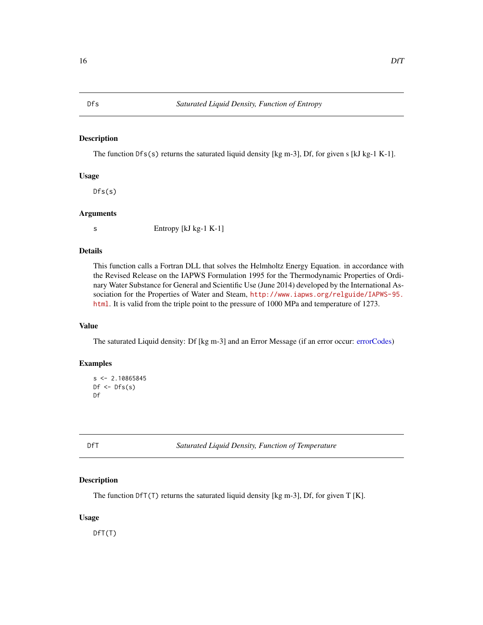<span id="page-15-0"></span>The function  $Dfs(s)$  returns the saturated liquid density [kg m-3], Df, for given s [kJ kg-1 K-1].

#### Usage

 $Dfs(s)$ 

#### Arguments

s Entropy [kJ kg-1 K-1]

#### Details

This function calls a Fortran DLL that solves the Helmholtz Energy Equation. in accordance with the Revised Release on the IAPWS Formulation 1995 for the Thermodynamic Properties of Ordinary Water Substance for General and Scientific Use (June 2014) developed by the International Association for the Properties of Water and Steam, [http://www.iapws.org/relguide/IAPWS-95.](http://www.iapws.org/relguide/IAPWS-95.html) [html](http://www.iapws.org/relguide/IAPWS-95.html). It is valid from the triple point to the pressure of 1000 MPa and temperature of 1273.

## Value

The saturated Liquid density: Df [kg m-3] and an Error Message (if an error occur: [errorCodes\)](#page-30-1)

### Examples

```
s < -2.10865845Df \leftarrow Dfs(s)Df
```
DfT *Saturated Liquid Density, Function of Temperature*

#### Description

The function  $DfT(T)$  returns the saturated liquid density [kg m-3], Df, for given  $T[K]$ .

#### Usage

DfT(T)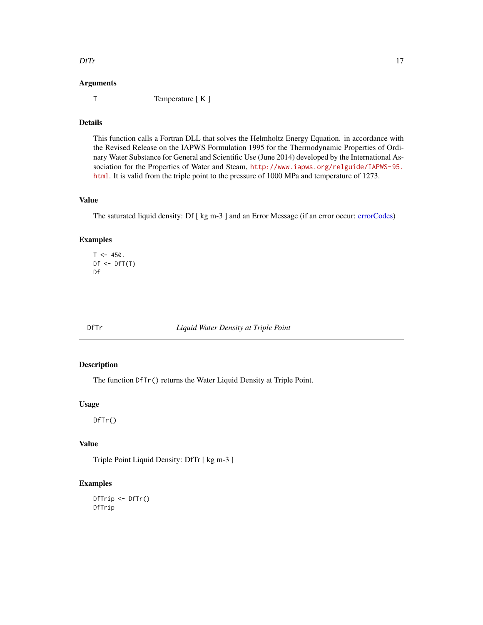#### <span id="page-16-0"></span> $\Gamma$

#### Arguments

T Temperature [ K ]

## Details

This function calls a Fortran DLL that solves the Helmholtz Energy Equation. in accordance with the Revised Release on the IAPWS Formulation 1995 for the Thermodynamic Properties of Ordinary Water Substance for General and Scientific Use (June 2014) developed by the International Association for the Properties of Water and Steam, [http://www.iapws.org/relguide/IAPWS-95.](http://www.iapws.org/relguide/IAPWS-95.html) [html](http://www.iapws.org/relguide/IAPWS-95.html). It is valid from the triple point to the pressure of 1000 MPa and temperature of 1273.

## Value

The saturated liquid density: Df [ kg m-3 ] and an Error Message (if an error occur: [errorCodes\)](#page-30-1)

## Examples

```
T < -450.
Df \leftarrow DfT(T)Df
```
DfTr *Liquid Water Density at Triple Point*

## Description

The function DfTr() returns the Water Liquid Density at Triple Point.

### Usage

DfTr()

#### Value

Triple Point Liquid Density: DfTr [ kg m-3 ]

```
DfTrip <- DfTr()
DfTrip
```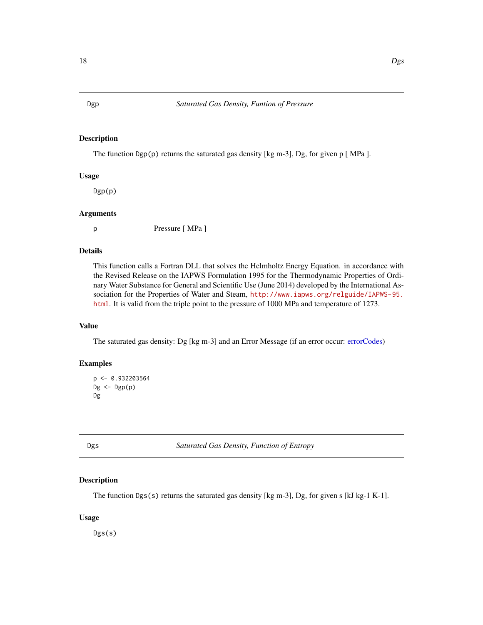<span id="page-17-0"></span>The function  $Dgp(p)$  returns the saturated gas density [kg m-3], Dg, for given p [MPa ].

#### Usage

Dgp(p)

#### Arguments

p Pressure [ MPa ]

#### Details

This function calls a Fortran DLL that solves the Helmholtz Energy Equation. in accordance with the Revised Release on the IAPWS Formulation 1995 for the Thermodynamic Properties of Ordinary Water Substance for General and Scientific Use (June 2014) developed by the International Association for the Properties of Water and Steam, [http://www.iapws.org/relguide/IAPWS-95.](http://www.iapws.org/relguide/IAPWS-95.html) [html](http://www.iapws.org/relguide/IAPWS-95.html). It is valid from the triple point to the pressure of 1000 MPa and temperature of 1273.

## Value

The saturated gas density: Dg [kg m-3] and an Error Message (if an error occur: [errorCodes\)](#page-30-1)

## Examples

```
p <- 0.932203564
Dg \leftarrow Dgp(p)Dg
```
Dgs *Saturated Gas Density, Function of Entropy*

#### Description

The function Dgs(s) returns the saturated gas density [kg m-3], Dg, for given s [kJ kg-1 K-1].

#### Usage

Dgs(s)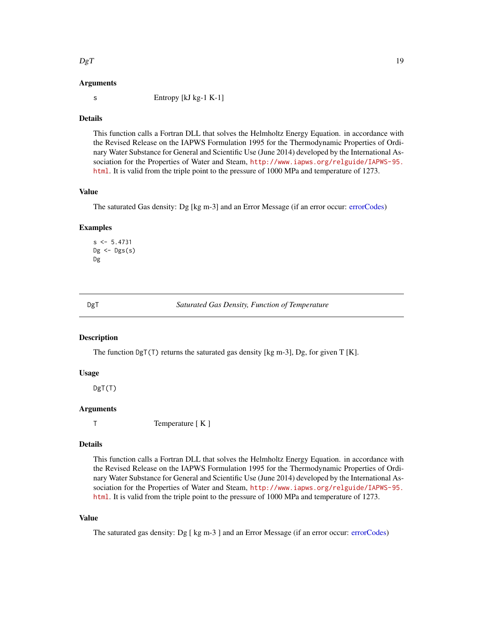#### <span id="page-18-0"></span> $DgT$  19

#### Arguments

s Entropy [kJ kg-1 K-1]

#### Details

This function calls a Fortran DLL that solves the Helmholtz Energy Equation. in accordance with the Revised Release on the IAPWS Formulation 1995 for the Thermodynamic Properties of Ordinary Water Substance for General and Scientific Use (June 2014) developed by the International Association for the Properties of Water and Steam, [http://www.iapws.org/relguide/IAPWS-95.](http://www.iapws.org/relguide/IAPWS-95.html) [html](http://www.iapws.org/relguide/IAPWS-95.html). It is valid from the triple point to the pressure of 1000 MPa and temperature of 1273.

## Value

The saturated Gas density: Dg [kg m-3] and an Error Message (if an error occur: [errorCodes\)](#page-30-1)

#### Examples

```
s < -5.4731Dg \leftarrow Dgs(s)Dg
```
DgT *Saturated Gas Density, Function of Temperature*

## **Description**

The function  $DgT(T)$  returns the saturated gas density [kg m-3], Dg, for given T [K].

#### Usage

DgT(T)

#### Arguments

T Temperature [ K ]

#### Details

This function calls a Fortran DLL that solves the Helmholtz Energy Equation. in accordance with the Revised Release on the IAPWS Formulation 1995 for the Thermodynamic Properties of Ordinary Water Substance for General and Scientific Use (June 2014) developed by the International Association for the Properties of Water and Steam, [http://www.iapws.org/relguide/IAPWS-95.](http://www.iapws.org/relguide/IAPWS-95.html) [html](http://www.iapws.org/relguide/IAPWS-95.html). It is valid from the triple point to the pressure of 1000 MPa and temperature of 1273.

## Value

The saturated gas density: Dg [ kg m-3 ] and an Error Message (if an error occur: [errorCodes\)](#page-30-1)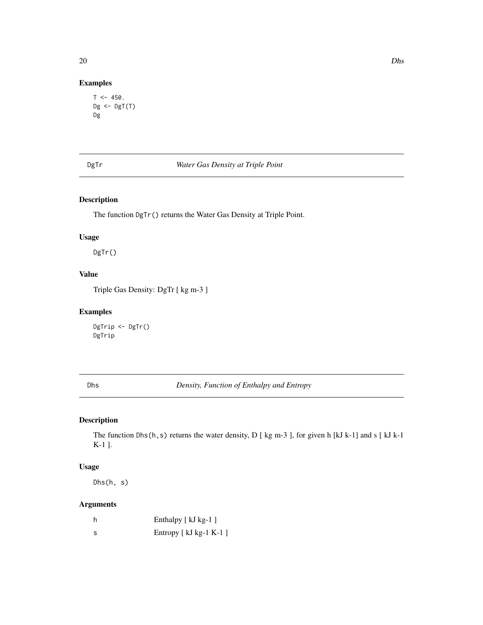## Examples

```
T < -450.
Dg \leftarrow DgT(T)Dg
```
## DgTr *Water Gas Density at Triple Point*

## Description

The function DgTr() returns the Water Gas Density at Triple Point.

## Usage

DgTr()

## Value

Triple Gas Density: DgTr [ kg m-3 ]

## Examples

DgTrip <- DgTr() DgTrip

Dhs *Density, Function of Enthalpy and Entropy*

## Description

The function Dhs(h,s) returns the water density, D [ kg m-3 ], for given h [kJ k-1] and s [ kJ k-1 K-1 ].

## Usage

Dhs(h, s)

## Arguments

|     | Enthalpy [ kJ kg-1 ]    |
|-----|-------------------------|
| - S | Entropy $[kJ kg-1 K-1]$ |

<span id="page-19-0"></span>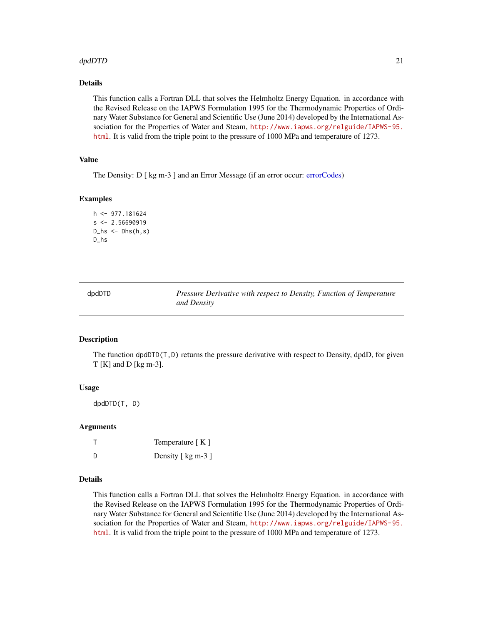#### <span id="page-20-0"></span>dpdDTD 21

## Details

This function calls a Fortran DLL that solves the Helmholtz Energy Equation. in accordance with the Revised Release on the IAPWS Formulation 1995 for the Thermodynamic Properties of Ordinary Water Substance for General and Scientific Use (June 2014) developed by the International Association for the Properties of Water and Steam, [http://www.iapws.org/relguide/IAPWS-95.](http://www.iapws.org/relguide/IAPWS-95.html) [html](http://www.iapws.org/relguide/IAPWS-95.html). It is valid from the triple point to the pressure of 1000 MPa and temperature of 1273.

#### Value

The Density: D [ kg m-3 ] and an Error Message (if an error occur: [errorCodes\)](#page-30-1)

#### Examples

```
h <- 977.181624
s < -2.56690919D_hs < -Dhs(h,s)D_hs
```

| dDr<br>ır |
|-----------|
|-----------|

Pressure Derivative with respect to Density, Function of Temperature *and Density*

#### Description

The function dpdDTD(T,D) returns the pressure derivative with respect to Density, dpdD, for given T [K] and D [kg m-3].

#### Usage

dpdDTD(T, D)

#### Arguments

|   | Temperature $[K]$  |
|---|--------------------|
| D | Density [ kg m-3 ] |

#### Details

This function calls a Fortran DLL that solves the Helmholtz Energy Equation. in accordance with the Revised Release on the IAPWS Formulation 1995 for the Thermodynamic Properties of Ordinary Water Substance for General and Scientific Use (June 2014) developed by the International Association for the Properties of Water and Steam, [http://www.iapws.org/relguide/IAPWS-95.](http://www.iapws.org/relguide/IAPWS-95.html) [html](http://www.iapws.org/relguide/IAPWS-95.html). It is valid from the triple point to the pressure of 1000 MPa and temperature of 1273.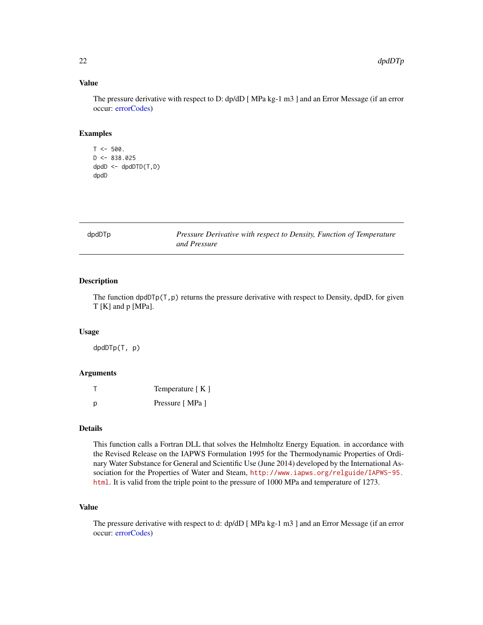## Value

The pressure derivative with respect to D: dp/dD [ MPa kg-1 m3 ] and an Error Message (if an error occur: [errorCodes\)](#page-30-1)

#### Examples

```
T < -500.
D \le -838.025dpdD \le - \text{dpd}DTD(T, D)dpdD
```

| dpdDTp | Pressure Derivative with respect to Density, Function of Temperature |
|--------|----------------------------------------------------------------------|
|        | and Pressure                                                         |

### Description

The function  $dpdD\Gamma p(T,p)$  returns the pressure derivative with respect to Density, dpdD, for given T [K] and p [MPa].

#### Usage

dpdDTp(T, p)

## Arguments

|   | Temperature [K] |
|---|-----------------|
| р | Pressure [MPa ] |

#### Details

This function calls a Fortran DLL that solves the Helmholtz Energy Equation. in accordance with the Revised Release on the IAPWS Formulation 1995 for the Thermodynamic Properties of Ordinary Water Substance for General and Scientific Use (June 2014) developed by the International Association for the Properties of Water and Steam, [http://www.iapws.org/relguide/IAPWS-95.](http://www.iapws.org/relguide/IAPWS-95.html) [html](http://www.iapws.org/relguide/IAPWS-95.html). It is valid from the triple point to the pressure of 1000 MPa and temperature of 1273.

## Value

The pressure derivative with respect to d: dp/dD [ MPa kg-1 m3 ] and an Error Message (if an error occur: [errorCodes\)](#page-30-1)

<span id="page-21-0"></span>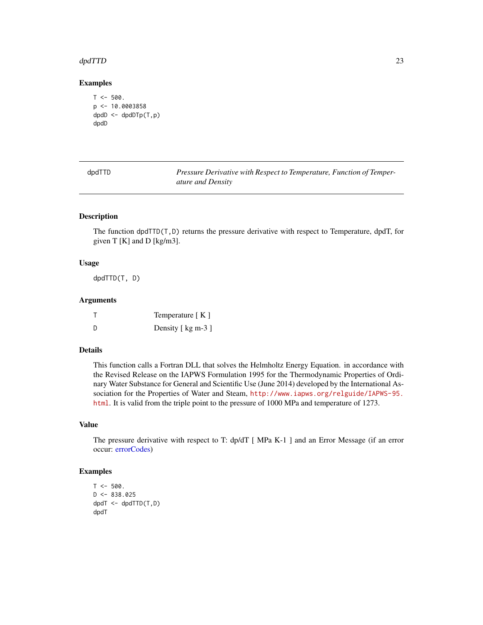#### <span id="page-22-0"></span>dpdTTD 23

#### Examples

```
T < -500.
p \leftarrow 10.0003858dpdD \leftarrow dpdDTp(T,p)dpdD
```

| dpdTTD | Pressure Derivative with Respect to Temperature, Function of Temper- |
|--------|----------------------------------------------------------------------|
|        | <i>ature and Density</i>                                             |

## Description

The function dpdTTD(T,D) returns the pressure derivative with respect to Temperature, dpdT, for given  $T [K]$  and  $D [kg/m3]$ .

#### Usage

dpdTTD(T, D)

## Arguments

|     | Temperature $[K]$  |
|-----|--------------------|
| - D | Density [ kg m-3 ] |

#### Details

This function calls a Fortran DLL that solves the Helmholtz Energy Equation. in accordance with the Revised Release on the IAPWS Formulation 1995 for the Thermodynamic Properties of Ordinary Water Substance for General and Scientific Use (June 2014) developed by the International Association for the Properties of Water and Steam, [http://www.iapws.org/relguide/IAPWS-95.](http://www.iapws.org/relguide/IAPWS-95.html) [html](http://www.iapws.org/relguide/IAPWS-95.html). It is valid from the triple point to the pressure of 1000 MPa and temperature of 1273.

## Value

The pressure derivative with respect to T: dp/dT [ MPa K-1 ] and an Error Message (if an error occur: [errorCodes\)](#page-30-1)

```
T < -500.
D \le -838.025dpdT <- dpdTTD(T,D)
dpdT
```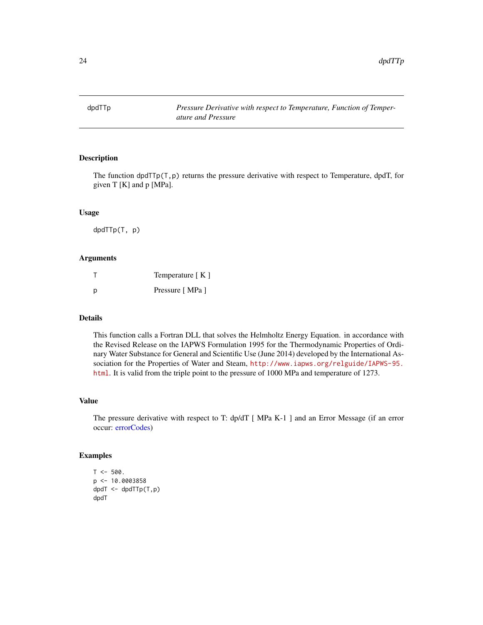<span id="page-23-0"></span>

The function dpdTTp $(T, p)$  returns the pressure derivative with respect to Temperature, dpdT, for given T [K] and p [MPa].

## Usage

dpdTTp(T, p)

#### Arguments

| т | Temperature [K] |
|---|-----------------|
| р | Pressure [MPa ] |

## Details

This function calls a Fortran DLL that solves the Helmholtz Energy Equation. in accordance with the Revised Release on the IAPWS Formulation 1995 for the Thermodynamic Properties of Ordinary Water Substance for General and Scientific Use (June 2014) developed by the International Association for the Properties of Water and Steam, [http://www.iapws.org/relguide/IAPWS-95.](http://www.iapws.org/relguide/IAPWS-95.html) [html](http://www.iapws.org/relguide/IAPWS-95.html). It is valid from the triple point to the pressure of 1000 MPa and temperature of 1273.

#### Value

The pressure derivative with respect to T: dp/dT [ MPa K-1 ] and an Error Message (if an error occur: [errorCodes\)](#page-30-1)

```
T < -500.
p <- 10.0003858
dpdT <- dpdTTp(T,p)
dpdT
```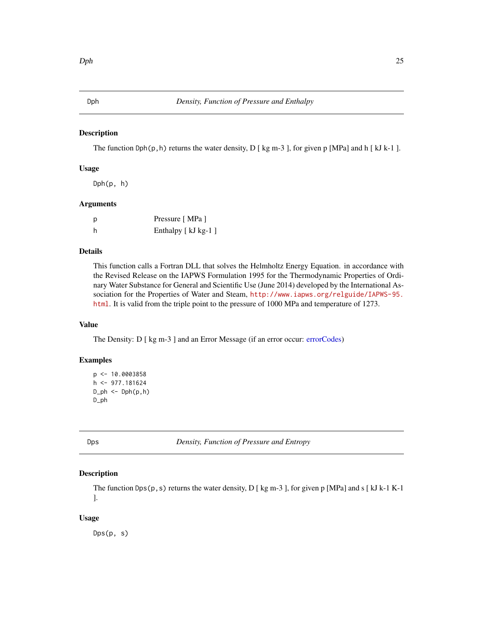<span id="page-24-0"></span>The function Dph(p, h) returns the water density, D [ kg m-3 ], for given p [MPa] and h [ kJ k-1 ].

### Usage

 $Dph(p, h)$ 

#### Arguments

| р | Pressure [MPa ]    |
|---|--------------------|
| h | Enthalpy [kJ kg-1] |

## Details

This function calls a Fortran DLL that solves the Helmholtz Energy Equation. in accordance with the Revised Release on the IAPWS Formulation 1995 for the Thermodynamic Properties of Ordinary Water Substance for General and Scientific Use (June 2014) developed by the International Association for the Properties of Water and Steam, [http://www.iapws.org/relguide/IAPWS-95.](http://www.iapws.org/relguide/IAPWS-95.html) [html](http://www.iapws.org/relguide/IAPWS-95.html). It is valid from the triple point to the pressure of 1000 MPa and temperature of 1273.

### Value

The Density: D [ kg m-3 ] and an Error Message (if an error occur: [errorCodes\)](#page-30-1)

#### Examples

```
p <- 10.0003858
h <- 977.181624
D_\text{ph} < -D_\text{ph}(p, h)D_ph
```
Dps *Density, Function of Pressure and Entropy*

## Description

The function Dps( $p, s$ ) returns the water density, D [ kg m-3 ], for given p [MPa] and s [ kJ k-1 K-1 ].

#### Usage

Dps(p, s)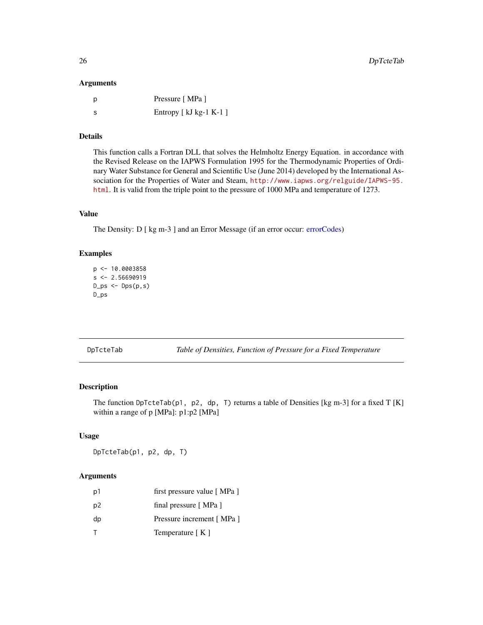#### <span id="page-25-0"></span>Arguments

| - p | Pressure [MPa ]           |
|-----|---------------------------|
| - S | Entropy [ $kJ$ kg-1 K-1 ] |

## Details

This function calls a Fortran DLL that solves the Helmholtz Energy Equation. in accordance with the Revised Release on the IAPWS Formulation 1995 for the Thermodynamic Properties of Ordinary Water Substance for General and Scientific Use (June 2014) developed by the International Association for the Properties of Water and Steam, [http://www.iapws.org/relguide/IAPWS-95.](http://www.iapws.org/relguide/IAPWS-95.html) [html](http://www.iapws.org/relguide/IAPWS-95.html). It is valid from the triple point to the pressure of 1000 MPa and temperature of 1273.

## Value

The Density: D [ kg m-3 ] and an Error Message (if an error occur: [errorCodes\)](#page-30-1)

#### Examples

```
p <- 10.0003858
s < -2.56690919D-ps <- Dps(p,s)D_ps
```
DpTcteTab *Table of Densities, Function of Pressure for a Fixed Temperature*

## Description

The function DpTcteTab(p1, p2, dp, T) returns a table of Densities [kg m-3] for a fixed T [K] within a range of p [MPa]: p1:p2 [MPa]

#### Usage

DpTcteTab(p1, p2, dp, T)

## Arguments

| p1             | first pressure value [MPa ] |
|----------------|-----------------------------|
| p <sub>2</sub> | final pressure [MPa]        |
| dp             | Pressure increment [MPa]    |
| т              | Temperature [K]             |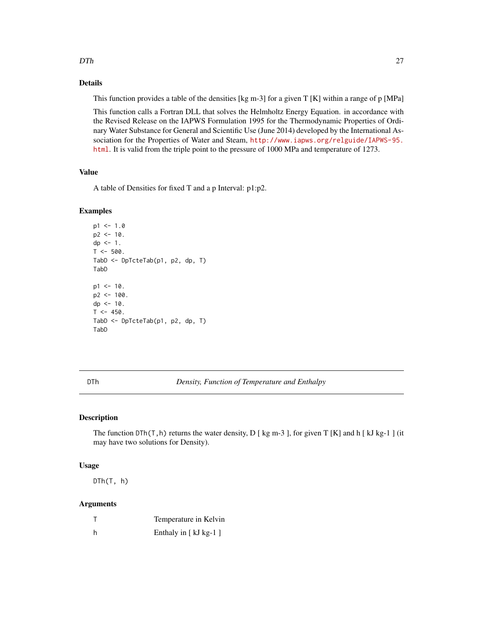#### <span id="page-26-0"></span> $DTh$  27

## Details

This function provides a table of the densities [kg m-3] for a given  $T K$ ] within a range of p [MPa]

This function calls a Fortran DLL that solves the Helmholtz Energy Equation. in accordance with the Revised Release on the IAPWS Formulation 1995 for the Thermodynamic Properties of Ordinary Water Substance for General and Scientific Use (June 2014) developed by the International Association for the Properties of Water and Steam, [http://www.iapws.org/relguide/IAPWS-95.](http://www.iapws.org/relguide/IAPWS-95.html) [html](http://www.iapws.org/relguide/IAPWS-95.html). It is valid from the triple point to the pressure of 1000 MPa and temperature of 1273.

### Value

A table of Densities for fixed T and a p Interval: p1:p2.

#### Examples

```
p1 < -1.0p2 < -10.
dp <- 1.
T < -500.
TabD <- DpTcteTab(p1, p2, dp, T)
TabD
p1 < -10.
p2 < -100.
dp <- 10.
T < -450.
TabD <- DpTcteTab(p1, p2, dp, T)
TabD
```
DTh *Density, Function of Temperature and Enthalpy*

## Description

The function  $DTh(T,h)$  returns the water density, D [ kg m-3 ], for given T [K] and h [ kJ kg-1 ] (it may have two solutions for Density).

#### Usage

DTh(T, h)

#### Arguments

| Temperature in Kelvin  |
|------------------------|
| Enthaly in $[kJ kg-1]$ |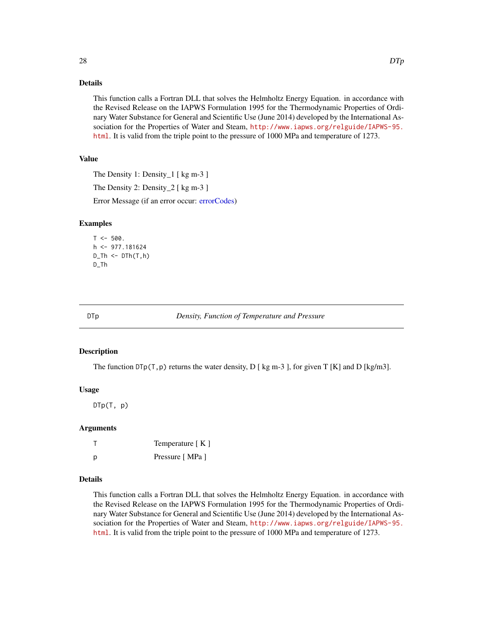## <span id="page-27-0"></span>Details

This function calls a Fortran DLL that solves the Helmholtz Energy Equation. in accordance with the Revised Release on the IAPWS Formulation 1995 for the Thermodynamic Properties of Ordinary Water Substance for General and Scientific Use (June 2014) developed by the International Association for the Properties of Water and Steam, [http://www.iapws.org/relguide/IAPWS-95.](http://www.iapws.org/relguide/IAPWS-95.html) [html](http://www.iapws.org/relguide/IAPWS-95.html). It is valid from the triple point to the pressure of 1000 MPa and temperature of 1273.

## Value

The Density 1: Density 1 [ kg m-3 ]

The Density 2: Density  $2 \lceil \text{kg m-3} \rceil$ 

Error Message (if an error occur: [errorCodes\)](#page-30-1)

#### Examples

 $T < -500$ .  $h$  <- 977.181624  $D_$ Th  $\leq DTh(T,h)$ D\_Th

DTp *Density, Function of Temperature and Pressure*

#### Description

The function  $\text{DTop}(T,p)$  returns the water density, D [ kg m-3 ], for given T [K] and D [kg/m3].

## Usage

 $D \textsf{Tp}(\textsf{T}, p)$ 

#### Arguments

|   | Temperature [K] |
|---|-----------------|
| р | Pressure [MPa ] |

#### Details

This function calls a Fortran DLL that solves the Helmholtz Energy Equation. in accordance with the Revised Release on the IAPWS Formulation 1995 for the Thermodynamic Properties of Ordinary Water Substance for General and Scientific Use (June 2014) developed by the International Association for the Properties of Water and Steam, [http://www.iapws.org/relguide/IAPWS-95.](http://www.iapws.org/relguide/IAPWS-95.html) [html](http://www.iapws.org/relguide/IAPWS-95.html). It is valid from the triple point to the pressure of 1000 MPa and temperature of 1273.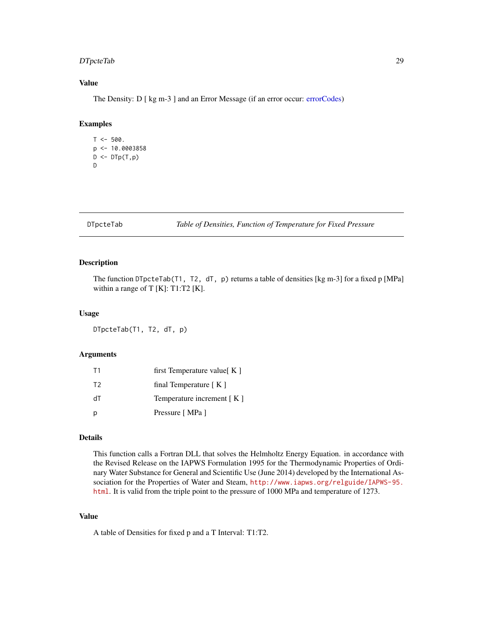## <span id="page-28-0"></span>DTpcteTab 29

## Value

The Density: D [ kg m-3 ] and an Error Message (if an error occur: [errorCodes\)](#page-30-1)

#### Examples

```
T < -500.
p \leq -10.0003858D \leftarrow D \text{Tp}(T, p)D
```
#### DTpcteTab *Table of Densities, Function of Temperature for Fixed Pressure*

#### Description

The function DTpcteTab(T1, T2, dT, p) returns a table of densities [kg m-3] for a fixed p [MPa] within a range of T [K]: T1:T2 [K].

#### Usage

DTpcteTab(T1, T2, dT, p)

### Arguments

| T1             | first Temperature value $K \mid$    |
|----------------|-------------------------------------|
| T <sub>2</sub> | final Temperature $\lceil K \rceil$ |
| dT             | Temperature increment $[K]$         |
|                | Pressure [MPa ]                     |

## Details

This function calls a Fortran DLL that solves the Helmholtz Energy Equation. in accordance with the Revised Release on the IAPWS Formulation 1995 for the Thermodynamic Properties of Ordinary Water Substance for General and Scientific Use (June 2014) developed by the International Association for the Properties of Water and Steam, [http://www.iapws.org/relguide/IAPWS-95.](http://www.iapws.org/relguide/IAPWS-95.html) [html](http://www.iapws.org/relguide/IAPWS-95.html). It is valid from the triple point to the pressure of 1000 MPa and temperature of 1273.

#### Value

A table of Densities for fixed p and a T Interval: T1:T2.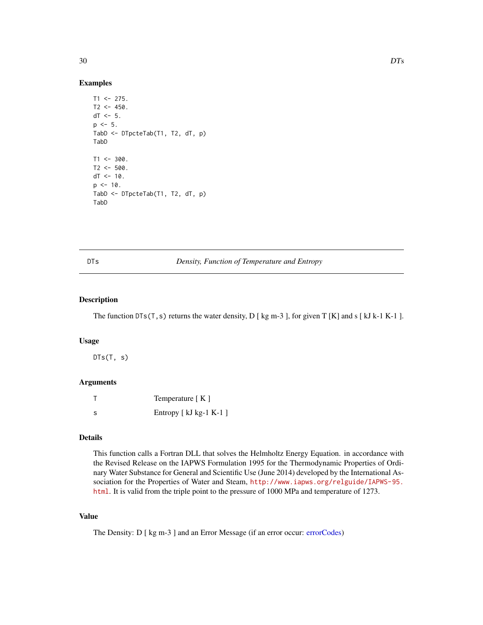#### Examples

```
T1 < -275.
T2 < -450.
dT < -5.
p \le -5.
TabD <- DTpcteTab(T1, T2, dT, p)
TabD
T1 < -300.
T2 < -500.
dT < -10.
p \le -10.
TabD <- DTpcteTab(T1, T2, dT, p)
TabD
```
DTs *Density, Function of Temperature and Entropy*

## Description

The function  $DTS(T, s)$  returns the water density, D [ kg m-3 ], for given T [K] and s [ kJ k-1 K-1 ].

#### Usage

 $DTs(T, s)$ 

## Arguments

|    | Temperature $K \mid K$  |
|----|-------------------------|
| -S | Entropy [ kJ kg-1 K-1 ] |

## Details

This function calls a Fortran DLL that solves the Helmholtz Energy Equation. in accordance with the Revised Release on the IAPWS Formulation 1995 for the Thermodynamic Properties of Ordinary Water Substance for General and Scientific Use (June 2014) developed by the International Association for the Properties of Water and Steam, [http://www.iapws.org/relguide/IAPWS-95.](http://www.iapws.org/relguide/IAPWS-95.html) [html](http://www.iapws.org/relguide/IAPWS-95.html). It is valid from the triple point to the pressure of 1000 MPa and temperature of 1273.

## Value

The Density: D [ kg m-3 ] and an Error Message (if an error occur: [errorCodes\)](#page-30-1)

<span id="page-29-0"></span>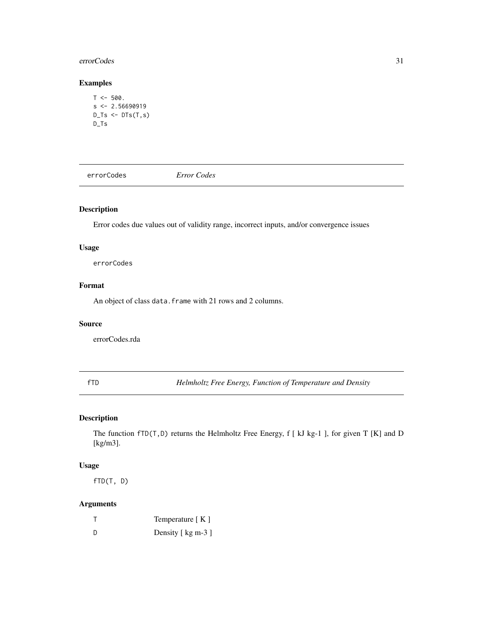#### <span id="page-30-0"></span>errorCodes 31

## Examples

```
T < -500.
s \leftarrow 2.56690919D_Ts \leftarrow DTs(T,s)D_Ts
```
<span id="page-30-1"></span>errorCodes *Error Codes*

## Description

Error codes due values out of validity range, incorrect inputs, and/or convergence issues

#### Usage

errorCodes

## Format

An object of class data. frame with 21 rows and 2 columns.

## Source

errorCodes.rda

fTD *Helmholtz Free Energy, Function of Temperature and Density*

## Description

The function fTD(T,D) returns the Helmholtz Free Energy, f [ kJ kg-1 ], for given T [K] and D [kg/m3].

## Usage

fTD(T, D)

## Arguments

|     | Temperature $[K]$  |
|-----|--------------------|
| - D | Density [ kg m-3 ] |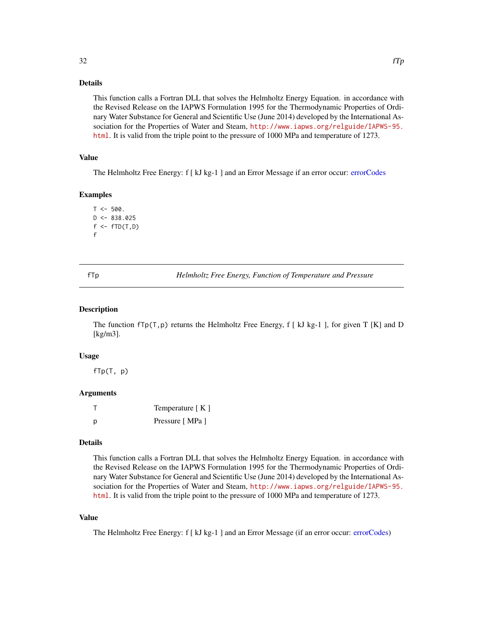## <span id="page-31-0"></span>Details

This function calls a Fortran DLL that solves the Helmholtz Energy Equation. in accordance with the Revised Release on the IAPWS Formulation 1995 for the Thermodynamic Properties of Ordinary Water Substance for General and Scientific Use (June 2014) developed by the International Association for the Properties of Water and Steam, [http://www.iapws.org/relguide/IAPWS-95.](http://www.iapws.org/relguide/IAPWS-95.html) [html](http://www.iapws.org/relguide/IAPWS-95.html). It is valid from the triple point to the pressure of 1000 MPa and temperature of 1273.

## Value

The Helmholtz Free Energy: f [ kJ kg-1 ] and an Error Message if an error occur: [errorCodes](#page-30-1)

#### Examples

```
T < -500.
D \le -838.025f \leftarrow fTD(T,D)f
```
fTp *Helmholtz Free Energy, Function of Temperature and Pressure*

#### Description

The function  $fTp(T,p)$  returns the Helmholtz Free Energy, f [ kJ kg-1 ], for given T [K] and D [kg/m3].

#### Usage

 $fTp(T, p)$ 

#### Arguments

|   | Temperature $K \mid K$ |
|---|------------------------|
| D | Pressure [MPa]         |

### Details

This function calls a Fortran DLL that solves the Helmholtz Energy Equation. in accordance with the Revised Release on the IAPWS Formulation 1995 for the Thermodynamic Properties of Ordinary Water Substance for General and Scientific Use (June 2014) developed by the International Association for the Properties of Water and Steam, [http://www.iapws.org/relguide/IAPWS-95.](http://www.iapws.org/relguide/IAPWS-95.html) [html](http://www.iapws.org/relguide/IAPWS-95.html). It is valid from the triple point to the pressure of 1000 MPa and temperature of 1273.

## Value

The Helmholtz Free Energy: f [ kJ kg-1 ] and an Error Message (if an error occur: [errorCodes\)](#page-30-1)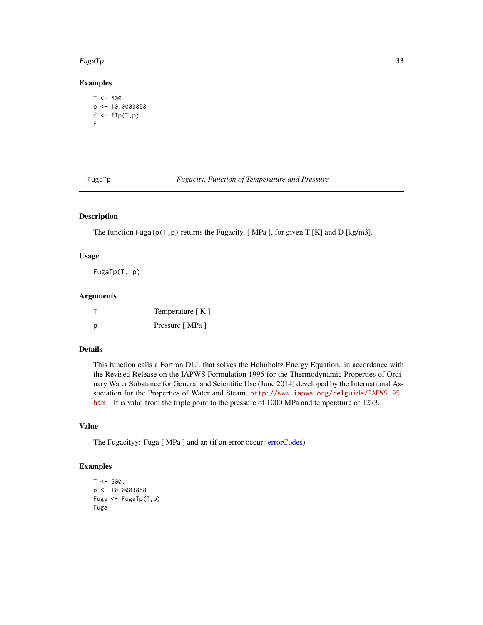#### <span id="page-32-0"></span>FugaTp  $33$

## Examples

```
T < -500.
p \leq -10.0003858f \leftarrow fTp(T, p)f
```
FugaTp *Fugacity, Function of Temperature and Pressure*

## Description

The function FugaTp(T, p) returns the Fugacity, [MPa ], for given T [K] and D [kg/m3].

## Usage

FugaTp(T, p)

## Arguments

|   | Temperature [K] |
|---|-----------------|
| D | Pressure [MPa ] |

## Details

This function calls a Fortran DLL that solves the Helmholtz Energy Equation. in accordance with the Revised Release on the IAPWS Formulation 1995 for the Thermodynamic Properties of Ordinary Water Substance for General and Scientific Use (June 2014) developed by the International Association for the Properties of Water and Steam, [http://www.iapws.org/relguide/IAPWS-95.](http://www.iapws.org/relguide/IAPWS-95.html) [html](http://www.iapws.org/relguide/IAPWS-95.html). It is valid from the triple point to the pressure of 1000 MPa and temperature of 1273.

## Value

The Fugacityy: Fuga [ MPa ] and an (if an error occur: [errorCodes\)](#page-30-1)

```
T < -500.
p <- 10.0003858
Fuga <- FugaTp(T,p)
Fuga
```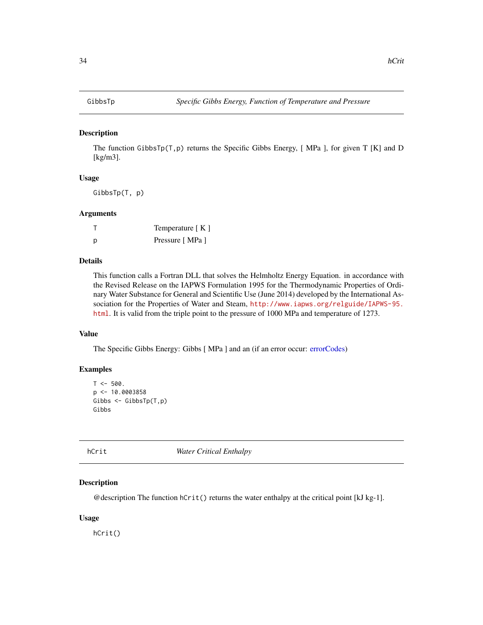<span id="page-33-0"></span>The function GibbsTp(T, p) returns the Specific Gibbs Energy, [MPa ], for given T [K] and D [kg/m3].

## Usage

GibbsTp(T, p)

#### Arguments

|   | Temperature [K] |
|---|-----------------|
| D | Pressure [MPa ] |

## Details

This function calls a Fortran DLL that solves the Helmholtz Energy Equation. in accordance with the Revised Release on the IAPWS Formulation 1995 for the Thermodynamic Properties of Ordinary Water Substance for General and Scientific Use (June 2014) developed by the International Association for the Properties of Water and Steam, [http://www.iapws.org/relguide/IAPWS-95.](http://www.iapws.org/relguide/IAPWS-95.html) [html](http://www.iapws.org/relguide/IAPWS-95.html). It is valid from the triple point to the pressure of 1000 MPa and temperature of 1273.

## Value

The Specific Gibbs Energy: Gibbs [ MPa ] and an (if an error occur: [errorCodes\)](#page-30-1)

## Examples

```
T < -500.
p <- 10.0003858
Gibbs <- GibbsTp(T,p)
Gibbs
```
hCrit *Water Critical Enthalpy*

## Description

@description The function  $hCrit()$  returns the water enthalpy at the critical point [kJ kg-1].

#### Usage

hCrit()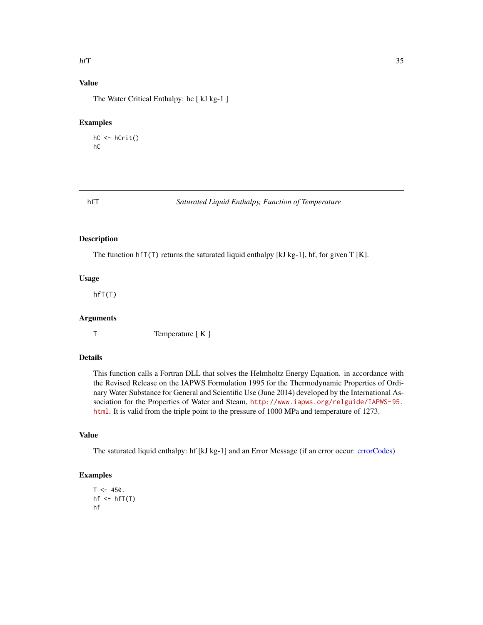#### <span id="page-34-0"></span> $\hbox{hfT}$  35

## Value

The Water Critical Enthalpy: hc [ kJ kg-1 ]

#### Examples

```
hC <- hCrit()
hC
```
#### hfT *Saturated Liquid Enthalpy, Function of Temperature*

## Description

The function hfT(T) returns the saturated liquid enthalpy [kJ kg-1], hf, for given T [K].

#### Usage

hfT(T)

#### Arguments

T Temperature [ K ]

## Details

This function calls a Fortran DLL that solves the Helmholtz Energy Equation. in accordance with the Revised Release on the IAPWS Formulation 1995 for the Thermodynamic Properties of Ordinary Water Substance for General and Scientific Use (June 2014) developed by the International Association for the Properties of Water and Steam, [http://www.iapws.org/relguide/IAPWS-95.](http://www.iapws.org/relguide/IAPWS-95.html) [html](http://www.iapws.org/relguide/IAPWS-95.html). It is valid from the triple point to the pressure of 1000 MPa and temperature of 1273.

## Value

The saturated liquid enthalpy: hf [kJ kg-1] and an Error Message (if an error occur: [errorCodes\)](#page-30-1)

```
T < -450.
hf \leftarrow hfT(T)hf
```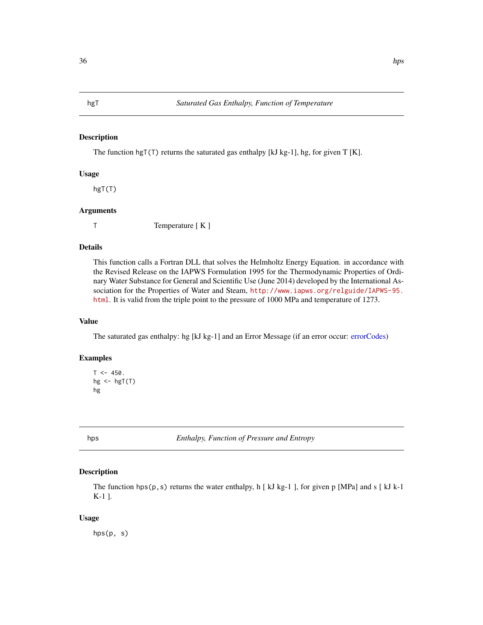<span id="page-35-0"></span>The function hgT(T) returns the saturated gas enthalpy [kJ kg-1], hg, for given T [K].

## Usage

hgT(T)

#### Arguments

T Temperature [ K ]

## Details

This function calls a Fortran DLL that solves the Helmholtz Energy Equation. in accordance with the Revised Release on the IAPWS Formulation 1995 for the Thermodynamic Properties of Ordinary Water Substance for General and Scientific Use (June 2014) developed by the International Association for the Properties of Water and Steam, [http://www.iapws.org/relguide/IAPWS-95.](http://www.iapws.org/relguide/IAPWS-95.html) [html](http://www.iapws.org/relguide/IAPWS-95.html). It is valid from the triple point to the pressure of 1000 MPa and temperature of 1273.

## Value

The saturated gas enthalpy: hg [kJ kg-1] and an Error Message (if an error occur: [errorCodes\)](#page-30-1)

#### Examples

```
T < -450.
hg \leftarrow hgT(T)
hg
```
hps *Enthalpy, Function of Pressure and Entropy*

#### Description

The function hps( $p, s$ ) returns the water enthalpy, h [kJ kg-1], for given p [MPa] and s [kJ k-1] K-1 ].

#### Usage

hps(p, s)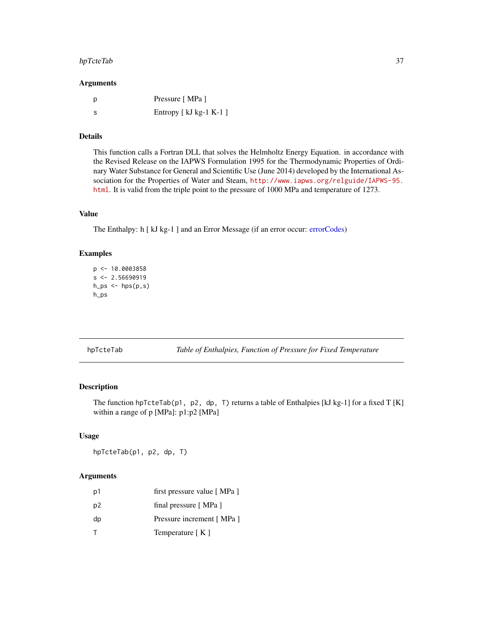# hpTcteTab 37

#### Arguments

| <sub>D</sub> | Pressure [MPa ]         |
|--------------|-------------------------|
| - S          | Entropy $[kJ kg-1 K-1]$ |

# Details

This function calls a Fortran DLL that solves the Helmholtz Energy Equation. in accordance with the Revised Release on the IAPWS Formulation 1995 for the Thermodynamic Properties of Ordinary Water Substance for General and Scientific Use (June 2014) developed by the International Association for the Properties of Water and Steam, [http://www.iapws.org/relguide/IAPWS-95.](http://www.iapws.org/relguide/IAPWS-95.html) [html](http://www.iapws.org/relguide/IAPWS-95.html). It is valid from the triple point to the pressure of 1000 MPa and temperature of 1273.

# Value

The Enthalpy: h [ kJ kg-1 ] and an Error Message (if an error occur: [errorCodes\)](#page-30-0)

## Examples

```
p <- 10.0003858
s < -2.56690919h_ps < - hps(p,s)h_ps
```
hpTcteTab *Table of Enthalpies, Function of Pressure for Fixed Temperature*

# Description

The function hpTcteTab(p1, p2, dp, T) returns a table of Enthalpies [kJ kg-1] for a fixed T [K] within a range of p [MPa]: p1:p2 [MPa]

#### Usage

hpTcteTab(p1, p2, dp, T)

## Arguments

| p1             | first pressure value [MPa ] |
|----------------|-----------------------------|
| p <sub>2</sub> | final pressure [MPa]        |
| dp             | Pressure increment [MPa]    |
| т              | Temperature [K]             |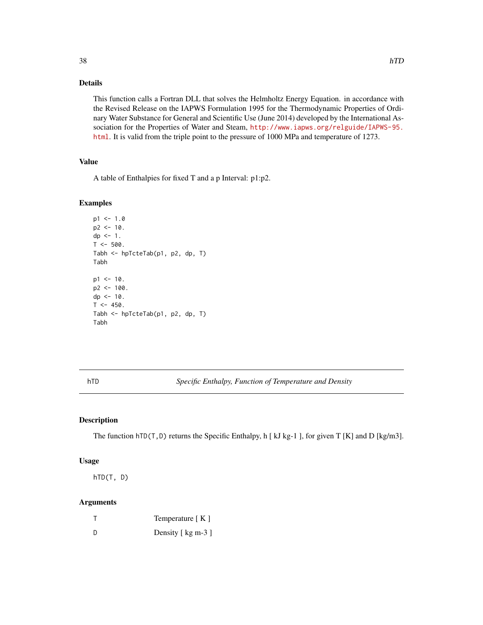# Details

This function calls a Fortran DLL that solves the Helmholtz Energy Equation. in accordance with the Revised Release on the IAPWS Formulation 1995 for the Thermodynamic Properties of Ordinary Water Substance for General and Scientific Use (June 2014) developed by the International Association for the Properties of Water and Steam, [http://www.iapws.org/relguide/IAPWS-95.](http://www.iapws.org/relguide/IAPWS-95.html) [html](http://www.iapws.org/relguide/IAPWS-95.html). It is valid from the triple point to the pressure of 1000 MPa and temperature of 1273.

# Value

A table of Enthalpies for fixed T and a p Interval: p1:p2.

## Examples

```
p1 < -1.0p2 < -10.
dp \leq -1.
T < -500.
Tabh <- hpTcteTab(p1, p2, dp, T)
Tabh
p1 < -10.
p2 < -100.
dp \le -10.
T < -450.
Tabh <- hpTcteTab(p1, p2, dp, T)
Tabh
```
hTD *Specific Enthalpy, Function of Temperature and Density*

## Description

The function  $hTD(T, D)$  returns the Specific Enthalpy, h [kJ kg-1], for given T [K] and D [kg/m3].

#### Usage

hTD(T, D)

## Arguments

|     | Temperature $[K]$  |
|-----|--------------------|
| ת - | Density [ kg m-3 ] |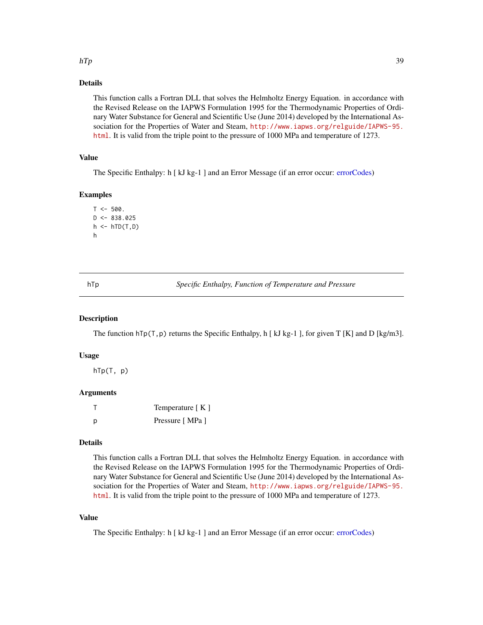### $hTp$  39

# Details

This function calls a Fortran DLL that solves the Helmholtz Energy Equation. in accordance with the Revised Release on the IAPWS Formulation 1995 for the Thermodynamic Properties of Ordinary Water Substance for General and Scientific Use (June 2014) developed by the International Association for the Properties of Water and Steam, [http://www.iapws.org/relguide/IAPWS-95.](http://www.iapws.org/relguide/IAPWS-95.html) [html](http://www.iapws.org/relguide/IAPWS-95.html). It is valid from the triple point to the pressure of 1000 MPa and temperature of 1273.

## Value

The Specific Enthalpy: h [ kJ kg-1 ] and an Error Message (if an error occur: [errorCodes\)](#page-30-0)

# Examples

```
T < -500.
D \le -838.025h \leftarrow hTD(T,D)h
```
hTp *Specific Enthalpy, Function of Temperature and Pressure*

## Description

The function  $hTp(T,p)$  returns the Specific Enthalpy, h [kJ kg-1], for given T [K] and D [kg/m3].

## Usage

hTp(T, p)

## Arguments

|   | Temperature $[K]$ |
|---|-------------------|
| D | Pressure [MPa ]   |

# Details

This function calls a Fortran DLL that solves the Helmholtz Energy Equation. in accordance with the Revised Release on the IAPWS Formulation 1995 for the Thermodynamic Properties of Ordinary Water Substance for General and Scientific Use (June 2014) developed by the International Association for the Properties of Water and Steam, [http://www.iapws.org/relguide/IAPWS-95.](http://www.iapws.org/relguide/IAPWS-95.html) [html](http://www.iapws.org/relguide/IAPWS-95.html). It is valid from the triple point to the pressure of 1000 MPa and temperature of 1273.

# Value

The Specific Enthalpy: h [ kJ kg-1 ] and an Error Message (if an error occur: [errorCodes\)](#page-30-0)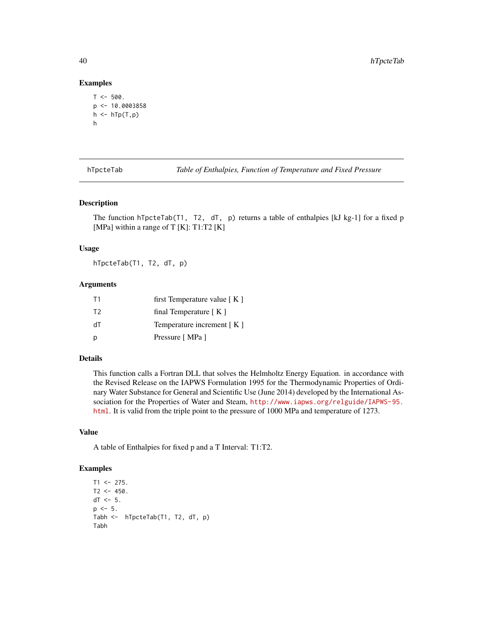## Examples

```
T < -500.
p \leftarrow 10.0003858h \leftarrow hTp(T, p)h
```
hTpcteTab *Table of Enthalpies, Function of Temperature and Fixed Pressure*

## Description

The function hTpcteTab(T1, T2,  $dT$ , p) returns a table of enthalpies [kJ kg-1] for a fixed p [MPa] within a range of T  $[K]$ : T1:T2  $[K]$ 

## Usage

hTpcteTab(T1, T2, dT, p)

## Arguments

| T1             | first Temperature value $K \mid K$ |
|----------------|------------------------------------|
| T <sub>2</sub> | final Temperature $K$ ]            |
| ЧT             | Temperature increment $K \mid K$   |
| p              | Pressure [MPa ]                    |

#### Details

This function calls a Fortran DLL that solves the Helmholtz Energy Equation. in accordance with the Revised Release on the IAPWS Formulation 1995 for the Thermodynamic Properties of Ordinary Water Substance for General and Scientific Use (June 2014) developed by the International Association for the Properties of Water and Steam, [http://www.iapws.org/relguide/IAPWS-95.](http://www.iapws.org/relguide/IAPWS-95.html) [html](http://www.iapws.org/relguide/IAPWS-95.html). It is valid from the triple point to the pressure of 1000 MPa and temperature of 1273.

## Value

A table of Enthalpies for fixed p and a T Interval: T1:T2.

```
T1 < -275.
T2 < -450.
dT < -5.
p \le -5.
Tabh <- hTpcteTab(T1, T2, dT, p)
Tabh
```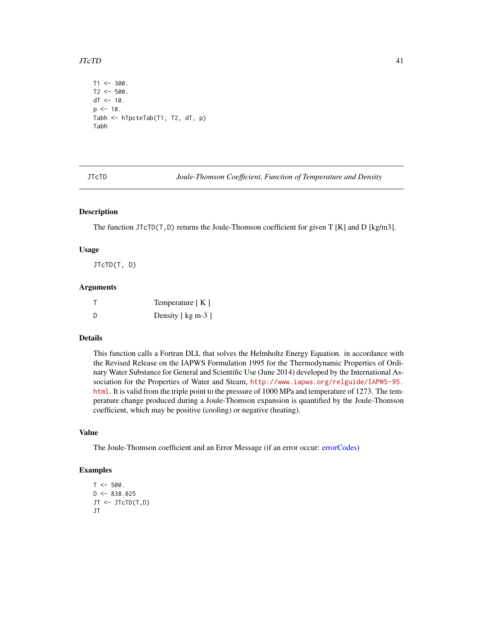## $JTcTD$  41

```
T1 < -300.
T2 < -500.
dT < -10.
p \le -10.
Tabh <- hTpcteTab(T1, T2, dT, p)
Tabh
```
JTcTD *Joule-Thomson Coefficient, Function of Temperature and Density*

## Description

The function JTcTD(T, D) returns the Joule-Thomson coefficient for given T [K] and D [kg/m3].

### Usage

JTcTD(T, D)

### Arguments

|     | Temperature $K \mid K$ |
|-----|------------------------|
| - D | Density [ kg m-3 ]     |

# Details

This function calls a Fortran DLL that solves the Helmholtz Energy Equation. in accordance with the Revised Release on the IAPWS Formulation 1995 for the Thermodynamic Properties of Ordinary Water Substance for General and Scientific Use (June 2014) developed by the International Association for the Properties of Water and Steam, [http://www.iapws.org/relguide/IAPWS-95.](http://www.iapws.org/relguide/IAPWS-95.html) [html](http://www.iapws.org/relguide/IAPWS-95.html). It is valid from the triple point to the pressure of 1000 MPa and temperature of 1273. The temperature change produced during a Joule-Thomson expansion is quantified by the Joule-Thomson coefficient, which may be positive (cooling) or negative (heating).

## Value

The Joule-Thomson coefficient and an Error Message (if an error occur: [errorCodes\)](#page-30-0)

```
T < -500.
D \le -838.025JT <- JTcTD(T,D)
JT
```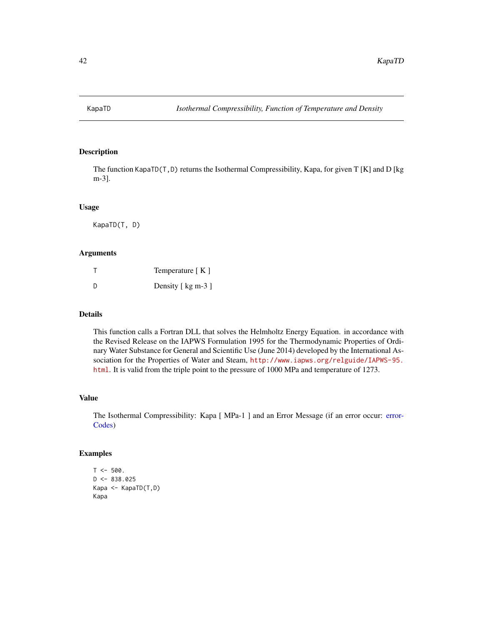The function KapaTD(T,D) returns the Isothermal Compressibility, Kapa, for given T [K] and D [kg m-3].

### Usage

KapaTD(T, D)

# Arguments

|   | Temperature $K \,$ ] |
|---|----------------------|
| D | Density [ kg m-3 ]   |

# Details

This function calls a Fortran DLL that solves the Helmholtz Energy Equation. in accordance with the Revised Release on the IAPWS Formulation 1995 for the Thermodynamic Properties of Ordinary Water Substance for General and Scientific Use (June 2014) developed by the International Association for the Properties of Water and Steam, [http://www.iapws.org/relguide/IAPWS-95.](http://www.iapws.org/relguide/IAPWS-95.html) [html](http://www.iapws.org/relguide/IAPWS-95.html). It is valid from the triple point to the pressure of 1000 MPa and temperature of 1273.

#### Value

The Isothermal Compressibility: Kapa [ MPa-1 ] and an Error Message (if an error occur: [error-](#page-30-0)[Codes\)](#page-30-0)

```
T < -500.
D < -838.025Kapa <- KapaTD(T,D)
Kapa
```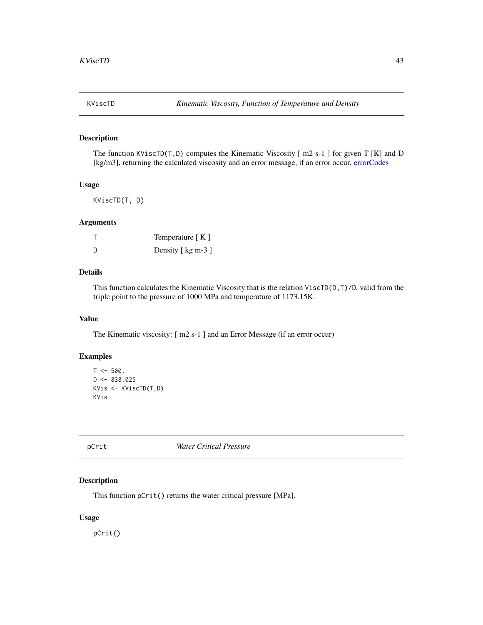The function KViscTD(T,D) computes the Kinematic Viscosity  $\lceil m2 \rceil$  s-1  $\lceil \ln m2 \rceil$  for given T  $\lceil K \rceil$  and D [kg/m3], returning the calculated viscosity and an error message, if an error occur. [errorCodes](#page-30-0)

## Usage

KViscTD(T, D)

## Arguments

|     | Temperature $[K]$  |
|-----|--------------------|
| - D | Density [ kg m-3 ] |

# Details

This function calculates the Kinematic Viscosity that is the relation  $\text{ViscTD}(D,T)/D$ , valid from the triple point to the pressure of 1000 MPa and temperature of 1173.15K.

#### Value

The Kinematic viscosity: [ m2 s-1 ] and an Error Message (if an error occur)

# Examples

```
T < -500.
D \le -838.025KVis <- KViscTD(T,D)
KVis
```
pCrit *Water Critical Pressure*

# Description

This function pCrit() returns the water critical pressure [MPa].

# Usage

pCrit()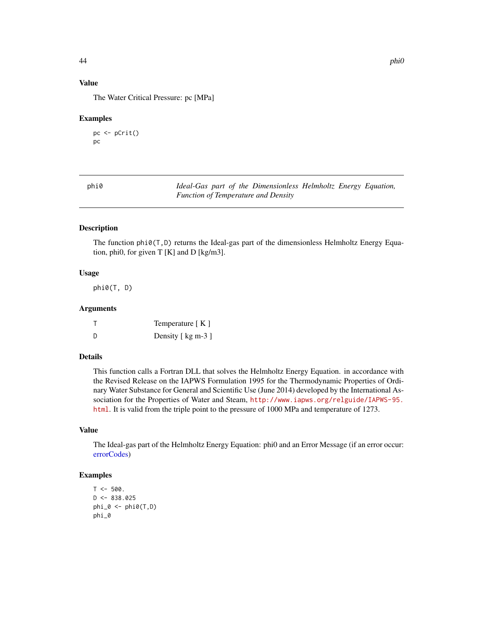# Value

The Water Critical Pressure: pc [MPa]

#### Examples

```
pc <- pCrit()
pc
```

| phi0 |  | Ideal-Gas part of the Dimensionless Helmholtz Energy Equation, |  |  |
|------|--|----------------------------------------------------------------|--|--|
|      |  | <b>Function of Temperature and Density</b>                     |  |  |

## Description

The function phi0(T,D) returns the Ideal-gas part of the dimensionless Helmholtz Energy Equation, phi0, for given  $T[K]$  and  $D[kg/m3]$ .

# Usage

phi0(T, D)

## Arguments

|   | Temperature $[K]$  |
|---|--------------------|
| D | Density [ kg m-3 ] |

# Details

This function calls a Fortran DLL that solves the Helmholtz Energy Equation. in accordance with the Revised Release on the IAPWS Formulation 1995 for the Thermodynamic Properties of Ordinary Water Substance for General and Scientific Use (June 2014) developed by the International Association for the Properties of Water and Steam, [http://www.iapws.org/relguide/IAPWS-95.](http://www.iapws.org/relguide/IAPWS-95.html) [html](http://www.iapws.org/relguide/IAPWS-95.html). It is valid from the triple point to the pressure of 1000 MPa and temperature of 1273.

# Value

The Ideal-gas part of the Helmholtz Energy Equation: phi0 and an Error Message (if an error occur: [errorCodes\)](#page-30-0)

```
T < -500.
D \le -838.025phi_0 <- phi0(T,D)
phi_0
```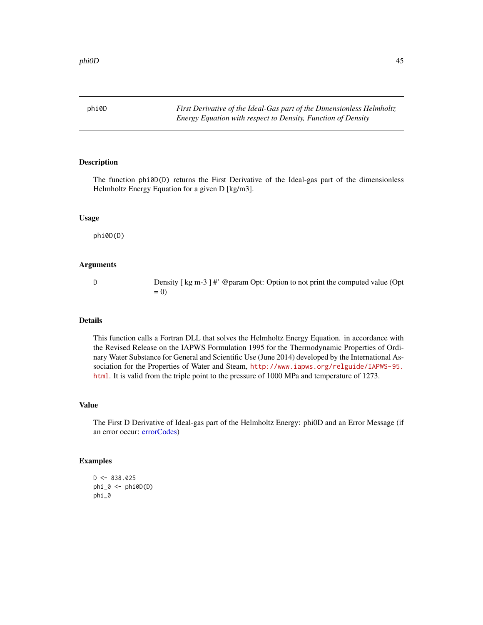phi0D *First Derivative of the Ideal-Gas part of the Dimensionless Helmholtz Energy Equation with respect to Density, Function of Density*

#### Description

The function phi0D(D) returns the First Derivative of the Ideal-gas part of the dimensionless Helmholtz Energy Equation for a given D [kg/m3].

## Usage

phi0D(D)

# Arguments

D Density [ kg m-3 ] #' @param Opt: Option to not print the computed value (Opt  $= 0$ 

# Details

This function calls a Fortran DLL that solves the Helmholtz Energy Equation. in accordance with the Revised Release on the IAPWS Formulation 1995 for the Thermodynamic Properties of Ordinary Water Substance for General and Scientific Use (June 2014) developed by the International Association for the Properties of Water and Steam, [http://www.iapws.org/relguide/IAPWS-95.](http://www.iapws.org/relguide/IAPWS-95.html) [html](http://www.iapws.org/relguide/IAPWS-95.html). It is valid from the triple point to the pressure of 1000 MPa and temperature of 1273.

## Value

The First D Derivative of Ideal-gas part of the Helmholtz Energy: phi0D and an Error Message (if an error occur: [errorCodes\)](#page-30-0)

```
D \le -838.025phi_0 \leftarrow phi_0(D)phi_0
```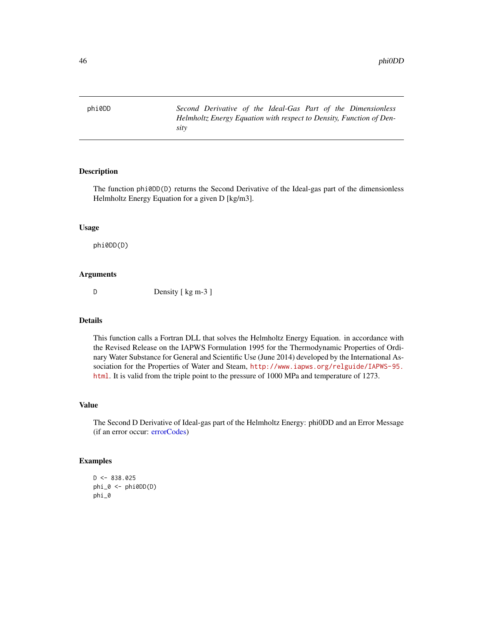phi0DD *Second Derivative of the Ideal-Gas Part of the Dimensionless Helmholtz Energy Equation with respect to Density, Function of Density*

# Description

The function phi0DD(D) returns the Second Derivative of the Ideal-gas part of the dimensionless Helmholtz Energy Equation for a given D [kg/m3].

## Usage

phi0DD(D)

# Arguments

D Density [ kg m-3 ]

# Details

This function calls a Fortran DLL that solves the Helmholtz Energy Equation. in accordance with the Revised Release on the IAPWS Formulation 1995 for the Thermodynamic Properties of Ordinary Water Substance for General and Scientific Use (June 2014) developed by the International Association for the Properties of Water and Steam, [http://www.iapws.org/relguide/IAPWS-95.](http://www.iapws.org/relguide/IAPWS-95.html) [html](http://www.iapws.org/relguide/IAPWS-95.html). It is valid from the triple point to the pressure of 1000 MPa and temperature of 1273.

# Value

The Second D Derivative of Ideal-gas part of the Helmholtz Energy: phi0DD and an Error Message (if an error occur: [errorCodes\)](#page-30-0)

```
D \le -838.025phi_0 <- phi0DD(D)
phi_0
```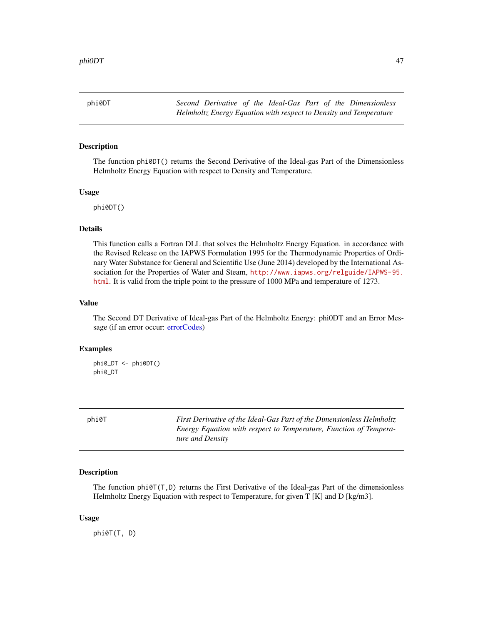phi0DT *Second Derivative of the Ideal-Gas Part of the Dimensionless Helmholtz Energy Equation with respect to Density and Temperature*

## Description

The function phi0DT() returns the Second Derivative of the Ideal-gas Part of the Dimensionless Helmholtz Energy Equation with respect to Density and Temperature.

### Usage

phi0DT()

## Details

This function calls a Fortran DLL that solves the Helmholtz Energy Equation. in accordance with the Revised Release on the IAPWS Formulation 1995 for the Thermodynamic Properties of Ordinary Water Substance for General and Scientific Use (June 2014) developed by the International Association for the Properties of Water and Steam, [http://www.iapws.org/relguide/IAPWS-95.](http://www.iapws.org/relguide/IAPWS-95.html) [html](http://www.iapws.org/relguide/IAPWS-95.html). It is valid from the triple point to the pressure of 1000 MPa and temperature of 1273.

## Value

The Second DT Derivative of Ideal-gas Part of the Helmholtz Energy: phi0DT and an Error Message (if an error occur: [errorCodes\)](#page-30-0)

#### Examples

```
phi0_DT <- phi0DT()
phi0_DT
```
phi0T *First Derivative of the Ideal-Gas Part of the Dimensionless Helmholtz Energy Equation with respect to Temperature, Function of Temperature and Density*

## Description

The function  $\text{phi}(T,D)$  returns the First Derivative of the Ideal-gas Part of the dimensionless Helmholtz Energy Equation with respect to Temperature, for given T [K] and D [kg/m3].

#### Usage

phi0T(T, D)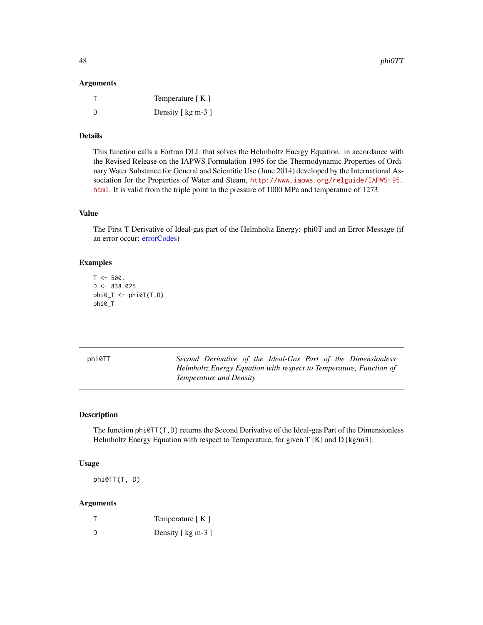## Arguments

|     | Temperature $K \mid K$ |
|-----|------------------------|
| - D | Density [ kg m-3 ]     |

# Details

This function calls a Fortran DLL that solves the Helmholtz Energy Equation. in accordance with the Revised Release on the IAPWS Formulation 1995 for the Thermodynamic Properties of Ordinary Water Substance for General and Scientific Use (June 2014) developed by the International Association for the Properties of Water and Steam, [http://www.iapws.org/relguide/IAPWS-95.](http://www.iapws.org/relguide/IAPWS-95.html) [html](http://www.iapws.org/relguide/IAPWS-95.html). It is valid from the triple point to the pressure of 1000 MPa and temperature of 1273.

# Value

The First T Derivative of Ideal-gas part of the Helmholtz Energy: phi0T and an Error Message (if an error occur: [errorCodes\)](#page-30-0)

### Examples

```
T < -500.
D < -838.025phi_T < -phiphi0T(T,D)phi0_T
```

| phi0TT | Second Derivative of the Ideal-Gas Part of the Dimensionless       |
|--------|--------------------------------------------------------------------|
|        | Helmholtz Energy Equation with respect to Temperature, Function of |
|        | Temperature and Density                                            |

## Description

The function  $phi(T(T,D))$  returns the Second Derivative of the Ideal-gas Part of the Dimensionless Helmholtz Energy Equation with respect to Temperature, for given  $T[K]$  and  $D[Kg/m3]$ .

#### Usage

phi0TT(T, D)

#### Arguments

|     | Temperature $[K]$  |
|-----|--------------------|
| - D | Density [ kg m-3 ] |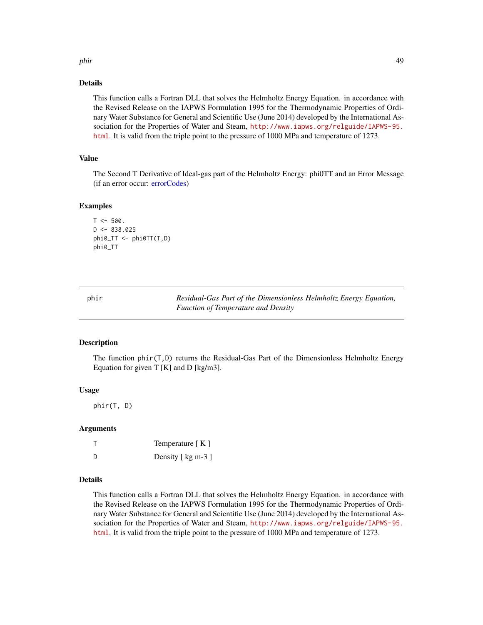#### phir 49

## Details

This function calls a Fortran DLL that solves the Helmholtz Energy Equation. in accordance with the Revised Release on the IAPWS Formulation 1995 for the Thermodynamic Properties of Ordinary Water Substance for General and Scientific Use (June 2014) developed by the International Association for the Properties of Water and Steam, [http://www.iapws.org/relguide/IAPWS-95.](http://www.iapws.org/relguide/IAPWS-95.html) [html](http://www.iapws.org/relguide/IAPWS-95.html). It is valid from the triple point to the pressure of 1000 MPa and temperature of 1273.

# Value

The Second T Derivative of Ideal-gas part of the Helmholtz Energy: phi0TT and an Error Message (if an error occur: [errorCodes\)](#page-30-0)

#### Examples

```
T < -500.
D < -838.025phi0_TT <- phi0TT(T,D)
phi0_TT
```
phir *Residual-Gas Part of the Dimensionless Helmholtz Energy Equation, Function of Temperature and Density*

#### Description

The function phir(T,D) returns the Residual-Gas Part of the Dimensionless Helmholtz Energy Equation for given  $T$  [K] and D [kg/m3].

### Usage

phir(T, D)

## Arguments

|   | Temperature $K \,$ ] |
|---|----------------------|
| D | Density [ kg m-3 ]   |

## Details

This function calls a Fortran DLL that solves the Helmholtz Energy Equation. in accordance with the Revised Release on the IAPWS Formulation 1995 for the Thermodynamic Properties of Ordinary Water Substance for General and Scientific Use (June 2014) developed by the International Association for the Properties of Water and Steam, [http://www.iapws.org/relguide/IAPWS-95.](http://www.iapws.org/relguide/IAPWS-95.html) [html](http://www.iapws.org/relguide/IAPWS-95.html). It is valid from the triple point to the pressure of 1000 MPa and temperature of 1273.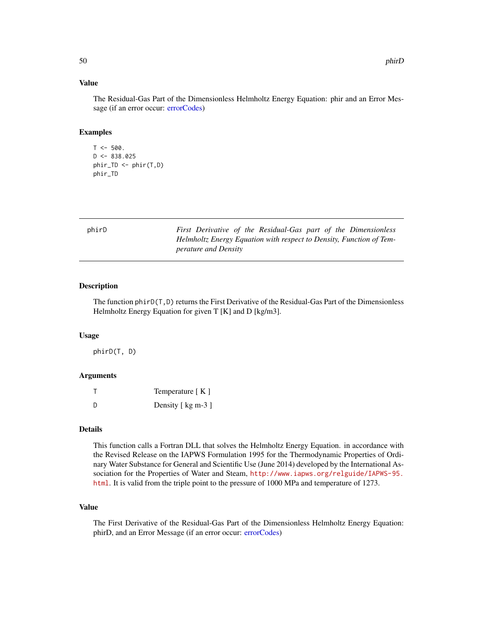## Value

The Residual-Gas Part of the Dimensionless Helmholtz Energy Equation: phir and an Error Message (if an error occur: [errorCodes\)](#page-30-0)

#### Examples

```
T < -500.
D < -838.025phir_TD <- phir(T,D)
phir_TD
```

| phirD | First Derivative of the Residual-Gas part of the Dimensionless      |
|-------|---------------------------------------------------------------------|
|       | Helmholtz Energy Equation with respect to Density, Function of Tem- |
|       | <i>perature and Density</i>                                         |

# Description

The function  $\text{phi}(\mathsf{T},\mathsf{D})$  returns the First Derivative of the Residual-Gas Part of the Dimensionless Helmholtz Energy Equation for given T [K] and D [kg/m3].

#### Usage

phirD(T, D)

## Arguments

|   | Temperature $K \in \mathbb{R}$ |
|---|--------------------------------|
| D | Density [ kg m-3 ]             |

# Details

This function calls a Fortran DLL that solves the Helmholtz Energy Equation. in accordance with the Revised Release on the IAPWS Formulation 1995 for the Thermodynamic Properties of Ordinary Water Substance for General and Scientific Use (June 2014) developed by the International Association for the Properties of Water and Steam, [http://www.iapws.org/relguide/IAPWS-95.](http://www.iapws.org/relguide/IAPWS-95.html) [html](http://www.iapws.org/relguide/IAPWS-95.html). It is valid from the triple point to the pressure of 1000 MPa and temperature of 1273.

# Value

The First Derivative of the Residual-Gas Part of the Dimensionless Helmholtz Energy Equation: phirD, and an Error Message (if an error occur: [errorCodes\)](#page-30-0)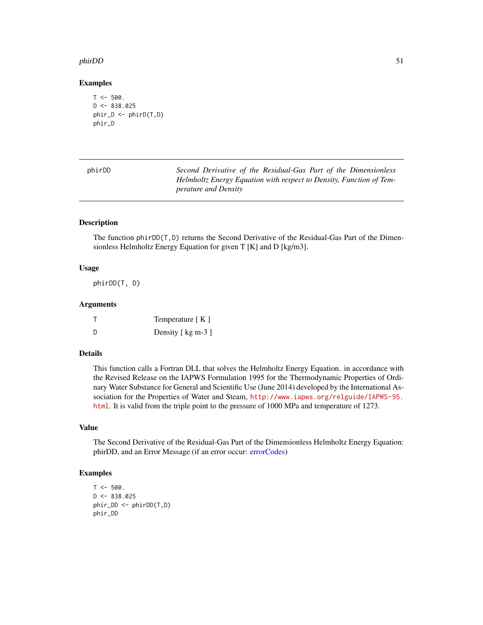#### phirDD 51

### Examples

```
T < -500.
D \le -838.025phir_D <- phirD(T,D)
phir_D
```

| phirDD | Second Derivative of the Residual-Gas Part of the Dimensionless     |
|--------|---------------------------------------------------------------------|
|        | Helmholtz Energy Equation with respect to Density, Function of Tem- |
|        | <i>perature and Density</i>                                         |

# Description

The function phirDD(T,D) returns the Second Derivative of the Residual-Gas Part of the Dimensionless Helmholtz Energy Equation for given T [K] and D [kg/m3].

### Usage

phirDD(T, D)

## Arguments

|    | Temperature $[K]$  |
|----|--------------------|
| -D | Density [ kg m-3 ] |

#### Details

This function calls a Fortran DLL that solves the Helmholtz Energy Equation. in accordance with the Revised Release on the IAPWS Formulation 1995 for the Thermodynamic Properties of Ordinary Water Substance for General and Scientific Use (June 2014) developed by the International Association for the Properties of Water and Steam, [http://www.iapws.org/relguide/IAPWS-95.](http://www.iapws.org/relguide/IAPWS-95.html) [html](http://www.iapws.org/relguide/IAPWS-95.html). It is valid from the triple point to the pressure of 1000 MPa and temperature of 1273.

#### Value

The Second Derivative of the Residual-Gas Part of the Dimensionless Helmholtz Energy Equation: phirDD, and an Error Message (if an error occur: [errorCodes\)](#page-30-0)

```
T < -500.
D < -838.025phir_DD <- phirDD(T,D)
phir_DD
```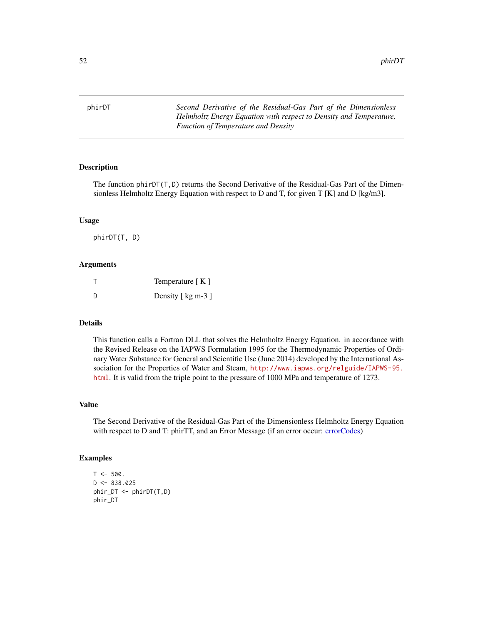phirDT *Second Derivative of the Residual-Gas Part of the Dimensionless Helmholtz Energy Equation with respect to Density and Temperature, Function of Temperature and Density*

#### Description

The function phirDT(T,D) returns the Second Derivative of the Residual-Gas Part of the Dimensionless Helmholtz Energy Equation with respect to D and T, for given  $T[K]$  and D [kg/m3].

#### Usage

phirDT(T, D)

#### Arguments

| т | Temperature $K \in \mathbb{R}$ |
|---|--------------------------------|
| D | Density [ kg m-3 ]             |

## Details

This function calls a Fortran DLL that solves the Helmholtz Energy Equation. in accordance with the Revised Release on the IAPWS Formulation 1995 for the Thermodynamic Properties of Ordinary Water Substance for General and Scientific Use (June 2014) developed by the International Association for the Properties of Water and Steam, [http://www.iapws.org/relguide/IAPWS-95.](http://www.iapws.org/relguide/IAPWS-95.html) [html](http://www.iapws.org/relguide/IAPWS-95.html). It is valid from the triple point to the pressure of 1000 MPa and temperature of 1273.

## Value

The Second Derivative of the Residual-Gas Part of the Dimensionless Helmholtz Energy Equation with respect to D and T: phirTT, and an Error Message (if an error occur: [errorCodes\)](#page-30-0)

```
T < -500.
D \le -838.025phir_DT <- phirDT(T,D)
phir_DT
```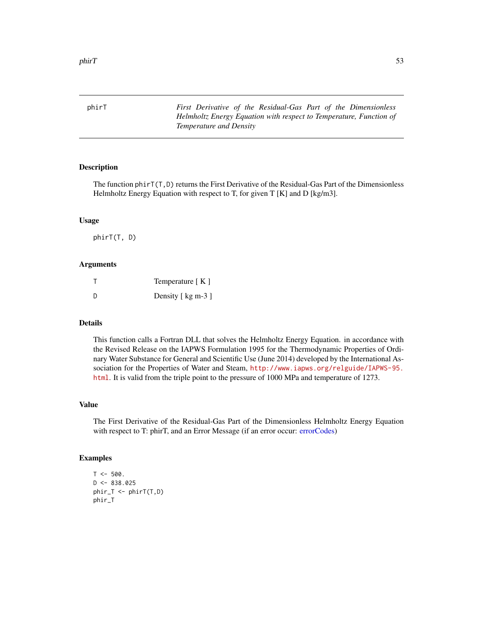phirT *First Derivative of the Residual-Gas Part of the Dimensionless Helmholtz Energy Equation with respect to Temperature, Function of Temperature and Density*

### Description

The function phirT(T,D) returns the First Derivative of the Residual-Gas Part of the Dimensionless Helmholtz Energy Equation with respect to T, for given  $T_K[K]$  and  $D_K[g/m^3]$ .

#### Usage

phirT(T, D)

#### Arguments

| т | Temperature $[K]$  |
|---|--------------------|
| D | Density [ kg m-3 ] |

## Details

This function calls a Fortran DLL that solves the Helmholtz Energy Equation. in accordance with the Revised Release on the IAPWS Formulation 1995 for the Thermodynamic Properties of Ordinary Water Substance for General and Scientific Use (June 2014) developed by the International Association for the Properties of Water and Steam, [http://www.iapws.org/relguide/IAPWS-95.](http://www.iapws.org/relguide/IAPWS-95.html) [html](http://www.iapws.org/relguide/IAPWS-95.html). It is valid from the triple point to the pressure of 1000 MPa and temperature of 1273.

## Value

The First Derivative of the Residual-Gas Part of the Dimensionless Helmholtz Energy Equation with respect to T: phirT, and an Error Message (if an error occur: [errorCodes\)](#page-30-0)

```
T < -500.
D \le -838.025phir_T < -phiphir_T
```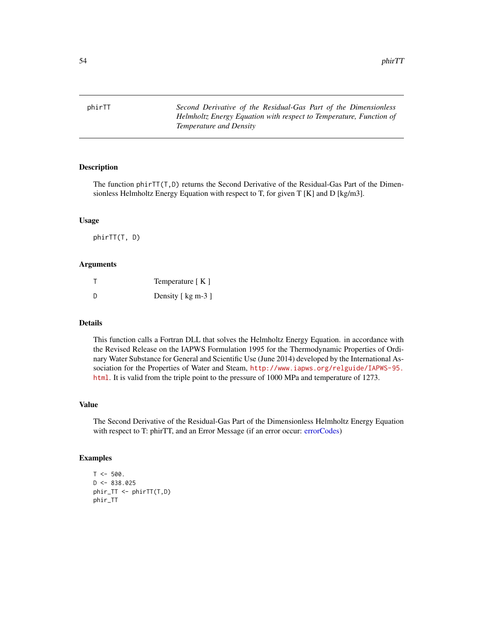phirTT *Second Derivative of the Residual-Gas Part of the Dimensionless Helmholtz Energy Equation with respect to Temperature, Function of Temperature and Density*

#### Description

The function phirTT(T,D) returns the Second Derivative of the Residual-Gas Part of the Dimensionless Helmholtz Energy Equation with respect to T, for given T [K] and D [kg/m3].

#### Usage

phirTT(T, D)

#### Arguments

|   | Temperature $K \in \mathbb{R}$ |
|---|--------------------------------|
| D | Density [ kg m-3 ]             |

## Details

This function calls a Fortran DLL that solves the Helmholtz Energy Equation. in accordance with the Revised Release on the IAPWS Formulation 1995 for the Thermodynamic Properties of Ordinary Water Substance for General and Scientific Use (June 2014) developed by the International Association for the Properties of Water and Steam, [http://www.iapws.org/relguide/IAPWS-95.](http://www.iapws.org/relguide/IAPWS-95.html) [html](http://www.iapws.org/relguide/IAPWS-95.html). It is valid from the triple point to the pressure of 1000 MPa and temperature of 1273.

## Value

The Second Derivative of the Residual-Gas Part of the Dimensionless Helmholtz Energy Equation with respect to T: phirTT, and an Error Message (if an error occur: [errorCodes\)](#page-30-0)

```
T < -500.
D \le -838.025phir_TT < -phirTT(T,D)phir_TT
```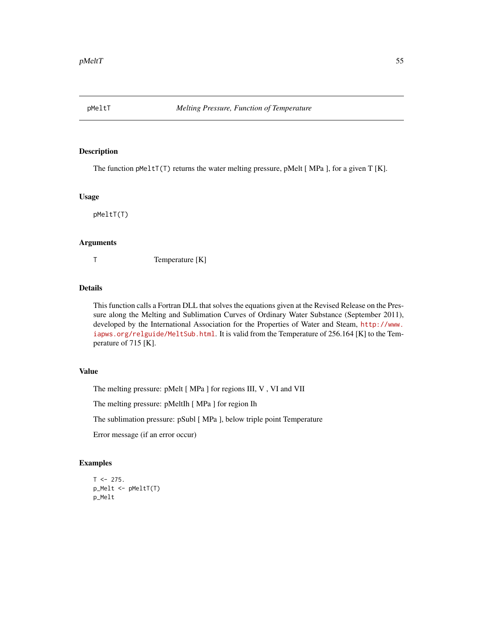The function pMelt $T(T)$  returns the water melting pressure, pMelt [MPa ], for a given T [K].

#### Usage

pMeltT(T)

# Arguments

T Temperature [K]

## Details

This function calls a Fortran DLL that solves the equations given at the Revised Release on the Pressure along the Melting and Sublimation Curves of Ordinary Water Substance (September 2011), developed by the International Association for the Properties of Water and Steam, [http://www.](http://www.iapws.org/relguide/MeltSub.html) [iapws.org/relguide/MeltSub.html](http://www.iapws.org/relguide/MeltSub.html). It is valid from the Temperature of 256.164 [K] to the Temperature of 715 [K].

# Value

The melting pressure: pMelt [ MPa ] for regions III, V , VI and VII

The melting pressure: pMeltIh [ MPa ] for region Ih

The sublimation pressure: pSubl [ MPa ], below triple point Temperature

Error message (if an error occur)

```
T < -275.
p_Melt <- pMeltT(T)
p_Melt
```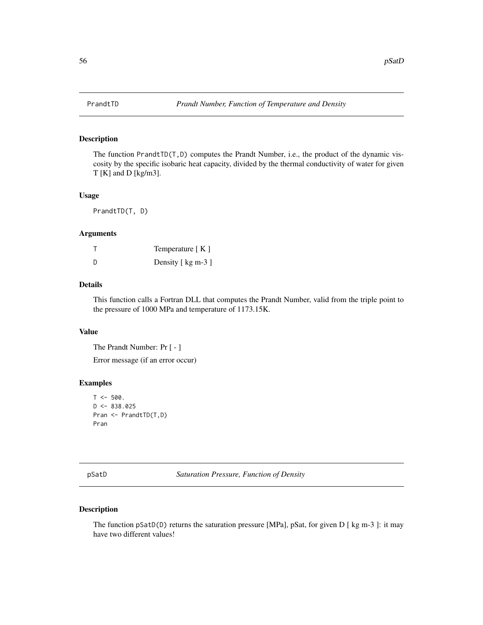The function PrandtTD(T,D) computes the Prandt Number, i.e., the product of the dynamic viscosity by the specific isobaric heat capacity, divided by the thermal conductivity of water for given T [K] and D [kg/m3].

#### Usage

PrandtTD(T, D)

## Arguments

|   | Temperature $K \mid K$ |
|---|------------------------|
| D | Density [ kg m-3 ]     |

# Details

This function calls a Fortran DLL that computes the Prandt Number, valid from the triple point to the pressure of 1000 MPa and temperature of 1173.15K.

# Value

The Prandt Number: Pr [ - ]

Error message (if an error occur)

### Examples

```
T < -500.
D \le -838.025Pran <- PrandtTD(T,D)
Pran
```
pSatD *Saturation Pressure, Function of Density*

# Description

The function pSatD(D) returns the saturation pressure [MPa], pSat, for given D [ kg m-3 ]: it may have two different values!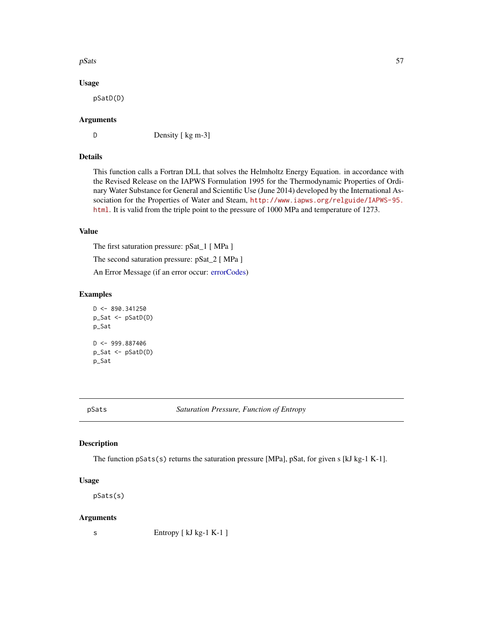#### $pS$ ats  $57$

### Usage

pSatD(D)

## Arguments

D Density [ kg m-3]

# Details

This function calls a Fortran DLL that solves the Helmholtz Energy Equation. in accordance with the Revised Release on the IAPWS Formulation 1995 for the Thermodynamic Properties of Ordinary Water Substance for General and Scientific Use (June 2014) developed by the International Association for the Properties of Water and Steam, [http://www.iapws.org/relguide/IAPWS-95.](http://www.iapws.org/relguide/IAPWS-95.html) [html](http://www.iapws.org/relguide/IAPWS-95.html). It is valid from the triple point to the pressure of 1000 MPa and temperature of 1273.

# Value

The first saturation pressure: pSat\_1 [ MPa ]

The second saturation pressure: pSat\_2 [ MPa ]

An Error Message (if an error occur: [errorCodes\)](#page-30-0)

## Examples

```
D \le -890.341250p_Sat <- pSatD(D)
p_Sat
D < -999.887406p_Sat <- pSatD(D)
p_Sat
```
pSats *Saturation Pressure, Function of Entropy*

#### Description

The function pSats(s) returns the saturation pressure [MPa], pSat, for given s [kJ kg-1 K-1].

### Usage

pSats(s)

#### Arguments

s Entropy [ kJ kg-1 K-1 ]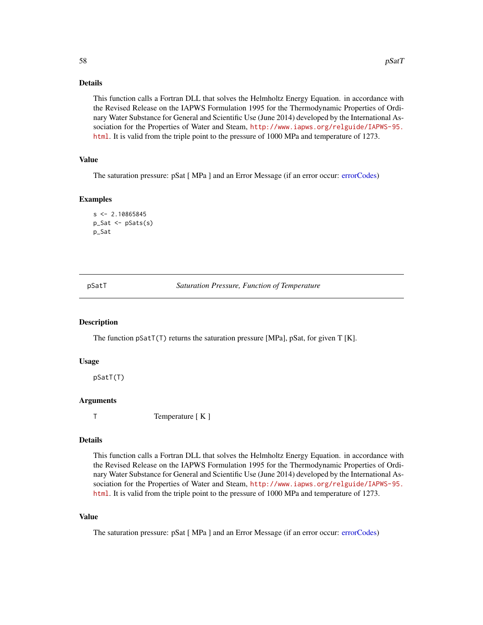## Details

This function calls a Fortran DLL that solves the Helmholtz Energy Equation. in accordance with the Revised Release on the IAPWS Formulation 1995 for the Thermodynamic Properties of Ordinary Water Substance for General and Scientific Use (June 2014) developed by the International Association for the Properties of Water and Steam, [http://www.iapws.org/relguide/IAPWS-95.](http://www.iapws.org/relguide/IAPWS-95.html) [html](http://www.iapws.org/relguide/IAPWS-95.html). It is valid from the triple point to the pressure of 1000 MPa and temperature of 1273.

# Value

The saturation pressure: pSat [ MPa ] and an Error Message (if an error occur: [errorCodes\)](#page-30-0)

## Examples

```
s < -2.10865845p_Sat <- pSats(s)
p_Sat
```
pSatT *Saturation Pressure, Function of Temperature*

### Description

The function pSatT(T) returns the saturation pressure [MPa], pSat, for given T [K].

### Usage

pSatT(T)

### Arguments

T Temperature [ K ]

## Details

This function calls a Fortran DLL that solves the Helmholtz Energy Equation. in accordance with the Revised Release on the IAPWS Formulation 1995 for the Thermodynamic Properties of Ordinary Water Substance for General and Scientific Use (June 2014) developed by the International Association for the Properties of Water and Steam, [http://www.iapws.org/relguide/IAPWS-95.](http://www.iapws.org/relguide/IAPWS-95.html) [html](http://www.iapws.org/relguide/IAPWS-95.html). It is valid from the triple point to the pressure of 1000 MPa and temperature of 1273.

# Value

The saturation pressure: pSat [ MPa ] and an Error Message (if an error occur: [errorCodes\)](#page-30-0)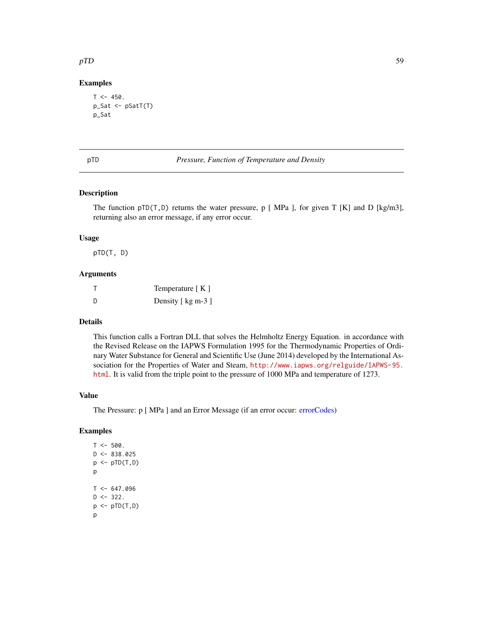### $pTD$  59

# Examples

```
T < -450.
p_Sat <- pSatT(T)
p_Sat
```
pTD *Pressure, Function of Temperature and Density*

## Description

The function  $pTD(T, D)$  returns the water pressure, p [MPa ], for given T [K] and D [kg/m3], returning also an error message, if any error occur.

## Usage

pTD(T, D)

# Arguments

|   | Temperature $K \in \mathbb{R}$ |
|---|--------------------------------|
| D | Density [ kg m-3 ]             |

# Details

This function calls a Fortran DLL that solves the Helmholtz Energy Equation. in accordance with the Revised Release on the IAPWS Formulation 1995 for the Thermodynamic Properties of Ordinary Water Substance for General and Scientific Use (June 2014) developed by the International Association for the Properties of Water and Steam, [http://www.iapws.org/relguide/IAPWS-95.](http://www.iapws.org/relguide/IAPWS-95.html) [html](http://www.iapws.org/relguide/IAPWS-95.html). It is valid from the triple point to the pressure of 1000 MPa and temperature of 1273.

## Value

The Pressure: p [ MPa ] and an Error Message (if an error occur: [errorCodes\)](#page-30-0)

#### Examples

 $T < -500$ .  $D \le -838.025$  $p \leftarrow pTD(T, D)$ p  $T < -647.096$  $D$  <- 322.  $p \leftarrow pTD(T, D)$ p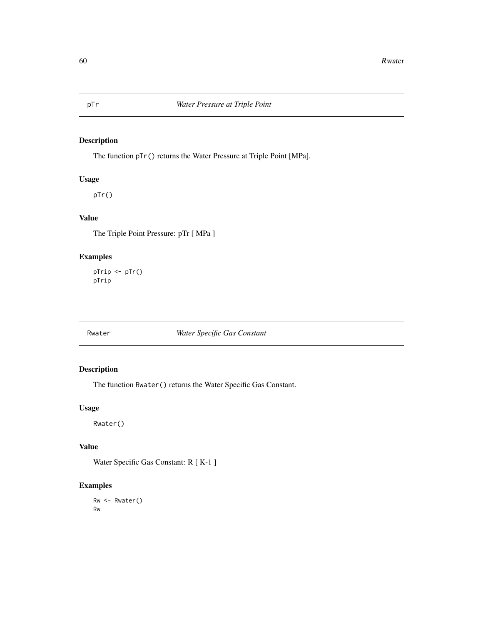The function pTr() returns the Water Pressure at Triple Point [MPa].

# Usage

pTr()

# Value

The Triple Point Pressure: pTr [ MPa ]

# Examples

pTrip <- pTr() pTrip

# Rwater *Water Specific Gas Constant*

# Description

The function Rwater() returns the Water Specific Gas Constant.

# Usage

Rwater()

# Value

Water Specific Gas Constant: R [ K-1 ]

# Examples

Rw <- Rwater() Rw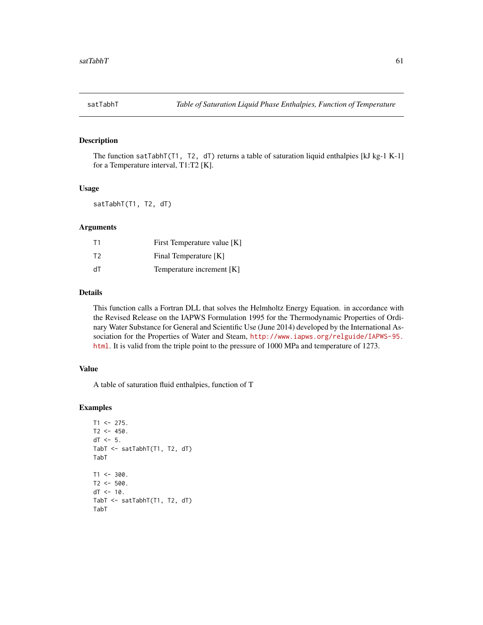The function satTabhT(T1, T2, dT) returns a table of saturation liquid enthalpies [kJ kg-1 K-1] for a Temperature interval, T1:T2 [K].

#### Usage

satTabhT(T1, T2, dT)

## Arguments

| T <sub>1</sub> | First Temperature value [K] |
|----------------|-----------------------------|
| T <sub>2</sub> | Final Temperature [K]       |
| ďТ             | Temperature increment [K]   |

## Details

This function calls a Fortran DLL that solves the Helmholtz Energy Equation. in accordance with the Revised Release on the IAPWS Formulation 1995 for the Thermodynamic Properties of Ordinary Water Substance for General and Scientific Use (June 2014) developed by the International Association for the Properties of Water and Steam, [http://www.iapws.org/relguide/IAPWS-95.](http://www.iapws.org/relguide/IAPWS-95.html) [html](http://www.iapws.org/relguide/IAPWS-95.html). It is valid from the triple point to the pressure of 1000 MPa and temperature of 1273.

# Value

A table of saturation fluid enthalpies, function of T

```
T1 <- 275.
T2 < -450.
dT < -5.
TabT <- satTabhT(T1, T2, dT)
TabT
T1 < -300.
T2 < -500.
dT < -10.
TabT <- satTabhT(T1, T2, dT)
TabT
```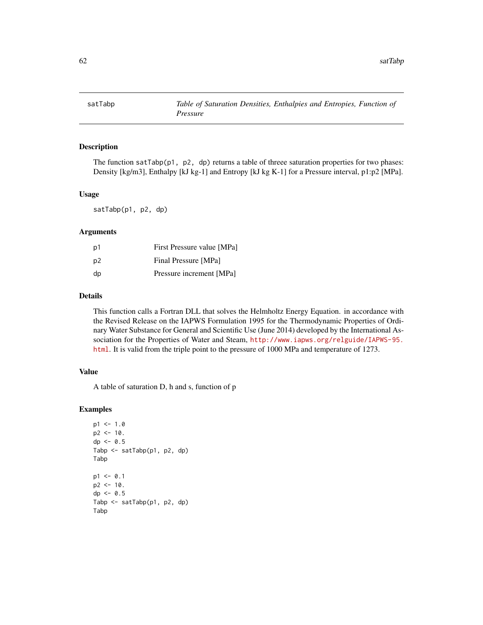The function satTabp( $p1$ ,  $p2$ , dp) returns a table of threee saturation properties for two phases: Density [kg/m3], Enthalpy [kJ kg-1] and Entropy [kJ kg K-1] for a Pressure interval, p1:p2 [MPa].

## Usage

satTabp(p1, p2, dp)

## Arguments

| p1 | First Pressure value [MPa] |
|----|----------------------------|
| p2 | Final Pressure [MPa]       |
| dp | Pressure increment [MPa]   |

## Details

This function calls a Fortran DLL that solves the Helmholtz Energy Equation. in accordance with the Revised Release on the IAPWS Formulation 1995 for the Thermodynamic Properties of Ordinary Water Substance for General and Scientific Use (June 2014) developed by the International Association for the Properties of Water and Steam, [http://www.iapws.org/relguide/IAPWS-95.](http://www.iapws.org/relguide/IAPWS-95.html) [html](http://www.iapws.org/relguide/IAPWS-95.html). It is valid from the triple point to the pressure of 1000 MPa and temperature of 1273.

# Value

A table of saturation D, h and s, function of p

```
p1 < -1.0p2 < -10.
dp \le -0.5Tabp <- satTabp(p1, p2, dp)
Tabp
p1 < -0.1p2 < -10.
dp \le -0.5Tabp \leq satTabp(p1, p2, dp)
Tabp
```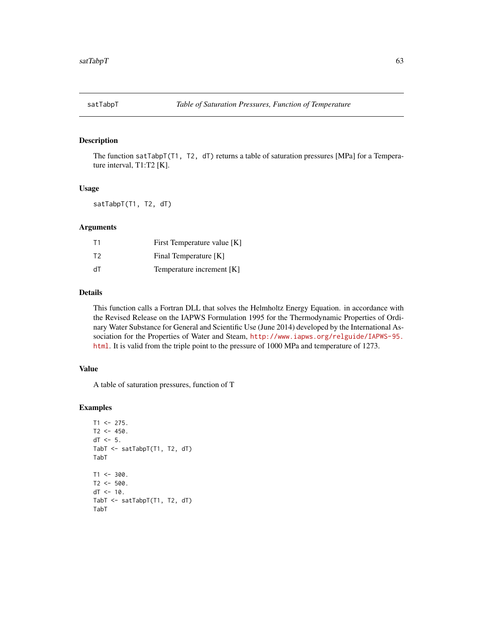The function satTabpT(T1, T2, dT) returns a table of saturation pressures [MPa] for a Temperature interval, T1:T2 [K].

#### Usage

satTabpT(T1, T2, dT)

# Arguments

| T1             | First Temperature value [K] |
|----------------|-----------------------------|
| T <sub>2</sub> | Final Temperature [K]       |
| ďТ             | Temperature increment [K]   |

## Details

This function calls a Fortran DLL that solves the Helmholtz Energy Equation. in accordance with the Revised Release on the IAPWS Formulation 1995 for the Thermodynamic Properties of Ordinary Water Substance for General and Scientific Use (June 2014) developed by the International Association for the Properties of Water and Steam, [http://www.iapws.org/relguide/IAPWS-95.](http://www.iapws.org/relguide/IAPWS-95.html) [html](http://www.iapws.org/relguide/IAPWS-95.html). It is valid from the triple point to the pressure of 1000 MPa and temperature of 1273.

# Value

A table of saturation pressures, function of T

```
T1 <- 275.
T2 < -450.
dT < -5.
TabT <- satTabpT(T1, T2, dT)
TabT
T1 < -300.
T2 < -500.
dT < -10.
TabT <- satTabpT(T1, T2, dT)
TabT
```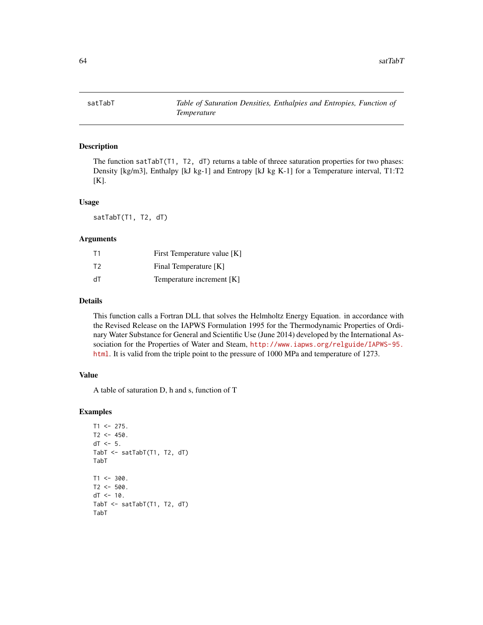The function satTabT(T1, T2, dT) returns a table of threee saturation properties for two phases: Density [kg/m3], Enthalpy [kJ kg-1] and Entropy [kJ kg K-1] for a Temperature interval, T1:T2 [K].

## Usage

satTabT(T1, T2, dT)

## Arguments

| T1 | First Temperature value [K] |
|----|-----------------------------|
| T2 | Final Temperature [K]       |
| dT | Temperature increment [K]   |

# Details

This function calls a Fortran DLL that solves the Helmholtz Energy Equation. in accordance with the Revised Release on the IAPWS Formulation 1995 for the Thermodynamic Properties of Ordinary Water Substance for General and Scientific Use (June 2014) developed by the International Association for the Properties of Water and Steam, [http://www.iapws.org/relguide/IAPWS-95.](http://www.iapws.org/relguide/IAPWS-95.html) [html](http://www.iapws.org/relguide/IAPWS-95.html). It is valid from the triple point to the pressure of 1000 MPa and temperature of 1273.

#### Value

A table of saturation D, h and s, function of T

```
T1 <- 275.
T2 < -450.
dT < -5.
TabT <- satTabT(T1, T2, dT)
TabT
T1 < -300.
T2 < -500.
dT < -10.
TabT <- satTabT(T1, T2, dT)
TabT
```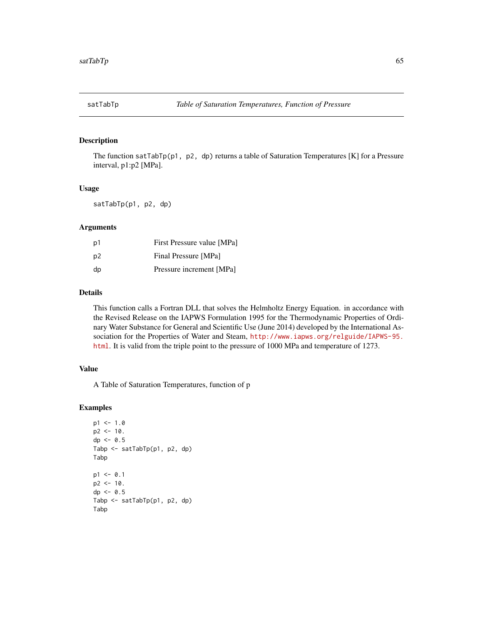The function satTabTp(p1, p2, dp) returns a table of Saturation Temperatures [K] for a Pressure interval, p1:p2 [MPa].

#### Usage

satTabTp(p1, p2, dp)

#### Arguments

| p1             | First Pressure value [MPa] |
|----------------|----------------------------|
| p <sub>2</sub> | Final Pressure [MPa]       |
| dp             | Pressure increment [MPa]   |

## Details

This function calls a Fortran DLL that solves the Helmholtz Energy Equation. in accordance with the Revised Release on the IAPWS Formulation 1995 for the Thermodynamic Properties of Ordinary Water Substance for General and Scientific Use (June 2014) developed by the International Association for the Properties of Water and Steam, [http://www.iapws.org/relguide/IAPWS-95.](http://www.iapws.org/relguide/IAPWS-95.html) [html](http://www.iapws.org/relguide/IAPWS-95.html). It is valid from the triple point to the pressure of 1000 MPa and temperature of 1273.

# Value

A Table of Saturation Temperatures, function of p

```
p1 < -1.0p2 < -10.
dp \le -0.5Tabp <- satTabTp(p1, p2, dp)
Tabp
p1 < -0.1p2 < -10.
dp \le -0.5Tabp <- satTabTp(p1, p2, dp)
Tabp
```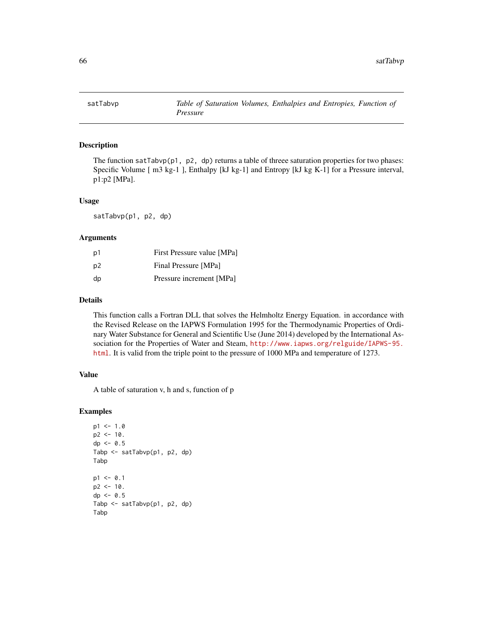The function satTabvp( $p1$ ,  $p2$ , dp) returns a table of threee saturation properties for two phases: Specific Volume [ m3 kg-1 ], Enthalpy [kJ kg-1] and Entropy [kJ kg K-1] for a Pressure interval, p1:p2 [MPa].

#### Usage

satTabvp(p1, p2, dp)

#### Arguments

| p1             | First Pressure value [MPa] |
|----------------|----------------------------|
| p <sub>2</sub> | Final Pressure [MPa]       |
| dp             | Pressure increment [MPa]   |

# Details

This function calls a Fortran DLL that solves the Helmholtz Energy Equation. in accordance with the Revised Release on the IAPWS Formulation 1995 for the Thermodynamic Properties of Ordinary Water Substance for General and Scientific Use (June 2014) developed by the International Association for the Properties of Water and Steam, [http://www.iapws.org/relguide/IAPWS-95.](http://www.iapws.org/relguide/IAPWS-95.html) [html](http://www.iapws.org/relguide/IAPWS-95.html). It is valid from the triple point to the pressure of 1000 MPa and temperature of 1273.

#### Value

A table of saturation v, h and s, function of p

```
p1 < -1.0p2 < -10.
dp \le -0.5Tabp <- satTabvp(p1, p2, dp)
Tabp
p1 < -0.1p2 < -10.
dp <- 0.5
Tabp <- satTabvp(p1, p2, dp)
Tabp
```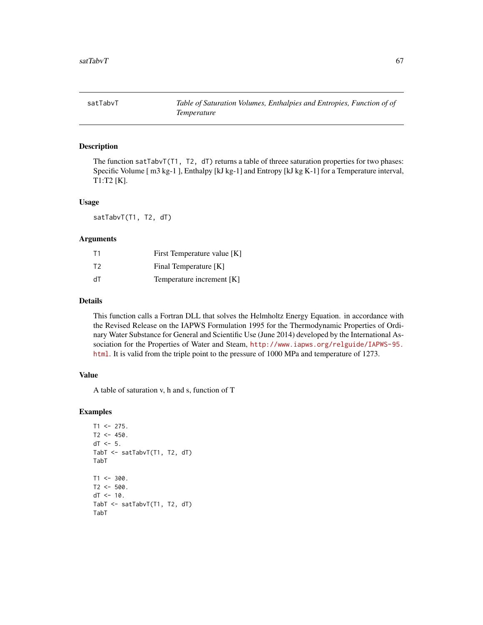satTabvT *Table of Saturation Volumes, Enthalpies and Entropies, Function of of Temperature*

## Description

The function satTabvT(T1, T2,  $dT$ ) returns a table of threee saturation properties for two phases: Specific Volume [ m3 kg-1 ], Enthalpy [kJ kg-1] and Entropy [kJ kg K-1] for a Temperature interval, T1:T2 [K].

#### Usage

satTabvT(T1, T2, dT)

## Arguments

| T1 | First Temperature value [K] |
|----|-----------------------------|
| T2 | Final Temperature [K]       |
| dT | Temperature increment [K]   |

# Details

This function calls a Fortran DLL that solves the Helmholtz Energy Equation. in accordance with the Revised Release on the IAPWS Formulation 1995 for the Thermodynamic Properties of Ordinary Water Substance for General and Scientific Use (June 2014) developed by the International Association for the Properties of Water and Steam, [http://www.iapws.org/relguide/IAPWS-95.](http://www.iapws.org/relguide/IAPWS-95.html) [html](http://www.iapws.org/relguide/IAPWS-95.html). It is valid from the triple point to the pressure of 1000 MPa and temperature of 1273.

#### Value

A table of saturation v, h and s, function of T

```
T1 <- 275.
T2 < -450.
dT < -5.
TabT <- satTabvT(T1, T2, dT)
TabT
T1 < -300.
T2 < -500.
dT < -10.
TabT <- satTabvT(T1, T2, dT)
TabT
```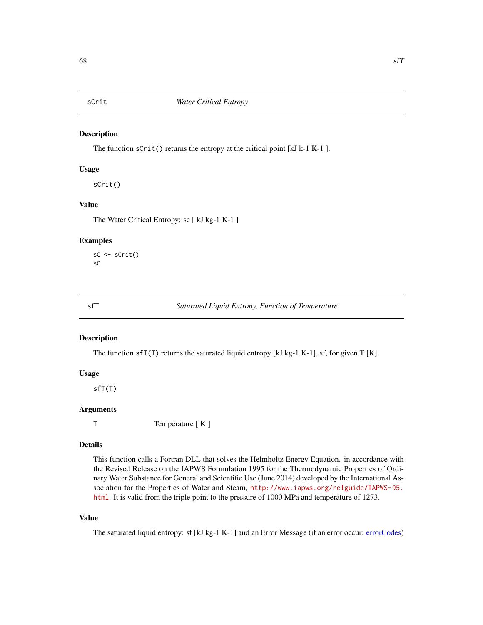The function sCrit() returns the entropy at the critical point [kJ k-1 K-1 ].

## Usage

sCrit()

# Value

The Water Critical Entropy: sc [ kJ kg-1 K-1 ]

## Examples

```
sC <- sCrit()
sC
```
sfT *Saturated Liquid Entropy, Function of Temperature*

## Description

The function sfT(T) returns the saturated liquid entropy [kJ kg-1 K-1], sf, for given T [K].

# Usage

sfT(T)

### Arguments

T Temperature [ K ]

#### Details

This function calls a Fortran DLL that solves the Helmholtz Energy Equation. in accordance with the Revised Release on the IAPWS Formulation 1995 for the Thermodynamic Properties of Ordinary Water Substance for General and Scientific Use (June 2014) developed by the International Association for the Properties of Water and Steam, [http://www.iapws.org/relguide/IAPWS-95.](http://www.iapws.org/relguide/IAPWS-95.html) [html](http://www.iapws.org/relguide/IAPWS-95.html). It is valid from the triple point to the pressure of 1000 MPa and temperature of 1273.

# Value

The saturated liquid entropy: sf [kJ kg-1 K-1] and an Error Message (if an error occur: [errorCodes\)](#page-30-0)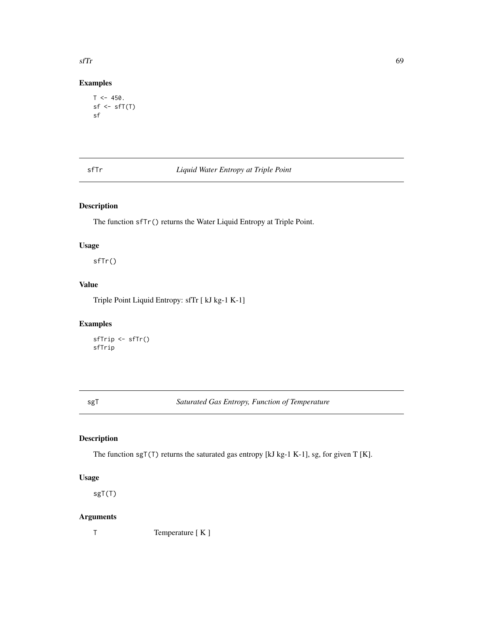# Examples

```
T < -450.
sf \leftarrow sff(T)sf
```
# sfTr *Liquid Water Entropy at Triple Point*

# Description

The function sfTr() returns the Water Liquid Entropy at Triple Point.

# Usage

sfTr()

# Value

Triple Point Liquid Entropy: sfTr [ kJ kg-1 K-1]

# Examples

```
sfTrip <- sfTr()
sfTrip
```
sgT *Saturated Gas Entropy, Function of Temperature*

# Description

The function sgT(T) returns the saturated gas entropy [kJ kg-1 K-1], sg, for given T [K].

# Usage

sgT(T)

## Arguments

T Temperature [ K ]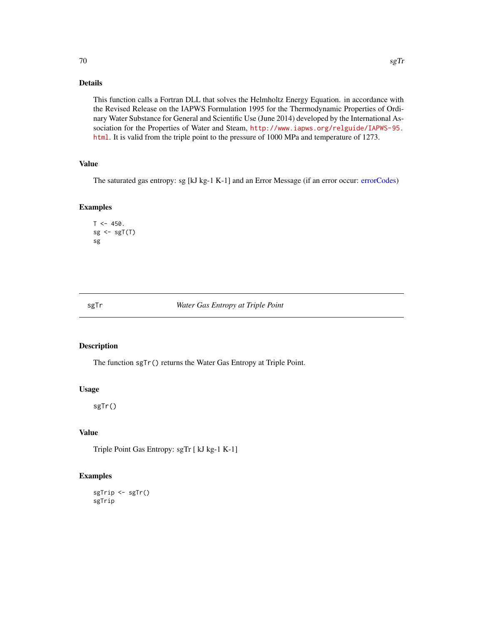# Details

This function calls a Fortran DLL that solves the Helmholtz Energy Equation. in accordance with the Revised Release on the IAPWS Formulation 1995 for the Thermodynamic Properties of Ordinary Water Substance for General and Scientific Use (June 2014) developed by the International Association for the Properties of Water and Steam, [http://www.iapws.org/relguide/IAPWS-95.](http://www.iapws.org/relguide/IAPWS-95.html) [html](http://www.iapws.org/relguide/IAPWS-95.html). It is valid from the triple point to the pressure of 1000 MPa and temperature of 1273.

# Value

The saturated gas entropy: sg [kJ kg-1 K-1] and an Error Message (if an error occur: [errorCodes\)](#page-30-0)

# Examples

```
T < -450.
sg \leftarrow sgT(T)sg
```
sgTr *Water Gas Entropy at Triple Point*

#### Description

The function sgTr() returns the Water Gas Entropy at Triple Point.

#### Usage

sgTr()

# Value

Triple Point Gas Entropy: sgTr [ kJ kg-1 K-1]

## Examples

sgTrip <- sgTr() sgTrip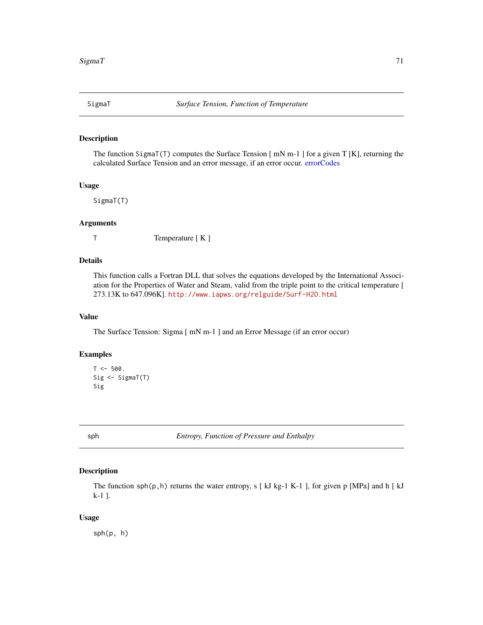The function SigmaT(T) computes the Surface Tension  $[$  mN m-1 $]$  for a given T  $[K]$ , returning the calculated Surface Tension and an error message, if an error occur. [errorCodes](#page-30-0)

## Usage

SigmaT(T)

#### Arguments

T Temperature [ K ]

## Details

This function calls a Fortran DLL that solves the equations developed by the International Association for the Properties of Water and Steam, valid from the triple point to the critical temperature [ 273.13K to 647.096K]. <http://www.iapws.org/relguide/Surf-H2O.html>

## Value

The Surface Tension: Sigma [ mN m-1 ] and an Error Message (if an error occur)

## Examples

```
T < -500.
Sig <- SigmaT(T)
Sig
```
sph *Entropy, Function of Pressure and Enthalpy*

## Description

The function  $sph(p,h)$  returns the water entropy, s [ kJ kg-1 K-1 ], for given p [MPa] and h [ kJ k-1 ].

### Usage

sph(p, h)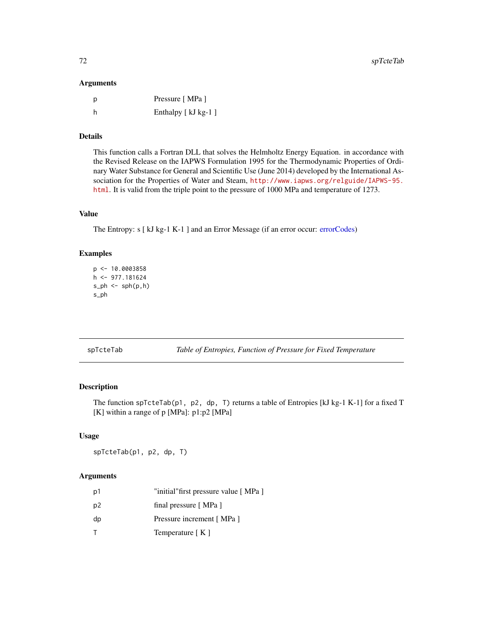## Arguments

| D | Pressure [MPa ]    |
|---|--------------------|
| h | Enthalpy [kJ kg-1] |

# Details

This function calls a Fortran DLL that solves the Helmholtz Energy Equation. in accordance with the Revised Release on the IAPWS Formulation 1995 for the Thermodynamic Properties of Ordinary Water Substance for General and Scientific Use (June 2014) developed by the International Association for the Properties of Water and Steam, [http://www.iapws.org/relguide/IAPWS-95.](http://www.iapws.org/relguide/IAPWS-95.html) [html](http://www.iapws.org/relguide/IAPWS-95.html). It is valid from the triple point to the pressure of 1000 MPa and temperature of 1273.

# Value

The Entropy: s [ kJ kg-1 K-1 ] and an Error Message (if an error occur: [errorCodes\)](#page-30-0)

## Examples

```
p <- 10.0003858
h <- 977.181624
s_ph <- sph(p,h)s_ph
```
spTcteTab *Table of Entropies, Function of Pressure for Fixed Temperature*

# Description

The function spTcteTab(p1, p2, dp, T) returns a table of Entropies [kJ kg-1 K-1] for a fixed T [K] within a range of p [MPa]: p1:p2 [MPa]

## Usage

spTcteTab(p1, p2, dp, T)

# Arguments

| р1 | "initial" first pressure value [MPa ] |
|----|---------------------------------------|
| p2 | final pressure [MPa]                  |
| dp | Pressure increment [MPa]              |
|    | Temperature [K]                       |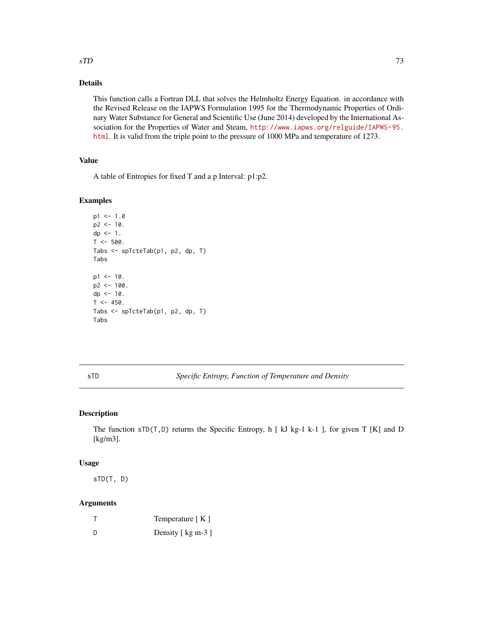#### <span id="page-72-0"></span> $\mathrm{sTD}$  73

# Details

This function calls a Fortran DLL that solves the Helmholtz Energy Equation. in accordance with the Revised Release on the IAPWS Formulation 1995 for the Thermodynamic Properties of Ordinary Water Substance for General and Scientific Use (June 2014) developed by the International Association for the Properties of Water and Steam, [http://www.iapws.org/relguide/IAPWS-95.](http://www.iapws.org/relguide/IAPWS-95.html) [html](http://www.iapws.org/relguide/IAPWS-95.html). It is valid from the triple point to the pressure of 1000 MPa and temperature of 1273.

# Value

A table of Entropies for fixed T and a p Interval: p1:p2.

#### Examples

```
p1 < -1.0p2 < -10.
dp \le -1.
T < -500.
Tabs <- spTcteTab(p1, p2, dp, T)
Tabs
p1 < -10.
p2 < -100.
dp \le -10.
T < -450.
Tabs <- spTcteTab(p1, p2, dp, T)
Tabs
```
sTD *Specific Entropy, Function of Temperature and Density*

# Description

The function sTD(T,D) returns the Specific Entropy, h [ kJ kg-1 k-1 ], for given T [K] and D [kg/m3].

#### Usage

sTD(T, D)

# Arguments

|     | Temperature $K \,$ ] |
|-----|----------------------|
| - D | Density [ kg m-3 ]   |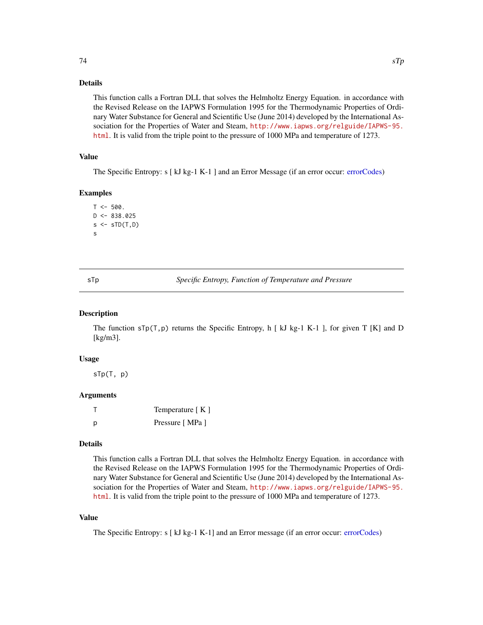# <span id="page-73-0"></span>Details

This function calls a Fortran DLL that solves the Helmholtz Energy Equation. in accordance with the Revised Release on the IAPWS Formulation 1995 for the Thermodynamic Properties of Ordinary Water Substance for General and Scientific Use (June 2014) developed by the International Association for the Properties of Water and Steam, [http://www.iapws.org/relguide/IAPWS-95.](http://www.iapws.org/relguide/IAPWS-95.html) [html](http://www.iapws.org/relguide/IAPWS-95.html). It is valid from the triple point to the pressure of 1000 MPa and temperature of 1273.

# Value

The Specific Entropy: s [ kJ kg-1 K-1 ] and an Error Message (if an error occur: [errorCodes\)](#page-30-0)

#### Examples

```
T < -500.
D \le -838.025s \leftarrow sTD(T, D)s
```
sTp *Specific Entropy, Function of Temperature and Pressure*

#### Description

The function  $\text{STp}(T,p)$  returns the Specific Entropy, h [kJ kg-1 K-1 ], for given T [K] and D [kg/m3].

#### Usage

sTp(T, p)

# Arguments

|   | Temperature $[K]$ |
|---|-------------------|
| D | Pressure [MPa ]   |

#### Details

This function calls a Fortran DLL that solves the Helmholtz Energy Equation. in accordance with the Revised Release on the IAPWS Formulation 1995 for the Thermodynamic Properties of Ordinary Water Substance for General and Scientific Use (June 2014) developed by the International Association for the Properties of Water and Steam, [http://www.iapws.org/relguide/IAPWS-95.](http://www.iapws.org/relguide/IAPWS-95.html) [html](http://www.iapws.org/relguide/IAPWS-95.html). It is valid from the triple point to the pressure of 1000 MPa and temperature of 1273.

# Value

The Specific Entropy: s [ kJ kg-1 K-1] and an Error message (if an error occur: [errorCodes\)](#page-30-0)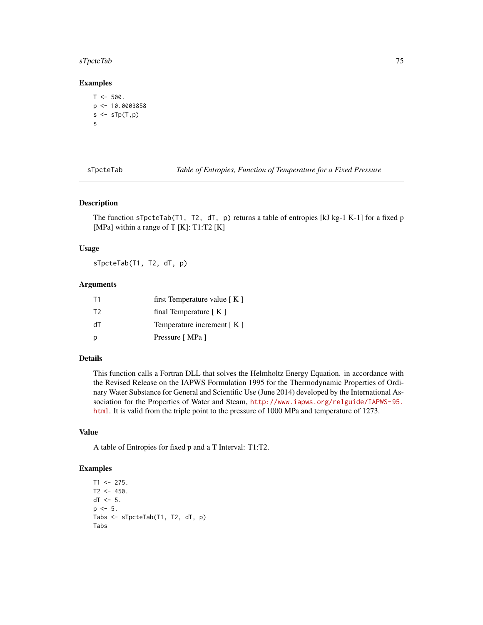# <span id="page-74-0"></span>sTpcteTab 75

#### Examples

```
T < -500.
p \leftarrow 10.0003858s \leftarrow sTp(T, p)s
```
sTpcteTab *Table of Entropies, Function of Temperature for a Fixed Pressure*

#### Description

The function sTpcteTab(T1, T2, dT, p) returns a table of entropies [kJ kg-1 K-1] for a fixed p [MPa] within a range of T  $[K]$ : T1:T2  $[K]$ 

#### Usage

sTpcteTab(T1, T2, dT, p)

## Arguments

| T1             | first Temperature value $K \mid K$ |
|----------------|------------------------------------|
| T <sub>2</sub> | final Temperature $K \mid K$       |
| ЧT             | Temperature increment $K \mid K$   |
| p              | Pressure [MPa ]                    |

#### Details

This function calls a Fortran DLL that solves the Helmholtz Energy Equation. in accordance with the Revised Release on the IAPWS Formulation 1995 for the Thermodynamic Properties of Ordinary Water Substance for General and Scientific Use (June 2014) developed by the International Association for the Properties of Water and Steam, [http://www.iapws.org/relguide/IAPWS-95.](http://www.iapws.org/relguide/IAPWS-95.html) [html](http://www.iapws.org/relguide/IAPWS-95.html). It is valid from the triple point to the pressure of 1000 MPa and temperature of 1273.

#### Value

A table of Entropies for fixed p and a T Interval: T1:T2.

```
T1 < -275.
T2 < -450.
dT < -5.
p \le -5.
Tabs <- sTpcteTab(T1, T2, dT, p)
Tabs
```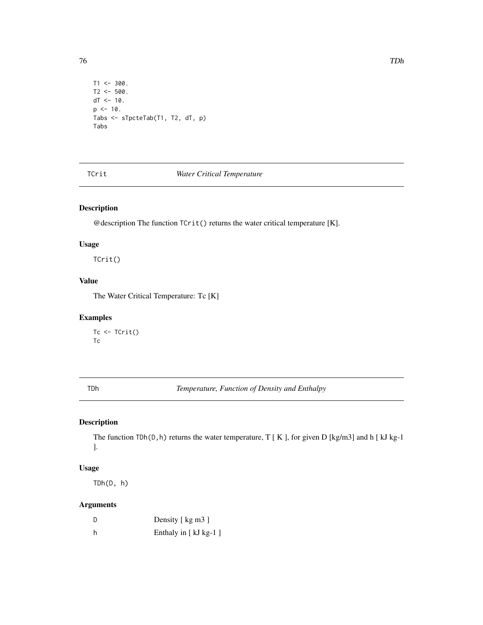```
T1 < -300.
T2 < -500.
dT < -10.
p \le -10.
Tabs <- sTpcteTab(T1, T2, dT, p)
Tabs
```
# TCrit *Water Critical Temperature*

# Description

@description The function TCrit() returns the water critical temperature [K].

# Usage

TCrit()

# Value

The Water Critical Temperature: Tc [K]

# Examples

Tc <- TCrit() Tc

TDh *Temperature, Function of Density and Enthalpy*

# Description

The function TDh(D,h) returns the water temperature, T [ K ], for given D [kg/m3] and h [ kJ kg-1 ].

# Usage

TDh(D, h)

# Arguments

| D | Density [ kg m3 ]    |
|---|----------------------|
| h | Enthaly in [kJ kg-1] |

<span id="page-75-0"></span>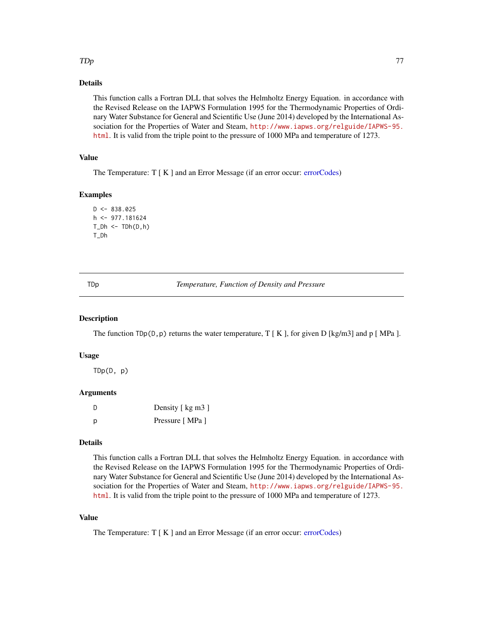## <span id="page-76-0"></span> $\mathcal{I}$

# Details

This function calls a Fortran DLL that solves the Helmholtz Energy Equation. in accordance with the Revised Release on the IAPWS Formulation 1995 for the Thermodynamic Properties of Ordinary Water Substance for General and Scientific Use (June 2014) developed by the International Association for the Properties of Water and Steam, [http://www.iapws.org/relguide/IAPWS-95.](http://www.iapws.org/relguide/IAPWS-95.html) [html](http://www.iapws.org/relguide/IAPWS-95.html). It is valid from the triple point to the pressure of 1000 MPa and temperature of 1273.

# Value

The Temperature: T [ K ] and an Error Message (if an error occur: [errorCodes\)](#page-30-0)

# Examples

```
D \le -838.025h <- 977.181624
T_Dh \leftarrow TDh(D,h)T_Dh
```
TDp *Temperature, Function of Density and Pressure*

#### Description

The function  $\text{TDp}(D, p)$  returns the water temperature, T [ K ], for given D [kg/m3] and p [ MPa ].

#### Usage

TDp(D, p)

#### Arguments

| - D | Density [kg m3] |
|-----|-----------------|
| D   | Pressure [MPa ] |

# Details

This function calls a Fortran DLL that solves the Helmholtz Energy Equation. in accordance with the Revised Release on the IAPWS Formulation 1995 for the Thermodynamic Properties of Ordinary Water Substance for General and Scientific Use (June 2014) developed by the International Association for the Properties of Water and Steam, [http://www.iapws.org/relguide/IAPWS-95.](http://www.iapws.org/relguide/IAPWS-95.html) [html](http://www.iapws.org/relguide/IAPWS-95.html). It is valid from the triple point to the pressure of 1000 MPa and temperature of 1273.

# Value

The Temperature: T [K] and an Error Message (if an error occur: [errorCodes\)](#page-30-0)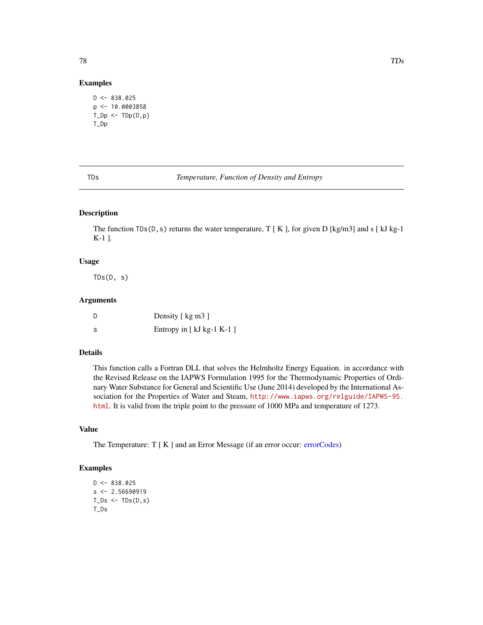#### Examples

```
D \le -838.025p <- 10.0003858
T\_Dp \leftarrow TDp(D,p)T_Dp
```

| I |
|---|
|---|

**Temperature, Function of Density and Entropy** 

# Description

The function TDs(D, s) returns the water temperature,  $T [K]$ , for given D [kg/m3] and s [kJ kg-1 K-1 ].

# Usage

 $TDS(D, s)$ 

# Arguments

|     | Density [ kg m3 ]          |
|-----|----------------------------|
| - S | Entropy in $[kJ kg-1 K-1]$ |

# Details

This function calls a Fortran DLL that solves the Helmholtz Energy Equation. in accordance with the Revised Release on the IAPWS Formulation 1995 for the Thermodynamic Properties of Ordinary Water Substance for General and Scientific Use (June 2014) developed by the International Association for the Properties of Water and Steam, [http://www.iapws.org/relguide/IAPWS-95.](http://www.iapws.org/relguide/IAPWS-95.html) [html](http://www.iapws.org/relguide/IAPWS-95.html). It is valid from the triple point to the pressure of 1000 MPa and temperature of 1273.

# Value

The Temperature: T [K] and an Error Message (if an error occur: [errorCodes\)](#page-30-0)

```
D < -838.025s < -2.56690919T_Ds \leftarrow \text{TDs}(D,s)T_Ds
```
<span id="page-77-0"></span>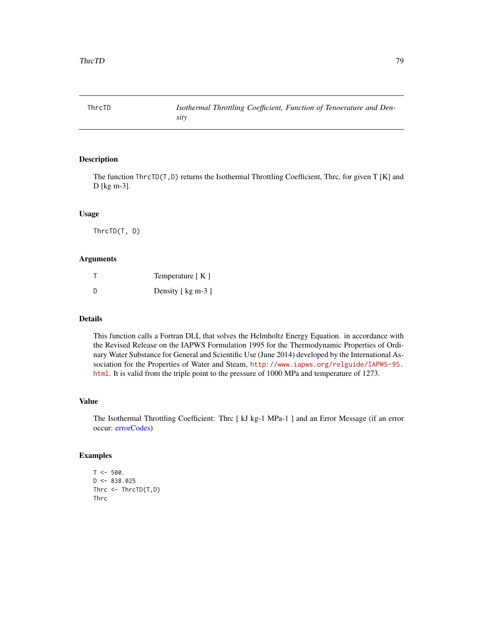<span id="page-78-0"></span>

The function ThrcTD(T,D) returns the Isothermal Throttling Coefficient, Thrc, for given T [K] and D [kg m-3].

#### Usage

ThrcTD(T, D)

### Arguments

|   | Temperature $K \,$ ] |
|---|----------------------|
| D | Density [ kg m-3 ]   |

#### Details

This function calls a Fortran DLL that solves the Helmholtz Energy Equation. in accordance with the Revised Release on the IAPWS Formulation 1995 for the Thermodynamic Properties of Ordinary Water Substance for General and Scientific Use (June 2014) developed by the International Association for the Properties of Water and Steam, [http://www.iapws.org/relguide/IAPWS-95.](http://www.iapws.org/relguide/IAPWS-95.html) [html](http://www.iapws.org/relguide/IAPWS-95.html). It is valid from the triple point to the pressure of 1000 MPa and temperature of 1273.

#### Value

The Isothermal Throttling Coefficient: Thrc [ kJ kg-1 MPa-1 ] and an Error Message (if an error occur: [errorCodes\)](#page-30-0)

```
T < -500.
D \le -838.025Thrc \leq ThrcTD(T,D)
Thrc
```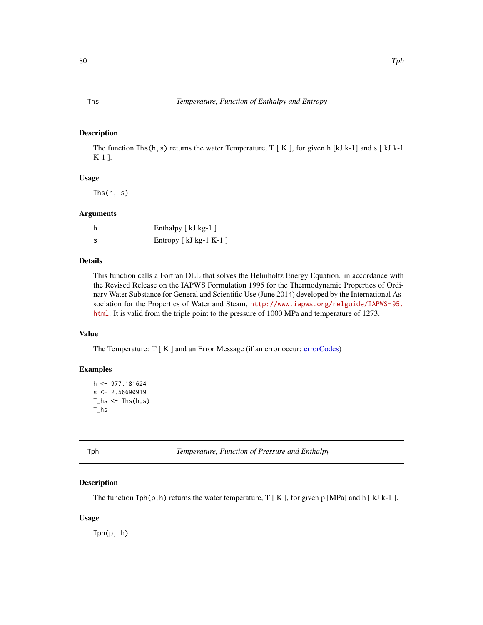<span id="page-79-0"></span>The function Ths(h,s) returns the water Temperature,  $T [K]$ , for given h [kJ k-1] and s [kJ k-1] K-1 ].

# Usage

Ths(h, s)

# Arguments

|     | Enthalpy [kJ kg-1]      |
|-----|-------------------------|
| - S | Entropy [ kJ kg-1 K-1 ] |

# Details

This function calls a Fortran DLL that solves the Helmholtz Energy Equation. in accordance with the Revised Release on the IAPWS Formulation 1995 for the Thermodynamic Properties of Ordinary Water Substance for General and Scientific Use (June 2014) developed by the International Association for the Properties of Water and Steam, [http://www.iapws.org/relguide/IAPWS-95.](http://www.iapws.org/relguide/IAPWS-95.html) [html](http://www.iapws.org/relguide/IAPWS-95.html). It is valid from the triple point to the pressure of 1000 MPa and temperature of 1273.

# Value

The Temperature: T [K] and an Error Message (if an error occur: [errorCodes\)](#page-30-0)

# Examples

```
h \leq 977.181624s < -2.56690919T_hs < - Ths(h,s)T_hs
```
Tph *Temperature, Function of Pressure and Enthalpy*

# Description

The function  $Tph(p,h)$  returns the water temperature, T [ K ], for given p [MPa] and h [ kJ k-1 ].

#### Usage

Tph(p, h)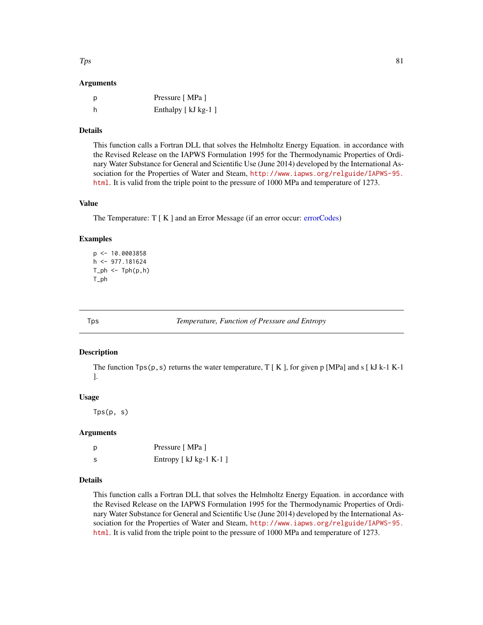<span id="page-80-0"></span> $Tps$  81

#### Arguments

| - p | Pressure [MPa ]      |
|-----|----------------------|
| -h  | Enthalpy [ kJ kg-1 ] |

#### Details

This function calls a Fortran DLL that solves the Helmholtz Energy Equation. in accordance with the Revised Release on the IAPWS Formulation 1995 for the Thermodynamic Properties of Ordinary Water Substance for General and Scientific Use (June 2014) developed by the International Association for the Properties of Water and Steam, [http://www.iapws.org/relguide/IAPWS-95.](http://www.iapws.org/relguide/IAPWS-95.html) [html](http://www.iapws.org/relguide/IAPWS-95.html). It is valid from the triple point to the pressure of 1000 MPa and temperature of 1273.

# Value

The Temperature: T [ K ] and an Error Message (if an error occur: [errorCodes\)](#page-30-0)

#### Examples

```
p <- 10.0003858
h <- 977.181624
T_\text{ph} < -T_\text{ph}(p, h)T_ph
```
Tps *Temperature, Function of Pressure and Entropy*

#### Description

The function  $Tps(p, s)$  returns the water temperature, T [K], for given p [MPa] and s [kJ k-1 K-1 ].

#### Usage

Tps(p, s)

#### Arguments

| p  | Pressure [MPa ]         |
|----|-------------------------|
| -S | Entropy [ kJ kg-1 K-1 ] |

# Details

This function calls a Fortran DLL that solves the Helmholtz Energy Equation. in accordance with the Revised Release on the IAPWS Formulation 1995 for the Thermodynamic Properties of Ordinary Water Substance for General and Scientific Use (June 2014) developed by the International Association for the Properties of Water and Steam, [http://www.iapws.org/relguide/IAPWS-95.](http://www.iapws.org/relguide/IAPWS-95.html) [html](http://www.iapws.org/relguide/IAPWS-95.html). It is valid from the triple point to the pressure of 1000 MPa and temperature of 1273.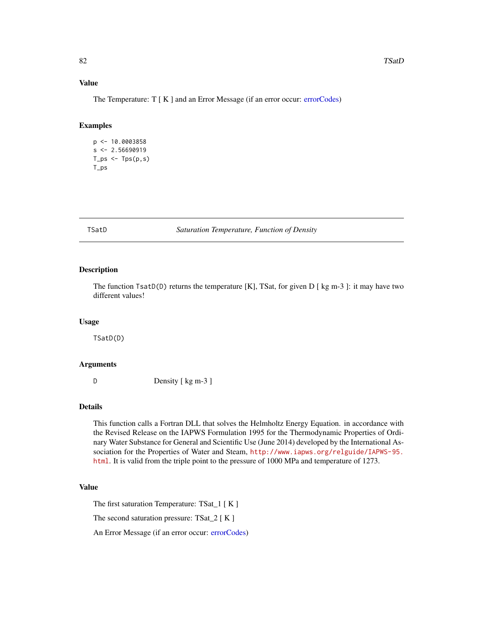# <span id="page-81-0"></span>Value

The Temperature: T [ K ] and an Error Message (if an error occur: [errorCodes\)](#page-30-0)

# Examples

```
p <- 10.0003858
s < -2.56690919T_ps <- T_ps(p,s)T_ps
```
TSatD *Saturation Temperature, Function of Density*

# Description

The function TsatD(D) returns the temperature [K], TSat, for given D [ kg m-3 ]: it may have two different values!

# Usage

TSatD(D)

#### Arguments

D Density [ kg m-3 ]

# Details

This function calls a Fortran DLL that solves the Helmholtz Energy Equation. in accordance with the Revised Release on the IAPWS Formulation 1995 for the Thermodynamic Properties of Ordinary Water Substance for General and Scientific Use (June 2014) developed by the International Association for the Properties of Water and Steam, [http://www.iapws.org/relguide/IAPWS-95.](http://www.iapws.org/relguide/IAPWS-95.html) [html](http://www.iapws.org/relguide/IAPWS-95.html). It is valid from the triple point to the pressure of 1000 MPa and temperature of 1273.

# Value

The first saturation Temperature: TSat\_1 [ K ]

The second saturation pressure: TSat\_2 [ K ]

An Error Message (if an error occur: [errorCodes\)](#page-30-0)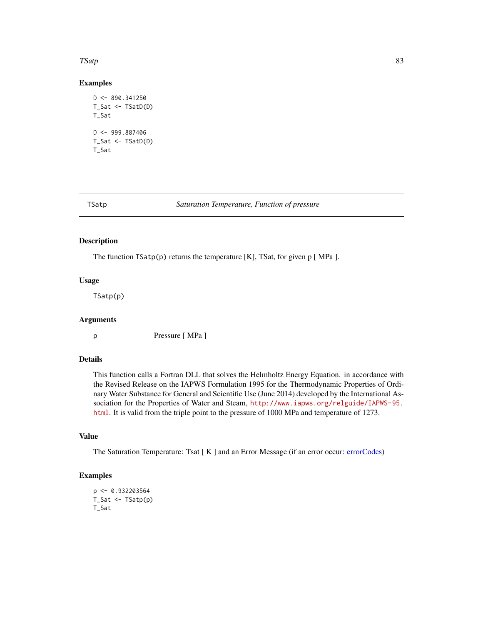#### <span id="page-82-0"></span> $TS$ atp 83

# Examples

```
D <- 890.341250
T_Sat <- TSatD(D)
T_Sat
D < -999.887406T_Sat <- TSatD(D)
T_Sat
```
TSatp *Saturation Temperature, Function of pressure*

#### Description

The function  $T\text{Satp}(p)$  returns the temperature [K], TSat, for given p [MPa ].

#### Usage

TSatp(p)

#### Arguments

p Pressure [ MPa ]

#### Details

This function calls a Fortran DLL that solves the Helmholtz Energy Equation. in accordance with the Revised Release on the IAPWS Formulation 1995 for the Thermodynamic Properties of Ordinary Water Substance for General and Scientific Use (June 2014) developed by the International Association for the Properties of Water and Steam, [http://www.iapws.org/relguide/IAPWS-95.](http://www.iapws.org/relguide/IAPWS-95.html) [html](http://www.iapws.org/relguide/IAPWS-95.html). It is valid from the triple point to the pressure of 1000 MPa and temperature of 1273.

# Value

The Saturation Temperature: Tsat [ K ] and an Error Message (if an error occur: [errorCodes\)](#page-30-0)

```
p <- 0.932203564
T_Sat <- TSatp(p)
T_Sat
```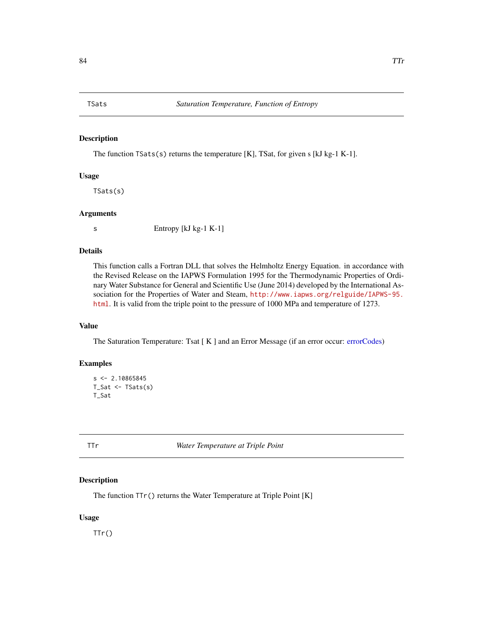<span id="page-83-0"></span>

The function TSats(s) returns the temperature [K], TSat, for given s [kJ kg-1 K-1].

#### Usage

TSats(s)

#### Arguments

s Entropy [kJ kg-1 K-1]

# Details

This function calls a Fortran DLL that solves the Helmholtz Energy Equation. in accordance with the Revised Release on the IAPWS Formulation 1995 for the Thermodynamic Properties of Ordinary Water Substance for General and Scientific Use (June 2014) developed by the International Association for the Properties of Water and Steam, [http://www.iapws.org/relguide/IAPWS-95.](http://www.iapws.org/relguide/IAPWS-95.html) [html](http://www.iapws.org/relguide/IAPWS-95.html). It is valid from the triple point to the pressure of 1000 MPa and temperature of 1273.

# Value

The Saturation Temperature: Tsat [ K ] and an Error Message (if an error occur: [errorCodes\)](#page-30-0)

# Examples

```
s < -2.10865845T_Sat \leftarrow TSats(s)T_Sat
```
TTr *Water Temperature at Triple Point*

#### Description

The function  $TTr()$  returns the Water Temperature at Triple Point [K]

# Usage

 $TTr()$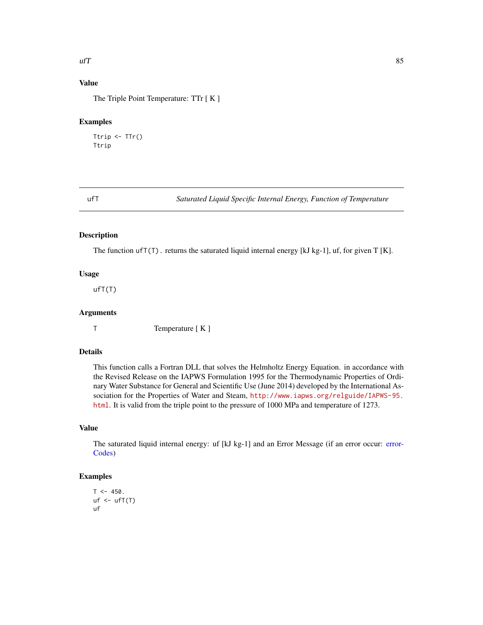#### <span id="page-84-0"></span> $\mu$ T

# Value

The Triple Point Temperature: TTr [ K ]

# Examples

Ttrip  $\leq$  TTr() Ttrip

ufT *Saturated Liquid Specific Internal Energy, Function of Temperature*

# Description

The function  $\text{ufT}(T)$ . returns the saturated liquid internal energy [kJ kg-1], uf, for given T [K].

# Usage

 $u f T(T)$ 

# Arguments

T Temperature [ K ]

# Details

This function calls a Fortran DLL that solves the Helmholtz Energy Equation. in accordance with the Revised Release on the IAPWS Formulation 1995 for the Thermodynamic Properties of Ordinary Water Substance for General and Scientific Use (June 2014) developed by the International Association for the Properties of Water and Steam, [http://www.iapws.org/relguide/IAPWS-95.](http://www.iapws.org/relguide/IAPWS-95.html) [html](http://www.iapws.org/relguide/IAPWS-95.html). It is valid from the triple point to the pressure of 1000 MPa and temperature of 1273.

#### Value

The saturated liquid internal energy: uf [kJ kg-1] and an Error Message (if an error occur: [error-](#page-30-0)[Codes\)](#page-30-0)

```
T < -450.
uf \leftarrow ufT(T)uf
```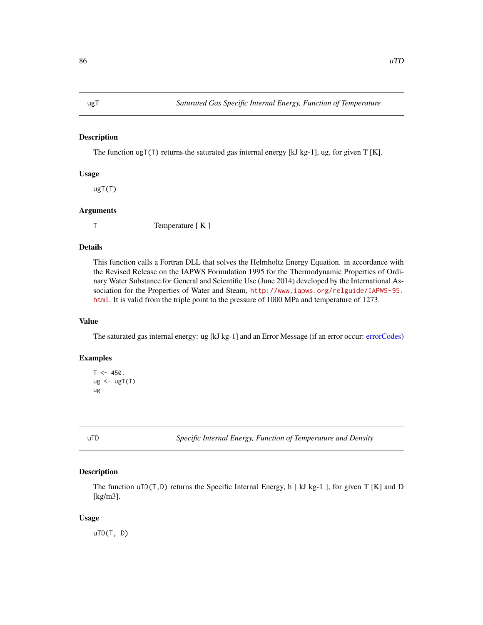<span id="page-85-0"></span>The function ugT(T) returns the saturated gas internal energy [kJ kg-1], ug, for given T [K].

# Usage

ugT(T)

#### Arguments

T Temperature [ K ]

# Details

This function calls a Fortran DLL that solves the Helmholtz Energy Equation. in accordance with the Revised Release on the IAPWS Formulation 1995 for the Thermodynamic Properties of Ordinary Water Substance for General and Scientific Use (June 2014) developed by the International Association for the Properties of Water and Steam, [http://www.iapws.org/relguide/IAPWS-95.](http://www.iapws.org/relguide/IAPWS-95.html) [html](http://www.iapws.org/relguide/IAPWS-95.html). It is valid from the triple point to the pressure of 1000 MPa and temperature of 1273.

# Value

The saturated gas internal energy: ug [kJ kg-1] and an Error Message (if an error occur: [errorCodes\)](#page-30-0)

# Examples

```
T < -450.
ug < -ugT(T)ug
```
uTD *Specific Internal Energy, Function of Temperature and Density*

#### Description

The function  $uTD(T,D)$  returns the Specific Internal Energy, h [ kJ kg-1 ], for given T [K] and D [kg/m3].

### Usage

uTD(T, D)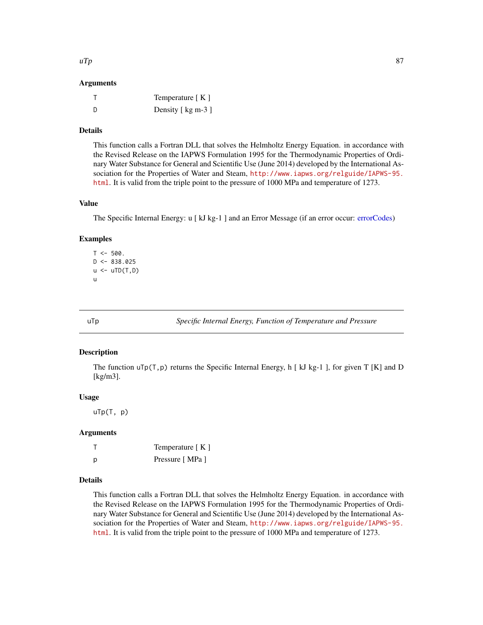#### <span id="page-86-0"></span>Arguments

|     | Temperature $K \,$ ] |
|-----|----------------------|
| - D | Density [ kg m-3 ]   |

#### Details

This function calls a Fortran DLL that solves the Helmholtz Energy Equation. in accordance with the Revised Release on the IAPWS Formulation 1995 for the Thermodynamic Properties of Ordinary Water Substance for General and Scientific Use (June 2014) developed by the International Association for the Properties of Water and Steam, [http://www.iapws.org/relguide/IAPWS-95.](http://www.iapws.org/relguide/IAPWS-95.html) [html](http://www.iapws.org/relguide/IAPWS-95.html). It is valid from the triple point to the pressure of 1000 MPa and temperature of 1273.

# Value

The Specific Internal Energy: u [ kJ kg-1 ] and an Error Message (if an error occur: [errorCodes\)](#page-30-0)

#### Examples

```
T < -500.
D \le -838.025u \leftarrow uTD(T,D)u
```
uTp *Specific Internal Energy, Function of Temperature and Pressure*

#### Description

The function  $\text{uTop}(T,p)$  returns the Specific Internal Energy, h [ kJ kg-1 ], for given T [K] and D [kg/m3].

#### Usage

uTp(T, p)

#### Arguments

|   | Temperature [K] |
|---|-----------------|
| D | Pressure [MPa ] |

#### Details

This function calls a Fortran DLL that solves the Helmholtz Energy Equation. in accordance with the Revised Release on the IAPWS Formulation 1995 for the Thermodynamic Properties of Ordinary Water Substance for General and Scientific Use (June 2014) developed by the International Association for the Properties of Water and Steam, [http://www.iapws.org/relguide/IAPWS-95.](http://www.iapws.org/relguide/IAPWS-95.html) [html](http://www.iapws.org/relguide/IAPWS-95.html). It is valid from the triple point to the pressure of 1000 MPa and temperature of 1273.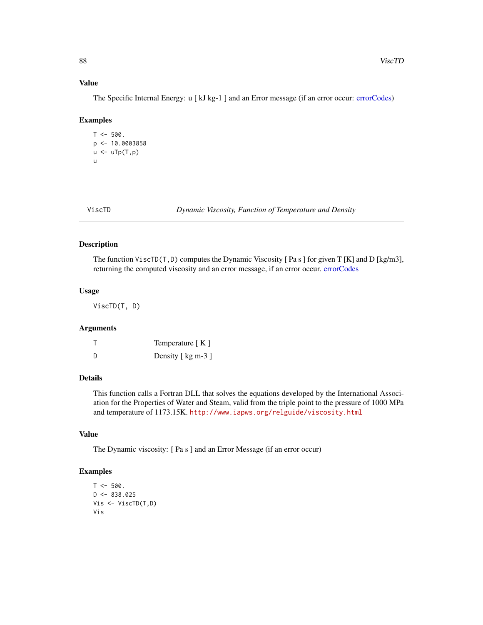# Value

The Specific Internal Energy: u [ kJ kg-1 ] and an Error message (if an error occur: [errorCodes\)](#page-30-0)

#### Examples

```
T < -500.
p <- 10.0003858
u \leftarrow uTp(T,p)u
```
ViscTD *Dynamic Viscosity, Function of Temperature and Density*

# Description

The function ViscTD( $T, D$ ) computes the Dynamic Viscosity [Pa s ] for given T [K] and D [kg/m3], returning the computed viscosity and an error message, if an error occur. [errorCodes](#page-30-0)

# Usage

ViscTD(T, D)

#### Arguments

T Temperature [ K ] D Density [ kg m-3 ]

# Details

This function calls a Fortran DLL that solves the equations developed by the International Association for the Properties of Water and Steam, valid from the triple point to the pressure of 1000 MPa and temperature of 1173.15K. <http://www.iapws.org/relguide/viscosity.html>

# Value

The Dynamic viscosity: [ Pa s ] and an Error Message (if an error occur)

```
T < -500.
D \le -838.025Vis <- ViscTD(T,D)
Vis
```
<span id="page-87-0"></span>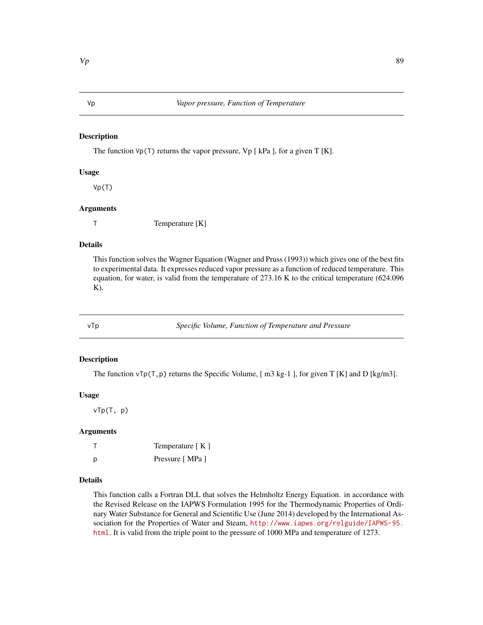The function  $Vp(T)$  returns the vapor pressure,  $Vp$  [ kPa ], for a given T [K].

#### Usage

Vp(T)

# Arguments

T Temperature [K]

# Details

This function solves the Wagner Equation (Wagner and Pruss (1993)) which gives one of the best fits to experimental data. It expresses reduced vapor pressure as a function of reduced temperature. This equation, for water, is valid from the temperature of 273.16 K to the critical temperature (624.096  $K$ ).

vTp *Specific Volume, Function of Temperature and Pressure*

#### Description

The function  $vTp(T,p)$  returns the Specific Volume, [ m3 kg-1 ], for given T [K] and D [kg/m3].

#### Usage

vTp(T, p)

#### Arguments

|   | Temperature [K] |
|---|-----------------|
| D | Pressure [MPa ] |

#### Details

This function calls a Fortran DLL that solves the Helmholtz Energy Equation. in accordance with the Revised Release on the IAPWS Formulation 1995 for the Thermodynamic Properties of Ordinary Water Substance for General and Scientific Use (June 2014) developed by the International Association for the Properties of Water and Steam, [http://www.iapws.org/relguide/IAPWS-95.](http://www.iapws.org/relguide/IAPWS-95.html) [html](http://www.iapws.org/relguide/IAPWS-95.html). It is valid from the triple point to the pressure of 1000 MPa and temperature of 1273.

#### <span id="page-88-0"></span>Vp *Vapor pressure, Function of Temperature*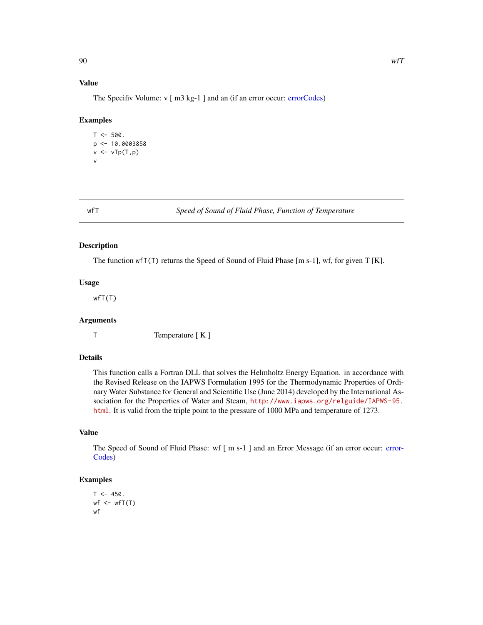# <span id="page-89-0"></span>Value

The Specifiv Volume: v [ m3 kg-1 ] and an (if an error occur: [errorCodes\)](#page-30-0)

#### Examples

```
T < -500.
p <- 10.0003858
v \leftarrow vTp(T,p)v
```
wfT *Speed of Sound of Fluid Phase, Function of Temperature*

#### Description

The function wfT(T) returns the Speed of Sound of Fluid Phase [m s-1], wf, for given T [K].

#### Usage

wfT(T)

#### Arguments

T Temperature [ K ]

# Details

This function calls a Fortran DLL that solves the Helmholtz Energy Equation. in accordance with the Revised Release on the IAPWS Formulation 1995 for the Thermodynamic Properties of Ordinary Water Substance for General and Scientific Use (June 2014) developed by the International Association for the Properties of Water and Steam, [http://www.iapws.org/relguide/IAPWS-95.](http://www.iapws.org/relguide/IAPWS-95.html) [html](http://www.iapws.org/relguide/IAPWS-95.html). It is valid from the triple point to the pressure of 1000 MPa and temperature of 1273.

# Value

The Speed of Sound of Fluid Phase: wf [ m s-1 ] and an Error Message (if an error occur: [error-](#page-30-0)[Codes\)](#page-30-0)

```
T < -450.
wf < -wf(T)wf
```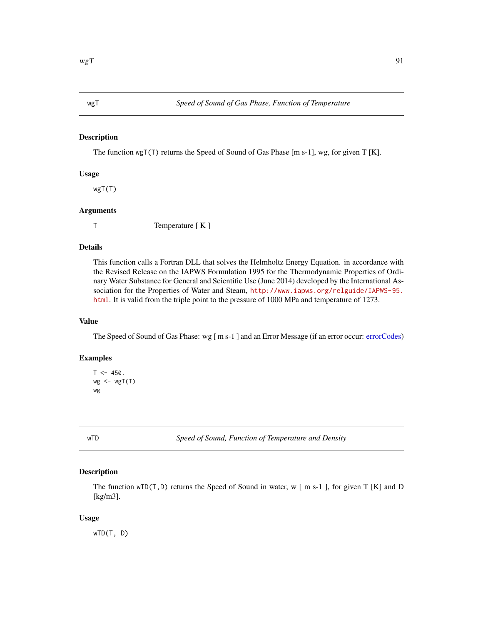<span id="page-90-0"></span>The function wgT(T) returns the Speed of Sound of Gas Phase [m s-1], wg, for given T [K].

# Usage

wgT(T)

#### Arguments

T Temperature [ K ]

# Details

This function calls a Fortran DLL that solves the Helmholtz Energy Equation. in accordance with the Revised Release on the IAPWS Formulation 1995 for the Thermodynamic Properties of Ordinary Water Substance for General and Scientific Use (June 2014) developed by the International Association for the Properties of Water and Steam, [http://www.iapws.org/relguide/IAPWS-95.](http://www.iapws.org/relguide/IAPWS-95.html) [html](http://www.iapws.org/relguide/IAPWS-95.html). It is valid from the triple point to the pressure of 1000 MPa and temperature of 1273.

# Value

The Speed of Sound of Gas Phase: wg [ m s-1 ] and an Error Message (if an error occur: [errorCodes\)](#page-30-0)

# Examples

```
T < -450.
wg \leftarrow wgT(T)wg
```
wTD *Speed of Sound, Function of Temperature and Density*

#### Description

The function  $wTD(T, D)$  returns the Speed of Sound in water, w [ m s-1 ], for given T [K] and D [kg/m3].

### Usage

wTD(T, D)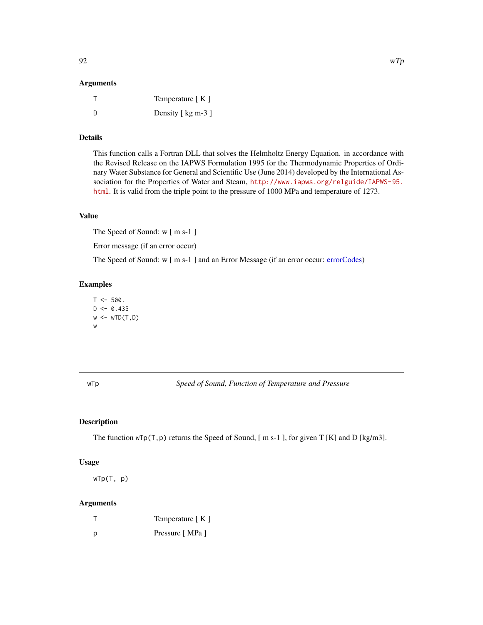#### <span id="page-91-0"></span>Arguments

|     | Temperature $K \mid K$ |
|-----|------------------------|
| - D | Density [ kg m-3 ]     |

# Details

This function calls a Fortran DLL that solves the Helmholtz Energy Equation. in accordance with the Revised Release on the IAPWS Formulation 1995 for the Thermodynamic Properties of Ordinary Water Substance for General and Scientific Use (June 2014) developed by the International Association for the Properties of Water and Steam, [http://www.iapws.org/relguide/IAPWS-95.](http://www.iapws.org/relguide/IAPWS-95.html) [html](http://www.iapws.org/relguide/IAPWS-95.html). It is valid from the triple point to the pressure of 1000 MPa and temperature of 1273.

#### Value

The Speed of Sound: w [ m s-1 ]

Error message (if an error occur)

The Speed of Sound: w [ m s-1 ] and an Error Message (if an error occur: [errorCodes\)](#page-30-0)

#### Examples

```
T < -500.
D \le -0.435w \leftarrow wTD(T, D)w
```
wTp *Speed of Sound, Function of Temperature and Pressure*

# Description

The function  $wTp(T,p)$  returns the Speed of Sound, [m s-1], for given T [K] and D [kg/m3].

#### Usage

wTp(T, p)

# Arguments

|   | Temperature [K] |
|---|-----------------|
| D | Pressure [MPa ] |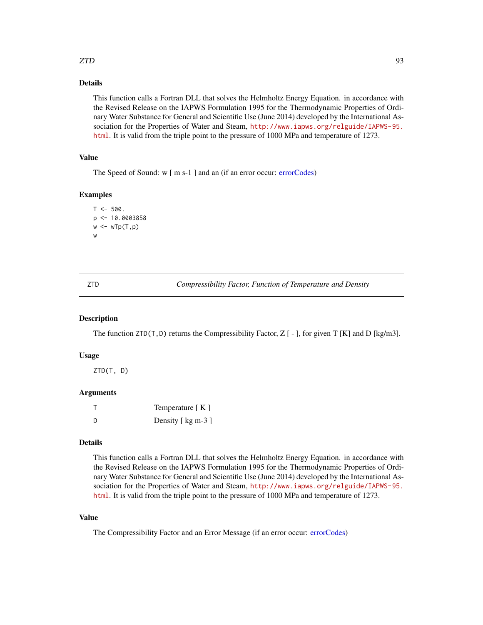# <span id="page-92-0"></span> $ZTD$  93

# Details

This function calls a Fortran DLL that solves the Helmholtz Energy Equation. in accordance with the Revised Release on the IAPWS Formulation 1995 for the Thermodynamic Properties of Ordinary Water Substance for General and Scientific Use (June 2014) developed by the International Association for the Properties of Water and Steam, [http://www.iapws.org/relguide/IAPWS-95.](http://www.iapws.org/relguide/IAPWS-95.html) [html](http://www.iapws.org/relguide/IAPWS-95.html). It is valid from the triple point to the pressure of 1000 MPa and temperature of 1273.

#### Value

The Speed of Sound: w [ m s-1 ] and an (if an error occur: [errorCodes\)](#page-30-0)

# Examples

```
T < -500.
p <- 10.0003858
w \leftarrow wTp(T, p)w
```
ZTD *Compressibility Factor, Function of Temperature and Density*

#### Description

The function  $ZTD(T, D)$  returns the Compressibility Factor, Z [ - ], for given T [K] and D [kg/m3].

#### Usage

ZTD(T, D)

#### Arguments

|     | Temperature $K \,$ ] |
|-----|----------------------|
| - D | Density [ kg m-3 ]   |

# Details

This function calls a Fortran DLL that solves the Helmholtz Energy Equation. in accordance with the Revised Release on the IAPWS Formulation 1995 for the Thermodynamic Properties of Ordinary Water Substance for General and Scientific Use (June 2014) developed by the International Association for the Properties of Water and Steam, [http://www.iapws.org/relguide/IAPWS-95.](http://www.iapws.org/relguide/IAPWS-95.html) [html](http://www.iapws.org/relguide/IAPWS-95.html). It is valid from the triple point to the pressure of 1000 MPa and temperature of 1273.

# Value

The Compressibility Factor and an Error Message (if an error occur: [errorCodes\)](#page-30-0)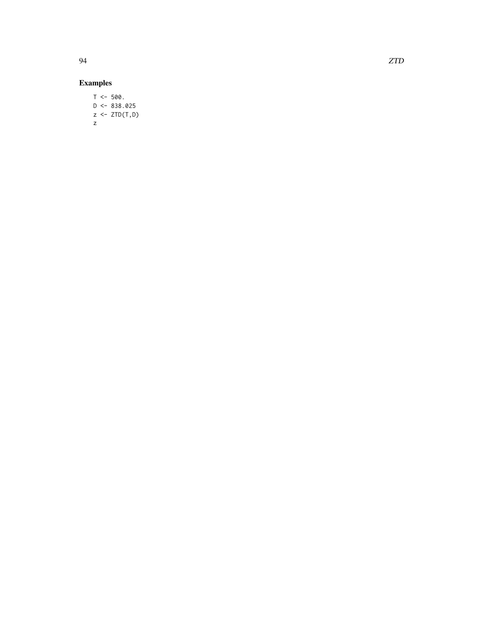# Examples

 $T < -500$ .  $D \le -838.025$  $z \leftarrow \text{ZTD}(T,D)$ z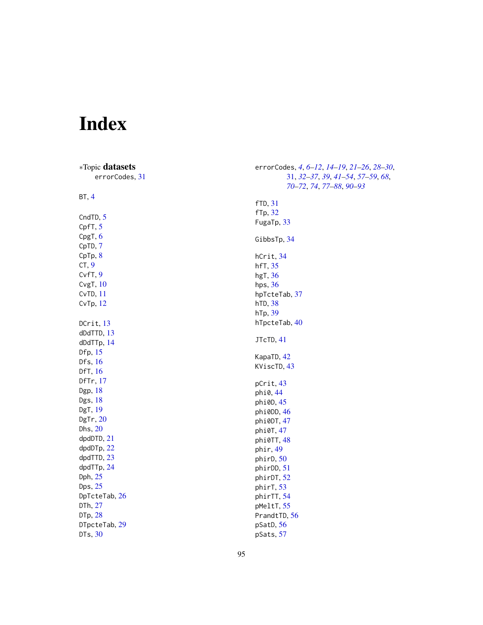# Index

| *Topic datasets<br>errorCodes, 31 | errorCodes, 4, 6-12, 14-19, 21-26, 28-30,<br>31, 32-37, 39, 41-54, 57-59, 68,<br>70-72, 74, 77-88, 90-93 |
|-----------------------------------|----------------------------------------------------------------------------------------------------------|
| BT, 4                             | <b>fTD</b> , 31                                                                                          |
| CndTD, 5<br>CpfT, 5               | fTp, 32<br>FugaTp, 33                                                                                    |
| CpgT, 6                           | GibbsTp, 34                                                                                              |
| CpTD, 7<br>CpTp, 8                | hCrit, 34                                                                                                |
| CT, 9<br>$Cvff$ , $9$             | hfT, 35<br>hgT, $36$                                                                                     |
| Cvg $T$ , $10$<br>CvTD, 11        | hps, $36$<br>hpTcteTab, 37                                                                               |
| CvTp, 12                          | hTD, 38                                                                                                  |
| DCrit, $13$                       | hTp, 39<br>hTpcteTab, 40                                                                                 |
| $d$ DdTTD, $13$<br>dDdTTp, 14     | JTcTD, 41                                                                                                |
| Dfp, 15<br>Dfs, $16$              | KapaTD, 42                                                                                               |
| DfT, 16                           | KViscTD, 43                                                                                              |
| DfTr, 17<br>Dgp, 18               | pCrit, 43<br>phi0, 44                                                                                    |
| Dgs, 18<br>DgT, 19                | phi0D, 45<br>phi0DD, 46                                                                                  |
| DgTr, 20                          | phi0DT, 47                                                                                               |
| Dhs, 20<br>dpdDTD, 21             | phi0T, 47<br>phi0TT, 48                                                                                  |
| dpdDTp, 22<br>dpdTTD, 23          | phir, 49<br>phirD, 50                                                                                    |
| dpdTTp, 24                        | phirDD, 51                                                                                               |
| Dph, 25<br>Dps, $25$              | phirDT, 52<br>phirT, 53                                                                                  |
| DpTcteTab, 26<br>DTh, 27          | phirTT, 54<br>pMeltT, 55                                                                                 |
| DTp, 28                           | PrandtTD, 56                                                                                             |
| DTpcteTab, 29<br>DTs, 30          | pSatD, 56<br>pSats, 57                                                                                   |